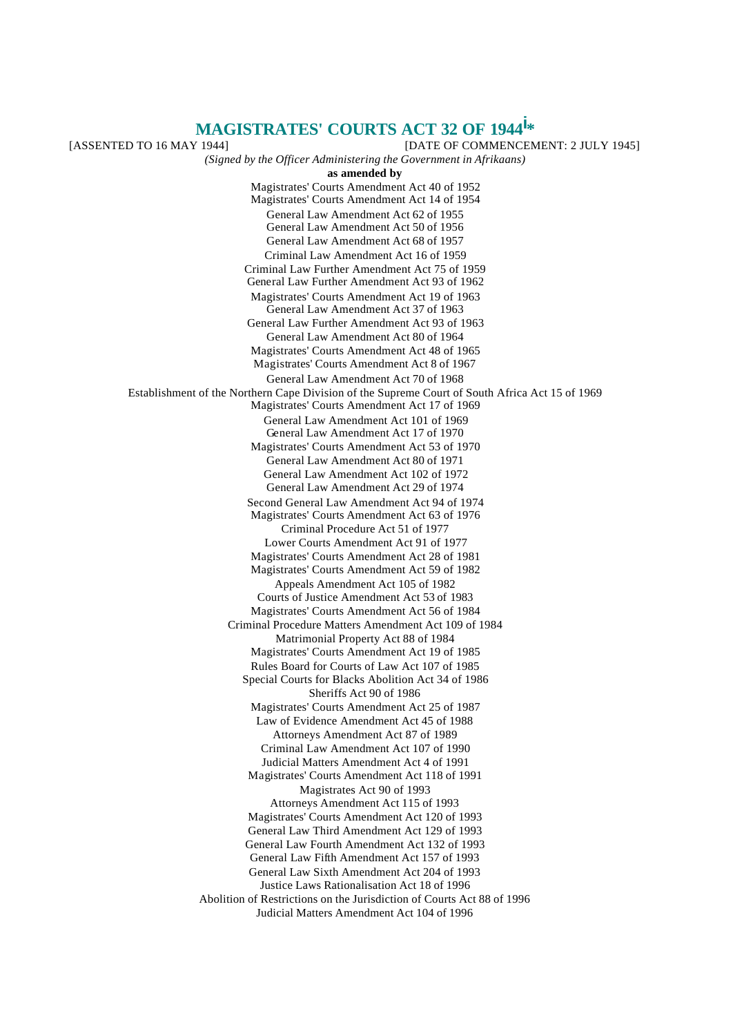# **MAGISTRATES' COURTS ACT 32 OF 1944i \***

[ASSENTED TO 16 MAY 1944] [DATE OF COMMENCEMENT: 2 JULY 1945] *(Signed by the Officer Administering the Government in Afrikaans)* **as amended by** Magistrates' Courts Amendment Act 40 of 1952 Magistrates' Courts Amendment Act 14 of 1954 General Law Amendment Act 62 of 1955 General Law Amendment Act 50 of 1956 General Law Amendment Act 68 of 1957 Criminal Law Amendment Act 16 of 1959 Criminal Law Further Amendment Act 75 of 1959 General Law Further Amendment Act 93 of 1962 Magistrates' Courts Amendment Act 19 of 1963 General Law Amendment Act 37 of 1963 General Law Further Amendment Act 93 of 1963 General Law Amendment Act 80 of 1964 Magistrates' Courts Amendment Act 48 of 1965 Magistrates' Courts Amendment Act 8 of 1967 General Law Amendment Act 70 of 1968 Establishment of the Northern Cape Division of the Supreme Court of South Africa Act 15 of 1969 Magistrates' Courts Amendment Act 17 of 1969 General Law Amendment Act 101 of 1969 General Law Amendment Act 17 of 1970 Magistrates' Courts Amendment Act 53 of 1970 General Law Amendment Act 80 of 1971 General Law Amendment Act 102 of 1972 General Law Amendment Act 29 of 1974 Second General Law Amendment Act 94 of 1974 Magistrates' Courts Amendment Act 63 of 1976 Criminal Procedure Act 51 of 1977 Lower Courts Amendment Act 91 of 1977 Magistrates' Courts Amendment Act 28 of 1981 Magistrates' Courts Amendment Act 59 of 1982 Appeals Amendment Act 105 of 1982 Courts of Justice Amendment Act 53 of 1983 Magistrates' Courts Amendment Act 56 of 1984 Criminal Procedure Matters Amendment Act 109 of 1984 Matrimonial Property Act 88 of 1984 Magistrates' Courts Amendment Act 19 of 1985 Rules Board for Courts of Law Act 107 of 1985 Special Courts for Blacks Abolition Act 34 of 1986 Sheriffs Act 90 of 1986 Magistrates' Courts Amendment Act 25 of 1987 Law of Evidence Amendment Act 45 of 1988 Attorneys Amendment Act 87 of 1989 Criminal Law Amendment Act 107 of 1990 Judicial Matters Amendment Act 4 of 1991 Magistrates' Courts Amendment Act 118 of 1991 Magistrates Act 90 of 1993 Attorneys Amendment Act 115 of 1993 Magistrates' Courts Amendment Act 120 of 1993 General Law Third Amendment Act 129 of 1993 General Law Fourth Amendment Act 132 of 1993 General Law Fifth Amendment Act 157 of 1993 General Law Sixth Amendment Act 204 of 1993 Justice Laws Rationalisation Act 18 of 1996 Abolition of Restrictions on the Jurisdiction of Courts Act 88 of 1996 Judicial Matters Amendment Act 104 of 1996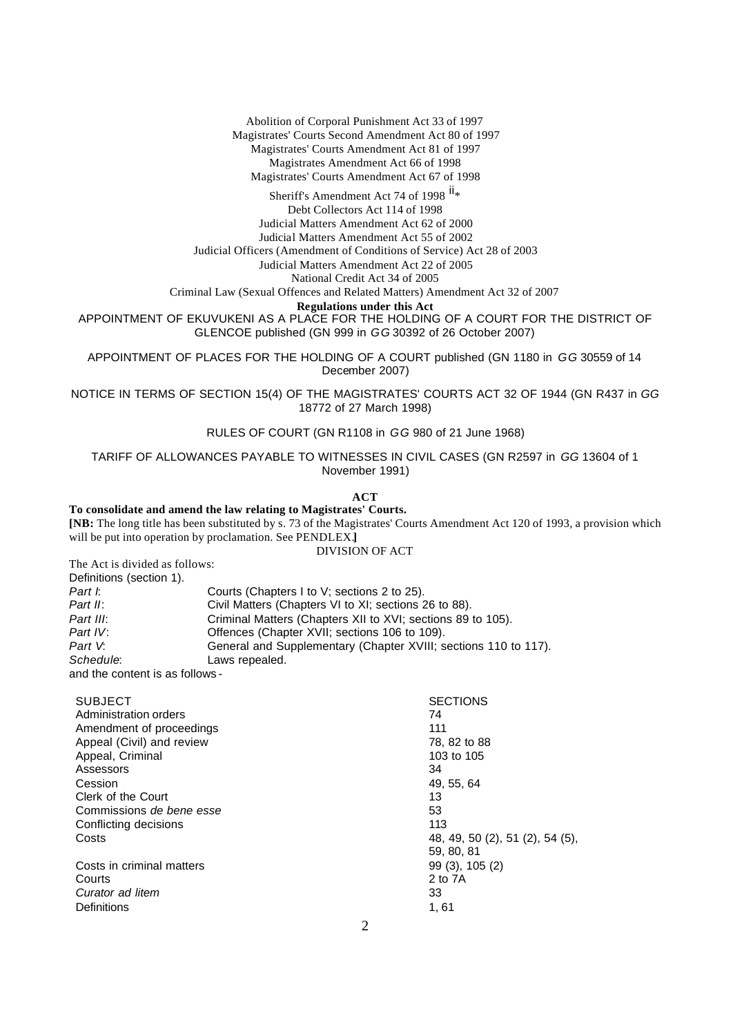Abolition of Corporal Punishment Act 33 of 1997 Magistrates' Courts Second Amendment Act 80 of 1997 Magistrates' Courts Amendment Act 81 of 1997 Magistrates Amendment Act 66 of 1998 Magistrates' Courts Amendment Act 67 of 1998

Sheriff's Amendment Act 74 of 1998 <sup>ii</sup>\*

Debt Collectors Act 114 of 1998 Judicial Matters Amendment Act 62 of 2000 Judicial Matters Amendment Act 55 of 2002

Judicial Officers (Amendment of Conditions of Service) Act 28 of 2003

Judicial Matters Amendment Act 22 of 2005

National Credit Act 34 of 2005

Criminal Law (Sexual Offences and Related Matters) Amendment Act 32 of 2007

**Regulations under this Act**

APPOINTMENT OF EKUVUKENI AS A PLACE FOR THE HOLDING OF A COURT FOR THE DISTRICT OF GLENCOE published (GN 999 in *GG* 30392 of 26 October 2007)

APPOINTMENT OF PLACES FOR THE HOLDING OF A COURT published (GN 1180 in *GG* 30559 of 14 December 2007)

NOTICE IN TERMS OF SECTION 15(4) OF THE MAGISTRATES' COURTS ACT 32 OF 1944 (GN R437 in *GG* 18772 of 27 March 1998)

RULES OF COURT (GN R1108 in *GG* 980 of 21 June 1968)

TARIFF OF ALLOWANCES PAYABLE TO WITNESSES IN CIVIL CASES (GN R2597 in *GG* 13604 of 1 November 1991)

**ACT**

# **To consolidate and amend the law relating to Magistrates' Courts.**

**[NB:** The long title has been substituted by s. 73 of the Magistrates' Courts Amendment Act 120 of 1993, a provision which will be put into operation by proclamation. See PENDLEX.**]**

DIVISION OF ACT

The Act is divided as follows:

| Definitions (section 1).        |                                                                 |  |
|---------------------------------|-----------------------------------------------------------------|--|
| Part I.                         | Courts (Chapters I to V; sections 2 to 25).                     |  |
| Part II:                        | Civil Matters (Chapters VI to XI; sections 26 to 88).           |  |
| Part III:                       | Criminal Matters (Chapters XII to XVI; sections 89 to 105).     |  |
| Part IV:                        | Offences (Chapter XVII; sections 106 to 109).                   |  |
| Part V.                         | General and Supplementary (Chapter XVIII; sections 110 to 117). |  |
| Schedule:                       | Laws repealed.                                                  |  |
| and the content is as follows - |                                                                 |  |

| <b>SUBJECT</b><br>Administration orders | <b>SECTIONS</b><br>74           |
|-----------------------------------------|---------------------------------|
| Amendment of proceedings                | 111                             |
| Appeal (Civil) and review               | 78, 82 to 88                    |
| Appeal, Criminal                        | 103 to 105                      |
| Assessors                               | 34                              |
| Cession                                 | 49, 55, 64                      |
| Clerk of the Court                      | 13                              |
| Commissions de bene esse                | 53                              |
| Conflicting decisions                   | 113                             |
| Costs                                   | 48, 49, 50 (2), 51 (2), 54 (5), |
|                                         | 59, 80, 81                      |
| Costs in criminal matters               | 99 (3), 105 (2)                 |
| Courts                                  | 2 to 7A                         |
| Curator ad litem                        | 33                              |
| Definitions                             | 1,61                            |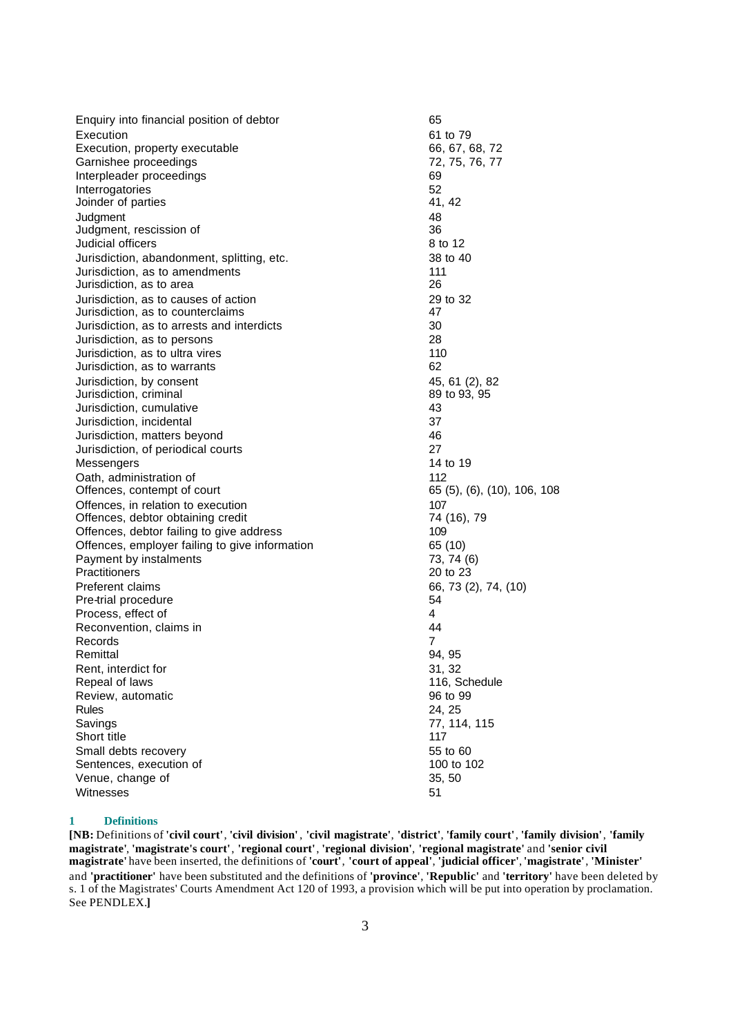| Enquiry into financial position of debtor      | 65                          |
|------------------------------------------------|-----------------------------|
| Execution                                      | 61 to 79                    |
| Execution, property executable                 | 66, 67, 68, 72              |
| Garnishee proceedings                          | 72, 75, 76, 77              |
| Interpleader proceedings                       | 69                          |
| Interrogatories                                | 52                          |
| Joinder of parties                             | 41, 42                      |
| Judgment                                       | 48                          |
| Judgment, rescission of                        | 36                          |
| Judicial officers                              | 8 to 12                     |
| Jurisdiction, abandonment, splitting, etc.     | 38 to 40                    |
| Jurisdiction, as to amendments                 | 111                         |
| Jurisdiction, as to area                       | 26                          |
| Jurisdiction, as to causes of action           | 29 to 32                    |
| Jurisdiction, as to counterclaims              | 47                          |
| Jurisdiction, as to arrests and interdicts     | 30                          |
| Jurisdiction, as to persons                    | 28                          |
| Jurisdiction, as to ultra vires                | 110                         |
| Jurisdiction, as to warrants                   | 62                          |
| Jurisdiction, by consent                       | 45, 61 (2), 82              |
| Jurisdiction, criminal                         | 89 to 93, 95                |
| Jurisdiction, cumulative                       | 43                          |
| Jurisdiction, incidental                       | 37                          |
| Jurisdiction, matters beyond                   | 46                          |
| Jurisdiction, of periodical courts             | 27                          |
| Messengers                                     | 14 to 19                    |
| Oath, administration of                        | 112                         |
| Offences, contempt of court                    | 65 (5), (6), (10), 106, 108 |
| Offences, in relation to execution             | 107                         |
| Offences, debtor obtaining credit              | 74 (16), 79                 |
| Offences, debtor failing to give address       | 109                         |
| Offences, employer failing to give information | 65 (10)                     |
| Payment by instalments                         | 73, 74 (6)                  |
| Practitioners                                  | 20 to 23                    |
| Preferent claims                               | 66, 73 (2), 74, (10)        |
| Pre-trial procedure                            | 54                          |
| Process, effect of                             | 4                           |
| Reconvention, claims in                        | 44                          |
| Records                                        | 7                           |
| Remittal                                       | 94, 95                      |
| Rent, interdict for                            | 31, 32                      |
| Repeal of laws                                 | 116, Schedule               |
| Review, automatic                              | 96 to 99                    |
| Rules                                          | 24, 25                      |
| Savings                                        | 77, 114, 115                |
| Short title                                    | 117                         |
| Small debts recovery                           | 55 to 60                    |
| Sentences, execution of                        | 100 to 102                  |
| Venue, change of                               | 35, 50                      |
| Witnesses                                      | 51                          |

# **1 Definitions**

**[NB:** Definitions of **'civil court'**, **'civil division'** , **'civil magistrate'**, **'district'**, **'family court'**, **'family division'**, **'family magistrate'**, **'magistrate's court'**, **'regional court'**, **'regional division'**, **'regional magistrate'** and **'senior civil magistrate'** have been inserted, the definitions of **'court'**, **'court of appeal'**, **'judicial officer'**, **'magistrate'**, **'Minister'** and **'practitioner'** have been substituted and the definitions of **'province'**, **'Republic'** and **'territory'** have been deleted by s. 1 of the Magistrates' Courts Amendment Act 120 of 1993, a provision which will be put into operation by proclamation. See PENDLEX.**]**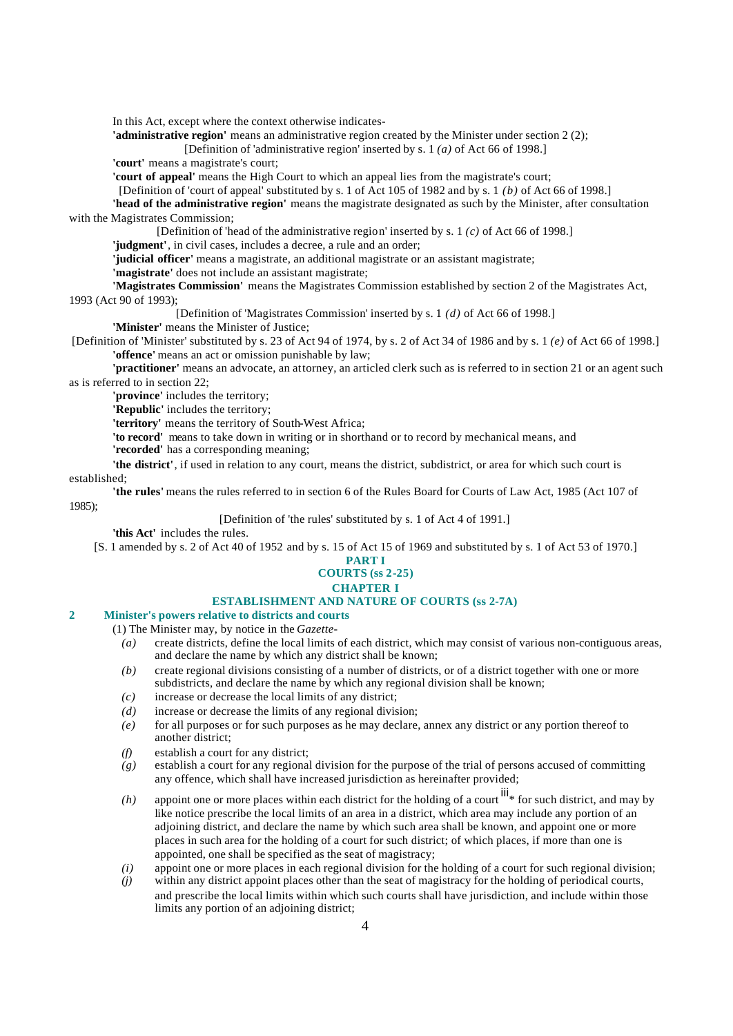In this Act, except where the context otherwise indicates-

**'administrative region'** means an administrative region created by the Minister under section 2 (2);

[Definition of 'administrative region' inserted by s. 1 *(a)* of Act 66 of 1998.] **'court'** means a magistrate's court;

**'court of appeal'** means the High Court to which an appeal lies from the magistrate's court;

[Definition of 'court of appeal' substituted by s. 1 of Act 105 of 1982 and by s. 1 *(b)* of Act 66 of 1998.]

**'head of the administrative region'** means the magistrate designated as such by the Minister, after consultation with the Magistrates Commission;

[Definition of 'head of the administrative region' inserted by s. 1 *(c)* of Act 66 of 1998.]

**'judgment'**, in civil cases, includes a decree, a rule and an order;

**'judicial officer'** means a magistrate, an additional magistrate or an assistant magistrate;

**'magistrate'** does not include an assistant magistrate;

**'Magistrates Commission'** means the Magistrates Commission established by section 2 of the Magistrates Act, 1993 (Act 90 of 1993);

[Definition of 'Magistrates Commission' inserted by s. 1 *(d)* of Act 66 of 1998.]

**'Minister'** means the Minister of Justice;

[Definition of 'Minister' substituted by s. 23 of Act 94 of 1974, by s. 2 of Act 34 of 1986 and by s. 1 *(e)* of Act 66 of 1998.] **'offence'** means an act or omission punishable by law;

**'practitioner'** means an advocate, an attorney, an articled clerk such as is referred to in section 21 or an agent such as is referred to in section 22;

**'province'** includes the territory;

**'Republic'** includes the territory;

**'territory'** means the territory of South-West Africa;

**'to record'** means to take down in writing or in shorthand or to record by mechanical means, and

**'recorded'** has a corresponding meaning;

**'the district'**, if used in relation to any court, means the district, subdistrict, or area for which such court is established;

**'the rules'** means the rules referred to in section 6 of the Rules Board for Courts of Law Act, 1985 (Act 107 of 1985);

[Definition of 'the rules' substituted by s. 1 of Act 4 of 1991.]

**'this Act'** includes the rules.

[S. 1 amended by s. 2 of Act 40 of 1952 and by s. 15 of Act 15 of 1969 and substituted by s. 1 of Act 53 of 1970.]

#### **PART I COURTS (ss 2-25) CHAPTER I ESTABLISHMENT AND NATURE OF COURTS (ss 2-7A)**

# **2 Minister's powers relative to districts and courts**

(1) The Minister may, by notice in the *Gazette*-

- *(a)* create districts, define the local limits of each district, which may consist of various non-contiguous areas, and declare the name by which any district shall be known;
- *(b)* create regional divisions consisting of a number of districts, or of a district together with one or more subdistricts, and declare the name by which any regional division shall be known;
- *(c)* increase or decrease the local limits of any district;
- *(d)* increase or decrease the limits of any regional division;
- *(e)* for all purposes or for such purposes as he may declare, annex any district or any portion thereof to another district;
- *(f)* establish a court for any district;
- *(g)* establish a court for any regional division for the purpose of the trial of persons accused of committing any offence, which shall have increased jurisdiction as hereinafter provided;
- $(h)$  appoint one or more places within each district for the holding of a court  $\frac{iii}{h}$  for such district, and may by like notice prescribe the local limits of an area in a district, which area may include any portion of an adjoining district, and declare the name by which such area shall be known, and appoint one or more places in such area for the holding of a court for such district; of which places, if more than one is appointed, one shall be specified as the seat of magistracy;
- *(i)* appoint one or more places in each regional division for the holding of a court for such regional division;
- *(j)* within any district appoint places other than the seat of magistracy for the holding of periodical courts, and prescribe the local limits within which such courts shall have jurisdiction, and include within those limits any portion of an adjoining district;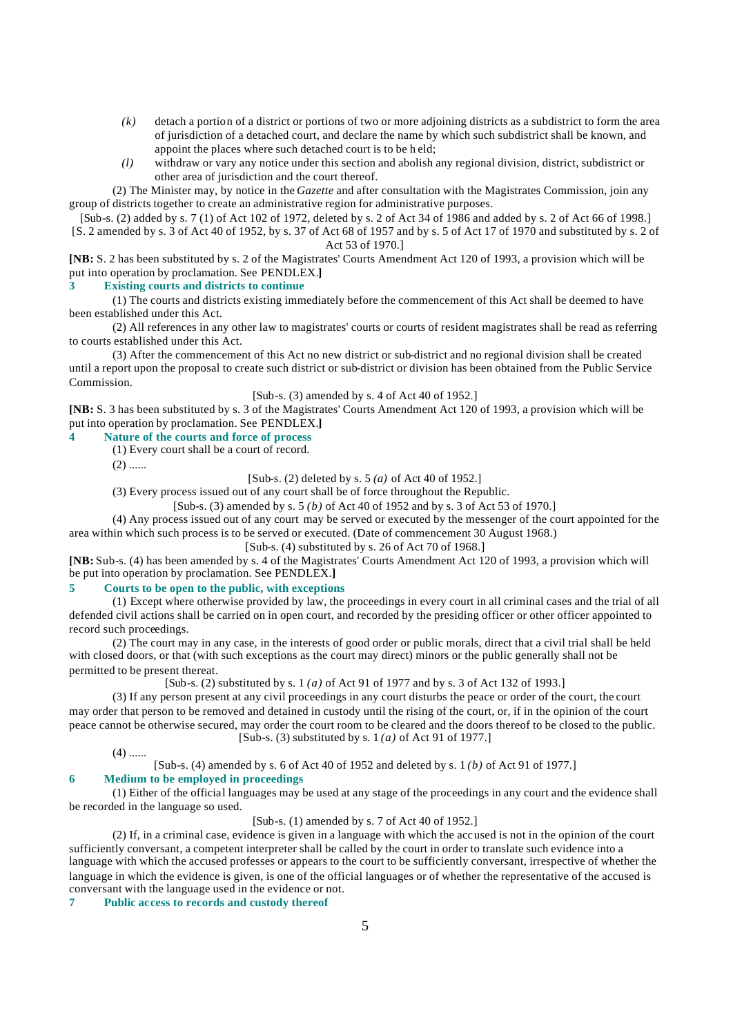- *(k)* detach a portion of a district or portions of two or more adjoining districts as a subdistrict to form the area of jurisdiction of a detached court, and declare the name by which such subdistrict shall be known, and appoint the places where such detached court is to be h eld;
- *(l)* withdraw or vary any notice under this section and abolish any regional division, district, subdistrict or other area of jurisdiction and the court thereof.

(2) The Minister may, by notice in the *Gazette* and after consultation with the Magistrates Commission, join any group of districts together to create an administrative region for administrative purposes.

[Sub-s. (2) added by s. 7 (1) of Act 102 of 1972, deleted by s. 2 of Act 34 of 1986 and added by s. 2 of Act 66 of 1998.] [S. 2 amended by s. 3 of Act 40 of 1952, by s. 37 of Act 68 of 1957 and by s. 5 of Act 17 of 1970 and substituted by s. 2 of Act 53 of 1970.]

**[NB:** S. 2 has been substituted by s. 2 of the Magistrates' Courts Amendment Act 120 of 1993, a provision which will be put into operation by proclamation. See PENDLEX.**]**

#### **3 Existing courts and districts to continue**

(1) The courts and districts existing immediately before the commencement of this Act shall be deemed to have been established under this Act.

(2) All references in any other law to magistrates' courts or courts of resident magistrates shall be read as referring to courts established under this Act.

(3) After the commencement of this Act no new district or sub-district and no regional division shall be created until a report upon the proposal to create such district or sub-district or division has been obtained from the Public Service Commission.

# [Sub-s. (3) amended by s. 4 of Act 40 of 1952.]

**[NB:** S. 3 has been substituted by s. 3 of the Magistrates' Courts Amendment Act 120 of 1993, a provision which will be put into operation by proclamation. See PENDLEX.**]**

# **4 Nature of the courts and force of process**

(1) Every court shall be a court of record.

 $(2)$  ......

[Sub-s. (2) deleted by s. 5 *(a)* of Act 40 of 1952.]

(3) Every process issued out of any court shall be of force throughout the Republic.

[Sub-s. (3) amended by s. 5 *(b)* of Act 40 of 1952 and by s. 3 of Act 53 of 1970.]

(4) Any process issued out of any court may be served or executed by the messenger of the court appointed for the area within which such process is to be served or executed. (Date of commencement 30 August 1968.)

[Sub-s. (4) substituted by s. 26 of Act 70 of 1968.]

**[NB:** Sub-s. (4) has been amended by s. 4 of the Magistrates' Courts Amendment Act 120 of 1993, a provision which will be put into operation by proclamation. See PENDLEX.**]**

## **5 Courts to be open to the public, with exceptions**

(1) Except where otherwise provided by law, the proceedings in every court in all criminal cases and the trial of all defended civil actions shall be carried on in open court, and recorded by the presiding officer or other officer appointed to record such proceedings.

(2) The court may in any case, in the interests of good order or public morals, direct that a civil trial shall be held with closed doors, or that (with such exceptions as the court may direct) minors or the public generally shall not be permitted to be present thereat.

[Sub-s. (2) substituted by s. 1 *(a)* of Act 91 of 1977 and by s. 3 of Act 132 of 1993.]

(3) If any person present at any civil proceedings in any court disturbs the peace or order of the court, the court may order that person to be removed and detained in custody until the rising of the court, or, if in the opinion of the court peace cannot be otherwise secured, may order the court room to be cleared and the doors thereof to be closed to the public. [Sub-s. (3) substituted by s. 1 *(a)* of Act 91 of 1977.]

 $(4)$  ......

[Sub-s. (4) amended by s. 6 of Act 40 of 1952 and deleted by s. 1 *(b)* of Act 91 of 1977.]

# **6 Medium to be employed in proceedings**

(1) Either of the official languages may be used at any stage of the proceedings in any court and the evidence shall be recorded in the language so used.

[Sub-s. (1) amended by s. 7 of Act 40 of 1952.]

(2) If, in a criminal case, evidence is given in a language with which the accused is not in the opinion of the court sufficiently conversant, a competent interpreter shall be called by the court in order to translate such evidence into a language with which the accused professes or appears to the court to be sufficiently conversant, irrespective of whether the language in which the evidence is given, is one of the official languages or of whether the representative of the accused is conversant with the language used in the evidence or not.

**7 Public access to records and custody thereof**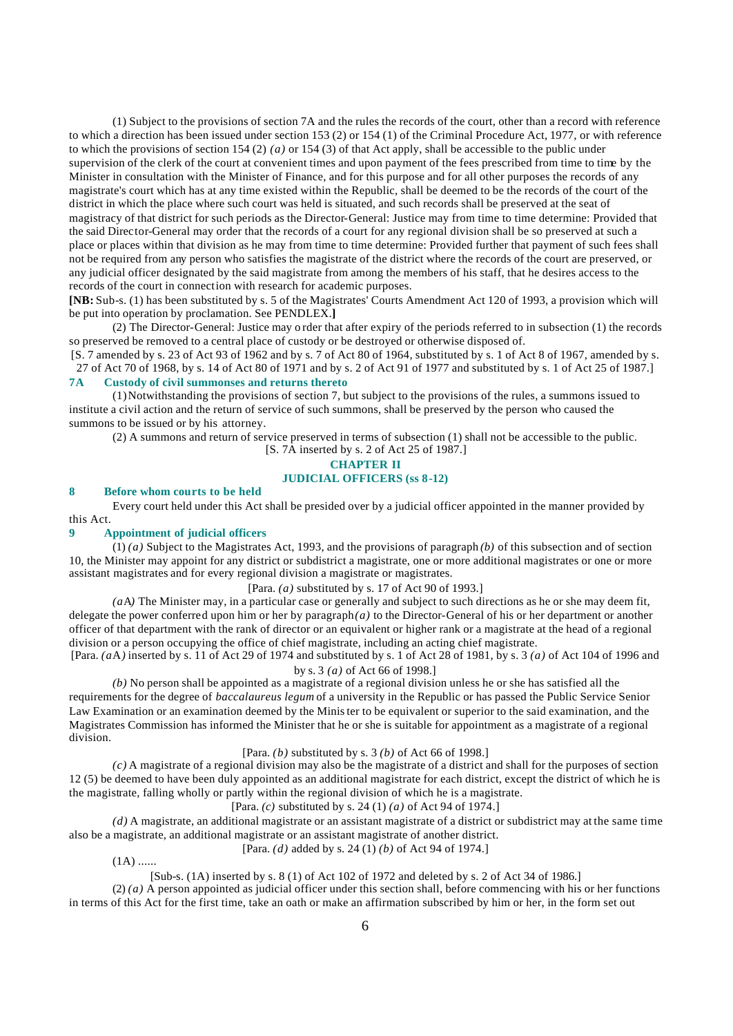(1) Subject to the provisions of section 7A and the rules the records of the court, other than a record with reference to which a direction has been issued under section 153 (2) or 154 (1) of the Criminal Procedure Act, 1977, or with reference to which the provisions of section 154 (2) *(a)* or 154 (3) of that Act apply, shall be accessible to the public under supervision of the clerk of the court at convenient times and upon payment of the fees prescribed from time to time by the Minister in consultation with the Minister of Finance, and for this purpose and for all other purposes the records of any magistrate's court which has at any time existed within the Republic, shall be deemed to be the records of the court of the district in which the place where such court was held is situated, and such records shall be preserved at the seat of magistracy of that district for such periods as the Director-General: Justice may from time to time determine: Provided that the said Director-General may order that the records of a court for any regional division shall be so preserved at such a place or places within that division as he may from time to time determine: Provided further that payment of such fees shall not be required from any person who satisfies the magistrate of the district where the records of the court are preserved, or any judicial officer designated by the said magistrate from among the members of his staff, that he desires access to the records of the court in connection with research for academic purposes.

**[NB:** Sub-s. (1) has been substituted by s. 5 of the Magistrates' Courts Amendment Act 120 of 1993, a provision which will be put into operation by proclamation. See PENDLEX.**]**

(2) The Director-General: Justice may o rder that after expiry of the periods referred to in subsection (1) the records so preserved be removed to a central place of custody or be destroyed or otherwise disposed of.

[S. 7 amended by s. 23 of Act 93 of 1962 and by s. 7 of Act 80 of 1964, substituted by s. 1 of Act 8 of 1967, amended by s. 27 of Act 70 of 1968, by s. 14 of Act 80 of 1971 and by s. 2 of Act 91 of 1977 and substituted by s. 1 of Act 25 of 1987.] **7A Custody of civil summonses and returns thereto**

(1) Notwithstanding the provisions of section 7, but subject to the provisions of the rules, a summons issued to institute a civil action and the return of service of such summons, shall be preserved by the person who caused the summons to be issued or by his attorney.

(2) A summons and return of service preserved in terms of subsection (1) shall not be accessible to the public.

#### [S. 7A inserted by s. 2 of Act 25 of 1987.] **CHAPTER II**

# **JUDICIAL OFFICERS (ss 8-12)**

#### **8 Before whom courts to be held**

Every court held under this Act shall be presided over by a judicial officer appointed in the manner provided by this Act.

#### **9 Appointment of judicial officers**

(1) *(a)* Subject to the Magistrates Act, 1993, and the provisions of paragraph *(b)* of this subsection and of section 10, the Minister may appoint for any district or subdistrict a magistrate, one or more additional magistrates or one or more assistant magistrates and for every regional division a magistrate or magistrates.

## [Para. *(a)* substituted by s. 17 of Act 90 of 1993.]

*(a*A*)* The Minister may, in a particular case or generally and subject to such directions as he or she may deem fit, delegate the power conferred upon him or her by paragraph *(a)* to the Director-General of his or her department or another officer of that department with the rank of director or an equivalent or higher rank or a magistrate at the head of a regional division or a person occupying the office of chief magistrate, including an acting chief magistrate.

[Para. *(a*A*)* inserted by s. 11 of Act 29 of 1974 and substituted by s. 1 of Act 28 of 1981, by s. 3 *(a)* of Act 104 of 1996 and by s. 3 *(a)* of Act 66 of 1998.]

*(b)* No person shall be appointed as a magistrate of a regional division unless he or she has satisfied all the requirements for the degree of *baccalaureus legum* of a university in the Republic or has passed the Public Service Senior Law Examination or an examination deemed by the Minister to be equivalent or superior to the said examination, and the Magistrates Commission has informed the Minister that he or she is suitable for appointment as a magistrate of a regional division.

# [Para. *(b)* substituted by s. 3 *(b)* of Act 66 of 1998.]

*(c)* A magistrate of a regional division may also be the magistrate of a district and shall for the purposes of section 12 (5) be deemed to have been duly appointed as an additional magistrate for each district, except the district of which he is the magistrate, falling wholly or partly within the regional division of which he is a magistrate.

# [Para. *(c)* substituted by s. 24 (1) *(a)* of Act 94 of 1974.]

*(d)* A magistrate, an additional magistrate or an assistant magistrate of a district or subdistrict may at the same time also be a magistrate, an additional magistrate or an assistant magistrate of another district.

# [Para. *(d)* added by s. 24 (1) *(b)* of Act 94 of 1974.]

 $(1A)$  ......

[Sub-s. (1A) inserted by s. 8 (1) of Act 102 of 1972 and deleted by s. 2 of Act 34 of 1986.]

(2) *(a)* A person appointed as judicial officer under this section shall, before commencing with his or her functions in terms of this Act for the first time, take an oath or make an affirmation subscribed by him or her, in the form set out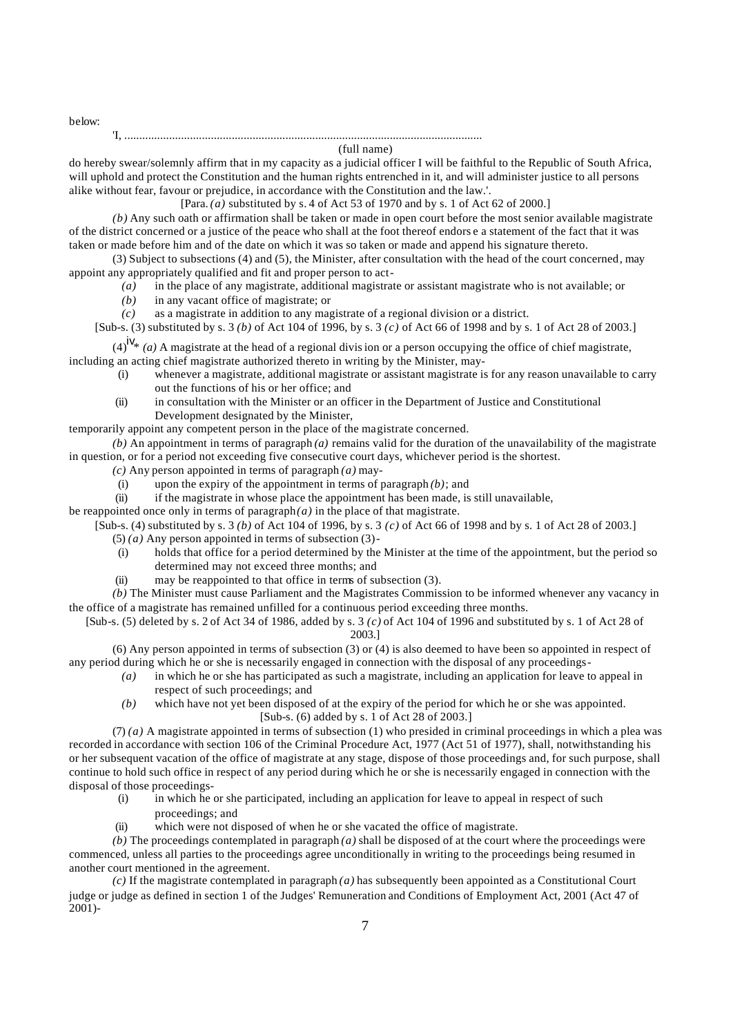below:

#### 'I, ........................................................................................................................ (full name)

do hereby swear/solemnly affirm that in my capacity as a judicial officer I will be faithful to the Republic of South Africa, will uphold and protect the Constitution and the human rights entrenched in it, and will administer justice to all persons alike without fear, favour or prejudice, in accordance with the Constitution and the law.'.

[Para. *(a)* substituted by s. 4 of Act 53 of 1970 and by s. 1 of Act 62 of 2000.]

*(b)* Any such oath or affirmation shall be taken or made in open court before the most senior available magistrate of the district concerned or a justice of the peace who shall at the foot thereof endors e a statement of the fact that it was taken or made before him and of the date on which it was so taken or made and append his signature thereto.

(3) Subject to subsections (4) and (5), the Minister, after consultation with the head of the court concerned, may appoint any appropriately qualified and fit and proper person to act-

*(a)* in the place of any magistrate, additional magistrate or assistant magistrate who is not available; or

- *(b)* in any vacant office of magistrate; or
- *(c)* as a magistrate in addition to any magistrate of a regional division or a district.

[Sub-s. (3) substituted by s. 3 *(b)* of Act 104 of 1996, by s. 3 *(c)* of Act 66 of 1998 and by s. 1 of Act 28 of 2003.]

 $(4)^{i}$ <sup>i</sup>  $\sqrt{(a)}$  A magistrate at the head of a regional division or a person occupying the office of chief magistrate, including an acting chief magistrate authorized thereto in writing by the Minister, may-

- (i) whenever a magistrate, additional magistrate or assistant magistrate is for any reason unavailable to carry out the functions of his or her office; and
- (ii) in consultation with the Minister or an officer in the Department of Justice and Constitutional Development designated by the Minister,

temporarily appoint any competent person in the place of the magistrate concerned.

 $(b)$  An appointment in terms of paragraph  $(a)$  remains valid for the duration of the unavailability of the magistrate in question, or for a period not exceeding five consecutive court days, whichever period is the shortest.

- *(c)* Any person appointed in terms of paragraph *(a)* may-
- (i) upon the expiry of the appointment in terms of paragraph *(b)*; and
- (ii) if the magistrate in whose place the appointment has been made, is still unavailable,

be reappointed once only in terms of paragraph $(a)$  in the place of that magistrate.

[Sub-s. (4) substituted by s. 3 *(b)* of Act 104 of 1996, by s. 3 *(c)* of Act 66 of 1998 and by s. 1 of Act 28 of 2003.]

- (5) *(a)* Any person appointed in terms of subsection (3)-
- (i) holds that office for a period determined by the Minister at the time of the appointment, but the period so determined may not exceed three months; and
- (ii) may be reappointed to that office in terms of subsection (3).
- *(b)* The Minister must cause Parliament and the Magistrates Commission to be informed whenever any vacancy in the office of a magistrate has remained unfilled for a continuous period exceeding three months.

[Sub-s. (5) deleted by s. 2 of Act 34 of 1986, added by s. 3 *(c)* of Act 104 of 1996 and substituted by s. 1 of Act 28 of 2003.]

(6) Any person appointed in terms of subsection (3) or (4) is also deemed to have been so appointed in respect of any period during which he or she is necessarily engaged in connection with the disposal of any proceedings-

- *(a)* in which he or she has participated as such a magistrate, including an application for leave to appeal in respect of such proceedings; and
- *(b)* which have not yet been disposed of at the expiry of the period for which he or she was appointed. [Sub-s. (6) added by s. 1 of Act 28 of 2003.]

(7) *(a)* A magistrate appointed in terms of subsection (1) who presided in criminal proceedings in which a plea was recorded in accordance with section 106 of the Criminal Procedure Act, 1977 (Act 51 of 1977), shall, notwithstanding his or her subsequent vacation of the office of magistrate at any stage, dispose of those proceedings and, for such purpose, shall continue to hold such office in respect of any period during which he or she is necessarily engaged in connection with the disposal of those proceedings-

- (i) in which he or she participated, including an application for leave to appeal in respect of such proceedings; and
- (ii) which were not disposed of when he or she vacated the office of magistrate.

*(b)* The proceedings contemplated in paragraph *(a)* shall be disposed of at the court where the proceedings were commenced, unless all parties to the proceedings agree unconditionally in writing to the proceedings being resumed in another court mentioned in the agreement.

*(c)* If the magistrate contemplated in paragraph *(a)* has subsequently been appointed as a Constitutional Court judge or judge as defined in section 1 of the Judges' Remuneration and Conditions of Employment Act, 2001 (Act 47 of  $2001$ )-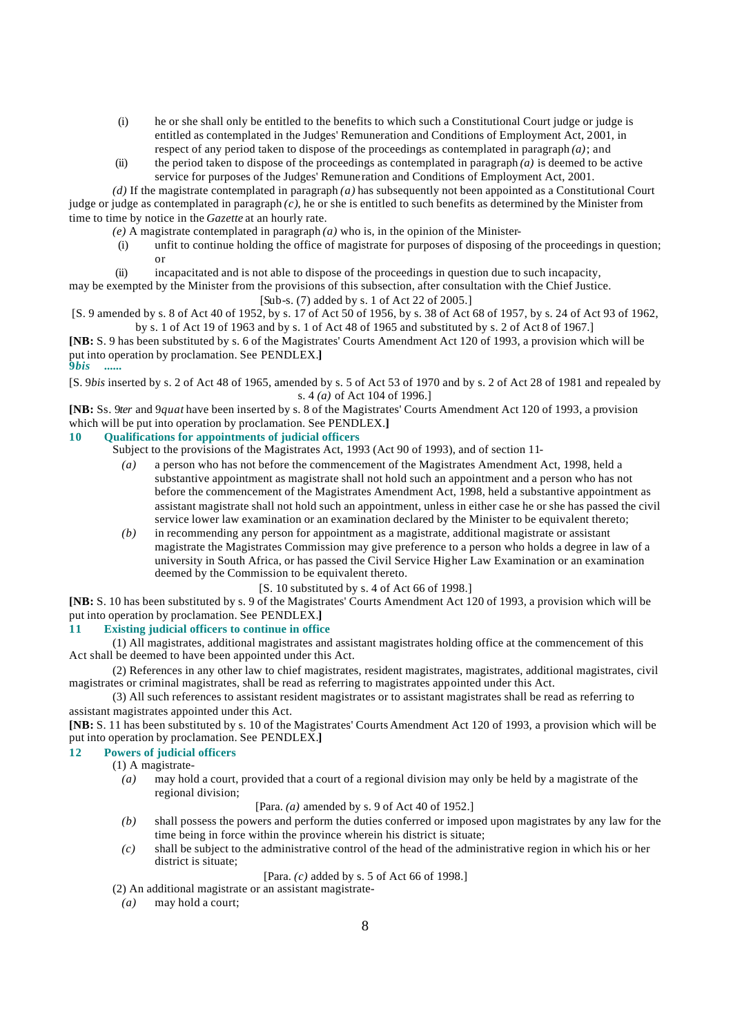- (i) he or she shall only be entitled to the benefits to which such a Constitutional Court judge or judge is entitled as contemplated in the Judges' Remuneration and Conditions of Employment Act, 2001, in respect of any period taken to dispose of the proceedings as contemplated in paragraph *(a)*; and
- (ii) the period taken to dispose of the proceedings as contemplated in paragraph  $(a)$  is deemed to be active service for purposes of the Judges' Remuneration and Conditions of Employment Act, 2001.

*(d)* If the magistrate contemplated in paragraph *(a)* has subsequently not been appointed as a Constitutional Court judge or judge as contemplated in paragraph *(c)*, he or she is entitled to such benefits as determined by the Minister from time to time by notice in the *Gazette* at an hourly rate.

- *(e)* A magistrate contemplated in paragraph *(a)* who is, in the opinion of the Minister-
	- (i) unfit to continue holding the office of magistrate for purposes of disposing of the proceedings in question; or
- (ii) incapacitated and is not able to dispose of the proceedings in question due to such incapacity,

may be exempted by the Minister from the provisions of this subsection, after consultation with the Chief Justice. [Sub-s. (7) added by s. 1 of Act 22 of 2005.]

[S. 9 amended by s. 8 of Act 40 of 1952, by s. 17 of Act 50 of 1956, by s. 38 of Act 68 of 1957, by s. 24 of Act 93 of 1962, by s. 1 of Act 19 of 1963 and by s. 1 of Act 48 of 1965 and substituted by s. 2 of Act 8 of 1967.]

**[NB:** S. 9 has been substituted by s. 6 of the Magistrates' Courts Amendment Act 120 of 1993, a provision which will be put into operation by proclamation. See PENDLEX.**]**

#### **9***bis* **......**

[S. 9*bis* inserted by s. 2 of Act 48 of 1965, amended by s. 5 of Act 53 of 1970 and by s. 2 of Act 28 of 1981 and repealed by s. 4 *(a)* of Act 104 of 1996.]

**[NB:** Ss. 9*ter* and 9*quat* have been inserted by s. 8 of the Magistrates' Courts Amendment Act 120 of 1993, a provision which will be put into operation by proclamation. See PENDLEX.**]**

# **10 Qualifications for appointments of judicial officers**

Subject to the provisions of the Magistrates Act, 1993 (Act 90 of 1993), and of section 11-

- *(a)* a person who has not before the commencement of the Magistrates Amendment Act, 1998, held a substantive appointment as magistrate shall not hold such an appointment and a person who has not before the commencement of the Magistrates Amendment Act, 1998, held a substantive appointment as assistant magistrate shall not hold such an appointment, unless in either case he or she has passed the civil service lower law examination or an examination declared by the Minister to be equivalent thereto;
- *(b)* in recommending any person for appointment as a magistrate, additional magistrate or assistant magistrate the Magistrates Commission may give preference to a person who holds a degree in law of a university in South Africa, or has passed the Civil Service Higher Law Examination or an examination deemed by the Commission to be equivalent thereto.

[S. 10 substituted by s. 4 of Act 66 of 1998.]

**[NB:** S. 10 has been substituted by s. 9 of the Magistrates' Courts Amendment Act 120 of 1993, a provision which will be put into operation by proclamation. See PENDLEX.**]**

# **11 Existing judicial officers to continue in office**

(1) All magistrates, additional magistrates and assistant magistrates holding office at the commencement of this Act shall be deemed to have been appointed under this Act.

(2) References in any other law to chief magistrates, resident magistrates, magistrates, additional magistrates, civil magistrates or criminal magistrates, shall be read as referring to magistrates appointed under this Act.

(3) All such references to assistant resident magistrates or to assistant magistrates shall be read as referring to assistant magistrates appointed under this Act.

**[NB:** S. 11 has been substituted by s. 10 of the Magistrates' Courts Amendment Act 120 of 1993, a provision which will be put into operation by proclamation. See PENDLEX.**]**

# **12 Powers of judicial officers**

(1) A magistrate-

*(a)* may hold a court, provided that a court of a regional division may only be held by a magistrate of the regional division;

[Para. *(a)* amended by s. 9 of Act 40 of 1952.]

- *(b)* shall possess the powers and perform the duties conferred or imposed upon magistrates by any law for the time being in force within the province wherein his district is situate;
- *(c)* shall be subject to the administrative control of the head of the administrative region in which his or her district is situate;

[Para. *(c)* added by s. 5 of Act 66 of 1998.]

(2) An additional magistrate or an assistant magistrate-

*(a)* may hold a court;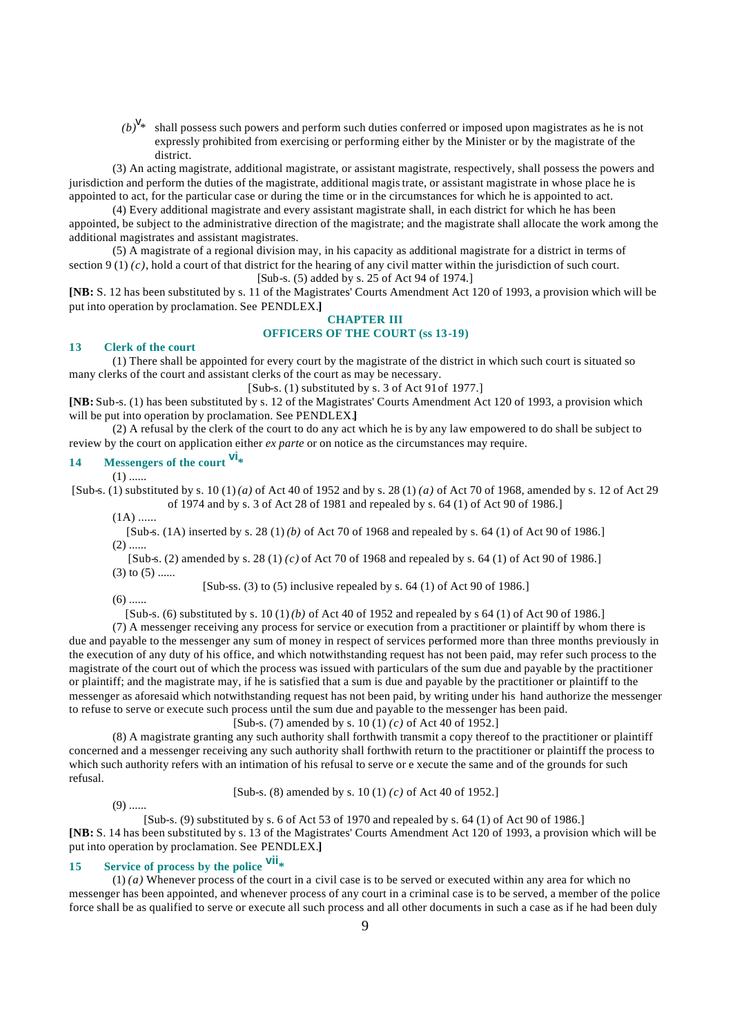$(b)^{V_*}$  shall possess such powers and perform such duties conferred or imposed upon magistrates as he is not expressly prohibited from exercising or performing either by the Minister or by the magistrate of the district.

(3) An acting magistrate, additional magistrate, or assistant magistrate, respectively, shall possess the powers and jurisdiction and perform the duties of the magistrate, additional magistrate, or assistant magistrate in whose place he is appointed to act, for the particular case or during the time or in the circumstances for which he is appointed to act.

(4) Every additional magistrate and every assistant magistrate shall, in each district for which he has been appointed, be subject to the administrative direction of the magistrate; and the magistrate shall allocate the work among the additional magistrates and assistant magistrates.

(5) A magistrate of a regional division may, in his capacity as additional magistrate for a district in terms of section 9 (1)  $(c)$ , hold a court of that district for the hearing of any civil matter within the jurisdiction of such court. [Sub-s. (5) added by s. 25 of Act 94 of 1974.]

**[NB:** S. 12 has been substituted by s. 11 of the Magistrates' Courts Amendment Act 120 of 1993, a provision which will be put into operation by proclamation. See PENDLEX.**]**

#### **CHAPTER III OFFICERS OF THE COURT (ss 13-19)**

## **13 Clerk of the court**

(1) There shall be appointed for every court by the magistrate of the district in which such court is situated so many clerks of the court and assistant clerks of the court as may be necessary.

[Sub-s. (1) substituted by s. 3 of Act 91 of 1977.]

**[NB:** Sub-s. (1) has been substituted by s. 12 of the Magistrates' Courts Amendment Act 120 of 1993, a provision which will be put into operation by proclamation. See PENDLEX.**]**

(2) A refusal by the clerk of the court to do any act which he is by any law empowered to do shall be subject to review by the court on application either *ex parte* or on notice as the circumstances may require.

# **<sup>14</sup> Messengers of the court vi\***

 $(1)$  ......

[Sub-s. (1) substituted by s. 10 (1) *(a)* of Act 40 of 1952 and by s. 28 (1) *(a)* of Act 70 of 1968, amended by s. 12 of Act 29 of 1974 and by s. 3 of Act 28 of 1981 and repealed by s. 64 (1) of Act 90 of 1986.]

 $(1A)$  ......

[Sub-s. (1A) inserted by s. 28 (1) *(b)* of Act 70 of 1968 and repealed by s. 64 (1) of Act 90 of 1986.]  $(2)$  ......

[Sub-s. (2) amended by s. 28 (1) *(c)* of Act 70 of 1968 and repealed by s. 64 (1) of Act 90 of 1986.]  $(3)$  to  $(5)$  ......

[Sub-ss.  $(3)$  to  $(5)$  inclusive repealed by s.  $64$   $(1)$  of Act 90 of 1986.]

 $(6)$  ......

[Sub-s. (6) substituted by s. 10 (1) *(b)* of Act 40 of 1952 and repealed by s 64 (1) of Act 90 of 1986.]

(7) A messenger receiving any process for service or execution from a practitioner or plaintiff by whom there is due and payable to the messenger any sum of money in respect of services performed more than three months previously in the execution of any duty of his office, and which notwithstanding request has not been paid, may refer such process to the magistrate of the court out of which the process was issued with particulars of the sum due and payable by the practitioner or plaintiff; and the magistrate may, if he is satisfied that a sum is due and payable by the practitioner or plaintiff to the messenger as aforesaid which notwithstanding request has not been paid, by writing under his hand authorize the messenger to refuse to serve or execute such process until the sum due and payable to the messenger has been paid.

[Sub-s. (7) amended by s. 10 (1) *(c)* of Act 40 of 1952.]

(8) A magistrate granting any such authority shall forthwith transmit a copy thereof to the practitioner or plaintiff concerned and a messenger receiving any such authority shall forthwith return to the practitioner or plaintiff the process to which such authority refers with an intimation of his refusal to serve or e xecute the same and of the grounds for such refusal.

[Sub-s. (8) amended by s. 10 (1) *(c)* of Act 40 of 1952.]

 $(9)$  ......

[Sub-s. (9) substituted by s. 6 of Act 53 of 1970 and repealed by s. 64 (1) of Act 90 of 1986.] **[NB:** S. 14 has been substituted by s. 13 of the Magistrates' Courts Amendment Act 120 of 1993, a provision which will be put into operation by proclamation. See PENDLEX.**]**

# **<sup>15</sup> Service of process by the police vii\***

(1) *(a)* Whenever process of the court in a civil case is to be served or executed within any area for which no messenger has been appointed, and whenever process of any court in a criminal case is to be served, a member of the police force shall be as qualified to serve or execute all such process and all other documents in such a case as if he had been duly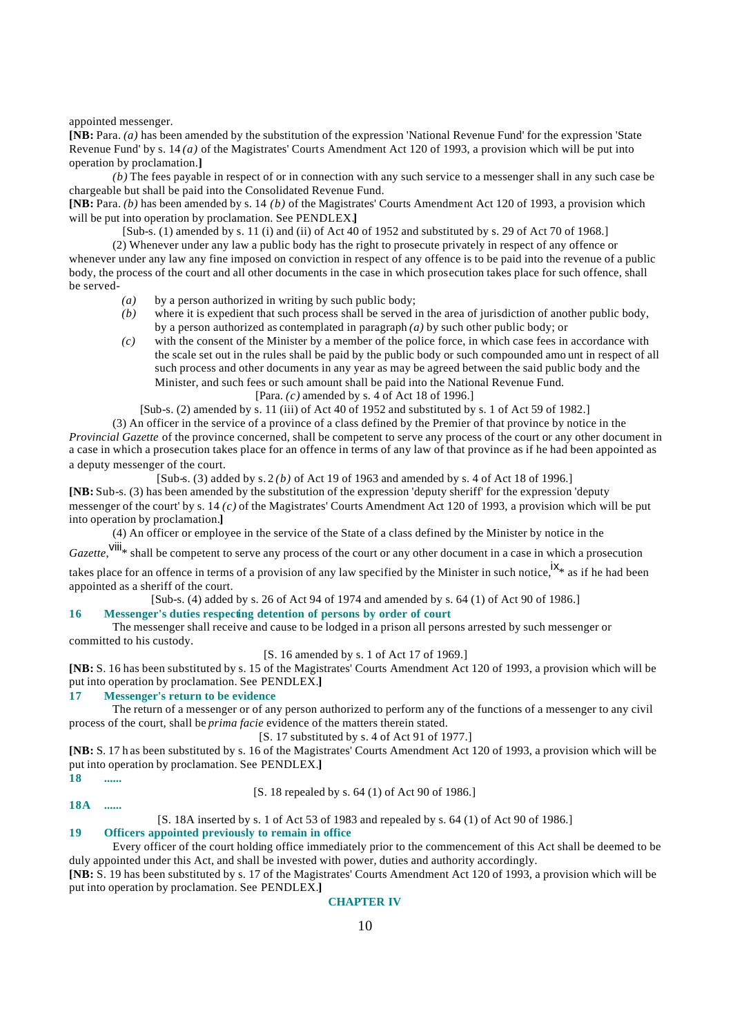#### appointed messenger.

**[NB:** Para. *(a)* has been amended by the substitution of the expression 'National Revenue Fund' for the expression 'State Revenue Fund' by s. 14 *(a)* of the Magistrates' Courts Amendment Act 120 of 1993, a provision which will be put into operation by proclamation.**]**

*(b)* The fees payable in respect of or in connection with any such service to a messenger shall in any such case be chargeable but shall be paid into the Consolidated Revenue Fund.

**[NB:** Para. *(b)* has been amended by s. 14 *(b)* of the Magistrates' Courts Amendment Act 120 of 1993, a provision which will be put into operation by proclamation. See PENDLEX.**]**

[Sub-s. (1) amended by s. 11 (i) and (ii) of Act 40 of 1952 and substituted by s. 29 of Act 70 of 1968.]

(2) Whenever under any law a public body has the right to prosecute privately in respect of any offence or whenever under any law any fine imposed on conviction in respect of any offence is to be paid into the revenue of a public body, the process of the court and all other documents in the case in which prosecution takes place for such offence, shall be served-

- *(a)* by a person authorized in writing by such public body;
- *(b)* where it is expedient that such process shall be served in the area of jurisdiction of another public body, by a person authorized as contemplated in paragraph *(a)* by such other public body; or
- *(c)* with the consent of the Minister by a member of the police force, in which case fees in accordance with the scale set out in the rules shall be paid by the public body or such compounded amo unt in respect of all such process and other documents in any year as may be agreed between the said public body and the Minister, and such fees or such amount shall be paid into the National Revenue Fund. [Para. *(c)* amended by s. 4 of Act 18 of 1996.]

[Sub-s. (2) amended by s. 11 (iii) of Act 40 of 1952 and substituted by s. 1 of Act 59 of 1982.]

(3) An officer in the service of a province of a class defined by the Premier of that province by notice in the *Provincial Gazette* of the province concerned, shall be competent to serve any process of the court or any other document in a case in which a prosecution takes place for an offence in terms of any law of that province as if he had been appointed as a deputy messenger of the court.

[Sub-s. (3) added by s. 2 *(b)* of Act 19 of 1963 and amended by s. 4 of Act 18 of 1996.] **[NB:** Sub-s. (3) has been amended by the substitution of the expression 'deputy sheriff' for the expression 'deputy messenger of the court' by s. 14 *(c)* of the Magistrates' Courts Amendment Act 120 of 1993, a provision which will be put into operation by proclamation.**]**

(4) An officer or employee in the service of the State of a class defined by the Minister by notice in the

*Gazette*, <sup>viii</sup>\* shall be competent to serve any process of the court or any other document in a case in which a prosecution

takes place for an offence in terms of a provision of any law specified by the Minister in such notice,  $\mathbf{x}_*$  as if he had been appointed as a sheriff of the court.

[Sub-s. (4) added by s. 26 of Act 94 of 1974 and amended by s. 64 (1) of Act 90 of 1986.]

# **16 Messenger's duties respecting detention of persons by order of court**

The messenger shall receive and cause to be lodged in a prison all persons arrested by such messenger or committed to his custody.

[S. 16 amended by s. 1 of Act 17 of 1969.]

**[NB:** S. 16 has been substituted by s. 15 of the Magistrates' Courts Amendment Act 120 of 1993, a provision which will be put into operation by proclamation. See PENDLEX.**]**

# **17 Messenger's return to be evidence**

The return of a messenger or of any person authorized to perform any of the functions of a messenger to any civil process of the court, shall be *prima facie* evidence of the matters therein stated.

#### [S. 17 substituted by s. 4 of Act 91 of 1977.]

**[NB:** S. 17 h as been substituted by s. 16 of the Magistrates' Courts Amendment Act 120 of 1993, a provision which will be put into operation by proclamation. See PENDLEX.**] 18 ......**

**18A ......**

[S. 18 repealed by s. 64 (1) of Act 90 of 1986.]

#### [S. 18A inserted by s. 1 of Act 53 of 1983 and repealed by s. 64 (1) of Act 90 of 1986.]

#### **19 Officers appointed previously to remain in office**

Every officer of the court holding office immediately prior to the commencement of this Act shall be deemed to be duly appointed under this Act, and shall be invested with power, duties and authority accordingly.

**[NB:** S. 19 has been substituted by s. 17 of the Magistrates' Courts Amendment Act 120 of 1993, a provision which will be put into operation by proclamation. See PENDLEX.**]**

#### **CHAPTER IV**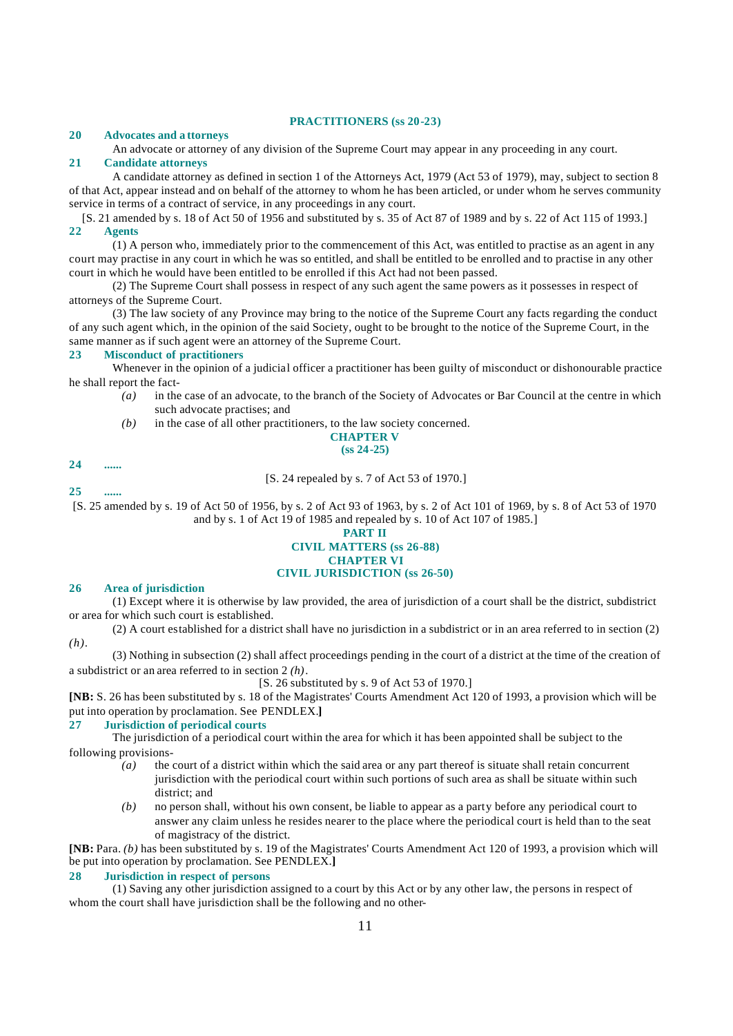#### **PRACTITIONERS (ss 20-23)**

#### **20 Advocates and a ttorneys**

An advocate or attorney of any division of the Supreme Court may appear in any proceeding in any court. **21 Candidate attorneys**

A candidate attorney as defined in section 1 of the Attorneys Act, 1979 (Act 53 of 1979), may, subject to section 8 of that Act, appear instead and on behalf of the attorney to whom he has been articled, or under whom he serves community service in terms of a contract of service, in any proceedings in any court.

[S. 21 amended by s. 18 of Act 50 of 1956 and substituted by s. 35 of Act 87 of 1989 and by s. 22 of Act 115 of 1993.] **22 Agents**

(1) A person who, immediately prior to the commencement of this Act, was entitled to practise as an agent in any court may practise in any court in which he was so entitled, and shall be entitled to be enrolled and to practise in any other court in which he would have been entitled to be enrolled if this Act had not been passed.

(2) The Supreme Court shall possess in respect of any such agent the same powers as it possesses in respect of attorneys of the Supreme Court.

(3) The law society of any Province may bring to the notice of the Supreme Court any facts regarding the conduct of any such agent which, in the opinion of the said Society, ought to be brought to the notice of the Supreme Court, in the same manner as if such agent were an attorney of the Supreme Court.

#### **23 Misconduct of practitioners**

Whenever in the opinion of a judicial officer a practitioner has been guilty of misconduct or dishonourable practice he shall report the fact-

- *(a)* in the case of an advocate, to the branch of the Society of Advocates or Bar Council at the centre in which such advocate practises; and
- *(b)* in the case of all other practitioners, to the law society concerned.

# **CHAPTER V**

# **(ss 24-25)**

# **24 ...... 25 ......**

[S. 24 repealed by s. 7 of Act 53 of 1970.]

[S. 25 amended by s. 19 of Act 50 of 1956, by s. 2 of Act 93 of 1963, by s. 2 of Act 101 of 1969, by s. 8 of Act 53 of 1970 and by s. 1 of Act 19 of 1985 and repealed by s. 10 of Act 107 of 1985.]

# **PART II**

# **CIVIL MATTERS (ss 26-88) CHAPTER VI CIVIL JURISDICTION (ss 26-50)**

#### **26 Area of jurisdiction**

(1) Except where it is otherwise by law provided, the area of jurisdiction of a court shall be the district, subdistrict or area for which such court is established.

(2) A court established for a district shall have no jurisdiction in a subdistrict or in an area referred to in section (2) *(h)*.

(3) Nothing in subsection (2) shall affect proceedings pending in the court of a district at the time of the creation of a subdistrict or an area referred to in section 2 *(h)*.

[S. 26 substituted by s. 9 of Act 53 of 1970.]

**[NB:** S. 26 has been substituted by s. 18 of the Magistrates' Courts Amendment Act 120 of 1993, a provision which will be put into operation by proclamation. See PENDLEX.**]**

# **27 Jurisdiction of periodical courts**

The jurisdiction of a periodical court within the area for which it has been appointed shall be subject to the following provisions-

- *(a)* the court of a district within which the said area or any part thereof is situate shall retain concurrent jurisdiction with the periodical court within such portions of such area as shall be situate within such district; and
- *(b)* no person shall, without his own consent, be liable to appear as a party before any periodical court to answer any claim unless he resides nearer to the place where the periodical court is held than to the seat of magistracy of the district.

**[NB:** Para. *(b)* has been substituted by s. 19 of the Magistrates' Courts Amendment Act 120 of 1993, a provision which will be put into operation by proclamation. See PENDLEX.**]**

# **28 Jurisdiction in respect of persons**

(1) Saving any other jurisdiction assigned to a court by this Act or by any other law, the persons in respect of whom the court shall have jurisdiction shall be the following and no other-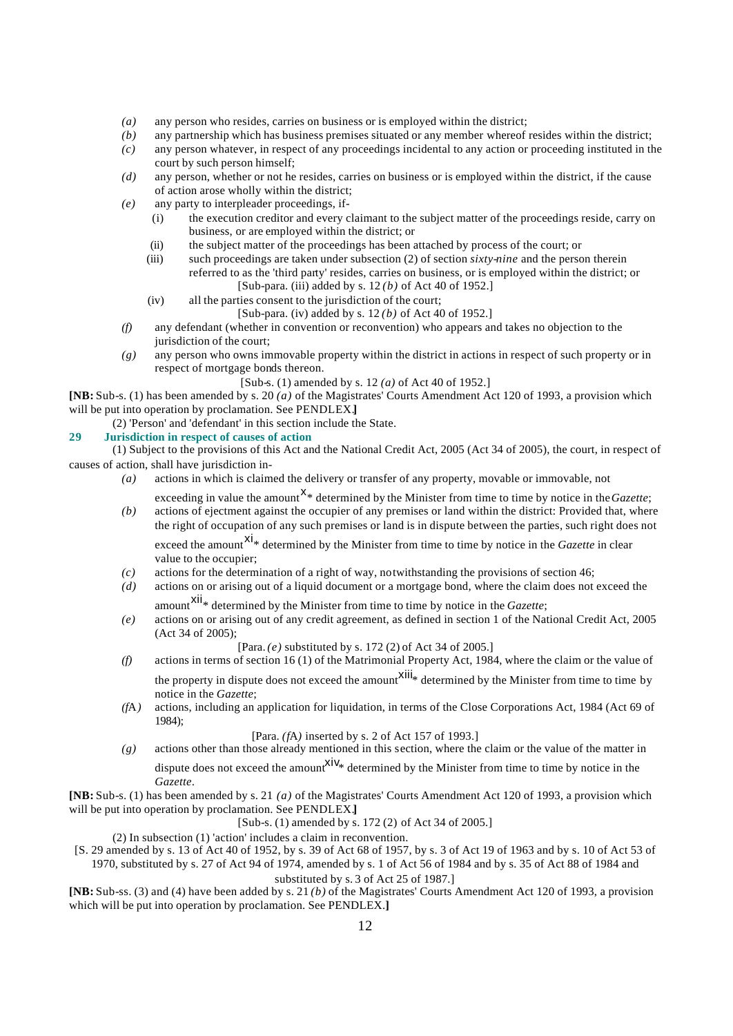- *(a)* any person who resides, carries on business or is employed within the district;
- *(b)* any partnership which has business premises situated or any member whereof resides within the district;
- *(c)* any person whatever, in respect of any proceedings incidental to any action or proceeding instituted in the court by such person himself;
- *(d)* any person, whether or not he resides, carries on business or is employed within the district, if the cause of action arose wholly within the district;
- *(e)* any party to interpleader proceedings, if-
	- (i) the execution creditor and every claimant to the subject matter of the proceedings reside, carry on business, or are employed within the district; or
	- (ii) the subject matter of the proceedings has been attached by process of the court; or
	- (iii) such proceedings are taken under subsection (2) of section *sixty-nine* and the person therein referred to as the 'third party' resides, carries on business, or is employed within the district; or [Sub-para. (iii) added by s. 12 *(b)* of Act 40 of 1952.]
	- (iv) all the parties consent to the jurisdiction of the court;

[Sub-para. (iv) added by s. 12 *(b)* of Act 40 of 1952.]

- *(f)* any defendant (whether in convention or reconvention) who appears and takes no objection to the jurisdiction of the court;
- *(g)* any person who owns immovable property within the district in actions in respect of such property or in respect of mortgage bonds thereon.
	- [Sub-s. (1) amended by s. 12 *(a)* of Act 40 of 1952.]

**[NB:** Sub-s. (1) has been amended by s. 20 *(a)* of the Magistrates' Courts Amendment Act 120 of 1993, a provision which will be put into operation by proclamation. See PENDLEX.**]**

(2) 'Person' and 'defendant' in this section include the State.

# **29 Jurisdiction in respect of causes of action**

(1) Subject to the provisions of this Act and the National Credit Act, 2005 (Act 34 of 2005), the court, in respect of causes of action, shall have jurisdiction in-

*(a)* actions in which is claimed the delivery or transfer of any property, movable or immovable, not

exceeding in value the amount<sup>X</sup>\* determined by the Minister from time to time by notice in the *Gazette*;

- *(b)* actions of ejectment against the occupier of any premises or land within the district: Provided that, where the right of occupation of any such premises or land is in dispute between the parties, such right does not exceed the amount<sup>XI</sup><sup>\*</sup> determined by the Minister from time to time by notice in the *Gazette* in clear value to the occupier;
- *(c)* actions for the determination of a right of way, notwithstanding the provisions of section 46;
- *(d)* actions on or arising out of a liquid document or a mortgage bond, where the claim does not exceed the amount<sup>XII</sup>\* determined by the Minister from time to time by notice in the *Gazette*;
- *(e)* actions on or arising out of any credit agreement, as defined in section 1 of the National Credit Act, 2005 (Act 34 of 2005);
	- [Para. *(e)* substituted by s. 172 (2) of Act 34 of 2005.]
- *(f)* actions in terms of section 16 (1) of the Matrimonial Property Act, 1984, where the claim or the value of the property in dispute does not exceed the amount  $x^{\text{1iii}}$  determined by the Minister from time to time by notice in the *Gazette*;
- *(f*A*)* actions, including an application for liquidation, in terms of the Close Corporations Act, 1984 (Act 69 of 1984);

[Para. *(f*A*)* inserted by s. 2 of Act 157 of 1993.]

*(g)* actions other than those already mentioned in this section, where the claim or the value of the matter in dispute does not exceed the amount  $x^{x_i}$  determined by the Minister from time to time by notice in the *Gazette*.

**[NB:** Sub-s. (1) has been amended by s. 21 *(a)* of the Magistrates' Courts Amendment Act 120 of 1993, a provision which will be put into operation by proclamation. See PENDLEX.**]**

[Sub-s. (1) amended by s. 172 (2) of Act 34 of 2005.]

(2) In subsection (1) 'action' includes a claim in reconvention.

[S. 29 amended by s. 13 of Act 40 of 1952, by s. 39 of Act 68 of 1957, by s. 3 of Act 19 of 1963 and by s. 10 of Act 53 of

1970, substituted by s. 27 of Act 94 of 1974, amended by s. 1 of Act 56 of 1984 and by s. 35 of Act 88 of 1984 and substituted by s. 3 of Act 25 of 1987.]

**[NB:** Sub-ss. (3) and (4) have been added by s. 21 *(b)* of the Magistrates' Courts Amendment Act 120 of 1993, a provision which will be put into operation by proclamation. See PENDLEX.**]**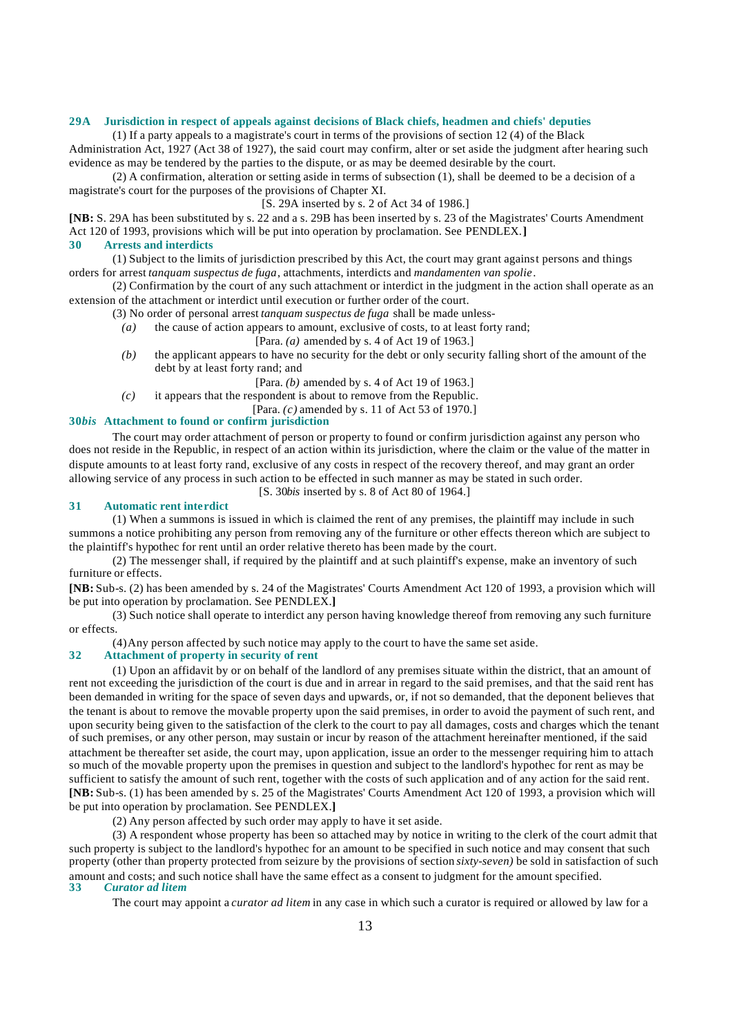#### **29A Jurisdiction in respect of appeals against decisions of Black chiefs, headmen and chiefs' deputies**

(1) If a party appeals to a magistrate's court in terms of the provisions of section 12 (4) of the Black Administration Act, 1927 (Act 38 of 1927), the said court may confirm, alter or set aside the judgment after hearing such evidence as may be tendered by the parties to the dispute, or as may be deemed desirable by the court.

(2) A confirmation, alteration or setting aside in terms of subsection (1), shall be deemed to be a decision of a magistrate's court for the purposes of the provisions of Chapter XI.

[S. 29A inserted by s. 2 of Act 34 of 1986.]

**[NB:** S. 29A has been substituted by s. 22 and a s. 29B has been inserted by s. 23 of the Magistrates' Courts Amendment Act 120 of 1993, provisions which will be put into operation by proclamation. See PENDLEX.**]**

#### **30 Arrests and interdicts**

(1) Subject to the limits of jurisdiction prescribed by this Act, the court may grant against persons and things orders for arrest *tanquam suspectus de fuga*, attachments, interdicts and *mandamenten van spolie*.

(2) Confirmation by the court of any such attachment or interdict in the judgment in the action shall operate as an extension of the attachment or interdict until execution or further order of the court.

(3) No order of personal arrest *tanquam suspectus de fuga* shall be made unless-

- *(a)* the cause of action appears to amount, exclusive of costs, to at least forty rand;
	- [Para. *(a)* amended by s. 4 of Act 19 of 1963.]
- *(b)* the applicant appears to have no security for the debt or only security falling short of the amount of the debt by at least forty rand; and
	- [Para. *(b)* amended by s. 4 of Act 19 of 1963.]
- *(c)* it appears that the respondent is about to remove from the Republic.
	- [Para. *(c)* amended by s. 11 of Act 53 of 1970.]

# **30***bis* **Attachment to found or confirm jurisdiction**

The court may order attachment of person or property to found or confirm jurisdiction against any person who does not reside in the Republic, in respect of an action within its jurisdiction, where the claim or the value of the matter in dispute amounts to at least forty rand, exclusive of any costs in respect of the recovery thereof, and may grant an order allowing service of any process in such action to be effected in such manner as may be stated in such order.

[S. 30*bis* inserted by s. 8 of Act 80 of 1964.]

#### **31 Automatic rent interdict**

(1) When a summons is issued in which is claimed the rent of any premises, the plaintiff may include in such summons a notice prohibiting any person from removing any of the furniture or other effects thereon which are subject to the plaintiff's hypothec for rent until an order relative thereto has been made by the court.

(2) The messenger shall, if required by the plaintiff and at such plaintiff's expense, make an inventory of such furniture or effects.

**[NB:** Sub-s. (2) has been amended by s. 24 of the Magistrates' Courts Amendment Act 120 of 1993, a provision which will be put into operation by proclamation. See PENDLEX.**]**

(3) Such notice shall operate to interdict any person having knowledge thereof from removing any such furniture or effects.

(4) Any person affected by such notice may apply to the court to have the same set aside.

#### **32 Attachment of property in security of rent**

(1) Upon an affidavit by or on behalf of the landlord of any premises situate within the district, that an amount of rent not exceeding the jurisdiction of the court is due and in arrear in regard to the said premises, and that the said rent has been demanded in writing for the space of seven days and upwards, or, if not so demanded, that the deponent believes that the tenant is about to remove the movable property upon the said premises, in order to avoid the payment of such rent, and upon security being given to the satisfaction of the clerk to the court to pay all damages, costs and charges which the tenant of such premises, or any other person, may sustain or incur by reason of the attachment hereinafter mentioned, if the said attachment be thereafter set aside, the court may, upon application, issue an order to the messenger requiring him to attach so much of the movable property upon the premises in question and subject to the landlord's hypothec for rent as may be sufficient to satisfy the amount of such rent, together with the costs of such application and of any action for the said rent. **[NB:** Sub-s. (1) has been amended by s. 25 of the Magistrates' Courts Amendment Act 120 of 1993, a provision which will be put into operation by proclamation. See PENDLEX.**]**

(2) Any person affected by such order may apply to have it set aside.

(3) A respondent whose property has been so attached may by notice in writing to the clerk of the court admit that such property is subject to the landlord's hypothec for an amount to be specified in such notice and may consent that such property (other than property protected from seizure by the provisions of section *sixty-seven)* be sold in satisfaction of such amount and costs; and such notice shall have the same effect as a consent to judgment for the amount specified.<br>33 Curator ad litem **33** *Curator ad litem*

The court may appoint a *curator ad litem* in any case in which such a curator is required or allowed by law for a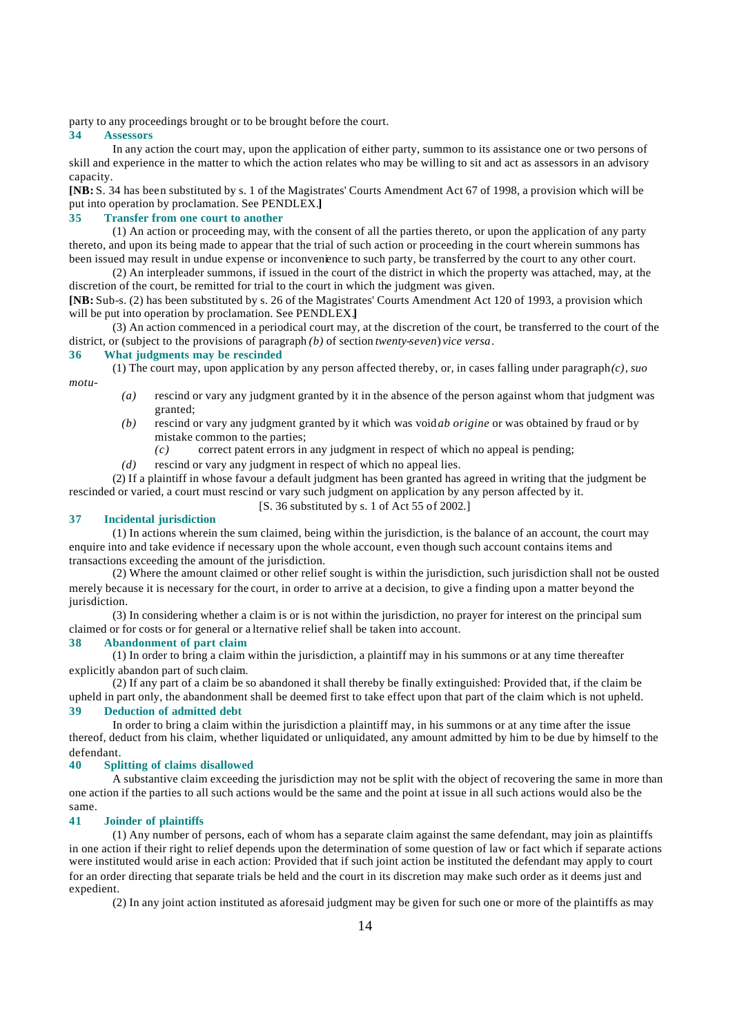party to any proceedings brought or to be brought before the court.

#### **34 Assessors**

In any action the court may, upon the application of either party, summon to its assistance one or two persons of skill and experience in the matter to which the action relates who may be willing to sit and act as assessors in an advisory capacity.

**[NB:** S. 34 has been substituted by s. 1 of the Magistrates' Courts Amendment Act 67 of 1998, a provision which will be put into operation by proclamation. See PENDLEX.**]**

#### **35 Transfer from one court to another**

(1) An action or proceeding may, with the consent of all the parties thereto, or upon the application of any party thereto, and upon its being made to appear that the trial of such action or proceeding in the court wherein summons has been issued may result in undue expense or inconvenience to such party, be transferred by the court to any other court.

(2) An interpleader summons, if issued in the court of the district in which the property was attached, may, at the discretion of the court, be remitted for trial to the court in which the judgment was given.

**[NB:** Sub-s. (2) has been substituted by s. 26 of the Magistrates' Courts Amendment Act 120 of 1993, a provision which will be put into operation by proclamation. See PENDLEX.**]**

(3) An action commenced in a periodical court may, at the discretion of the court, be transferred to the court of the district, or (subject to the provisions of paragraph *(b)* of section *twenty-seven*) *vice versa*.

#### **36 What judgments may be rescinded**

(1) The court may, upon application by any person affected thereby, or, in cases falling under paragraph $(c)$ , *suo* 

- *motu*-
- *(a)* rescind or vary any judgment granted by it in the absence of the person against whom that judgment was granted;
- *(b)* rescind or vary any judgment granted by it which was void *ab origine* or was obtained by fraud or by mistake common to the parties;
	- *(c)* correct patent errors in any judgment in respect of which no appeal is pending;
- *(d)* rescind or vary any judgment in respect of which no appeal lies.

(2) If a plaintiff in whose favour a default judgment has been granted has agreed in writing that the judgment be rescinded or varied, a court must rescind or vary such judgment on application by any person affected by it.

#### [S. 36 substituted by s. 1 of Act 55 of 2002.]

### **37 Incidental jurisdiction**

(1) In actions wherein the sum claimed, being within the jurisdiction, is the balance of an account, the court may enquire into and take evidence if necessary upon the whole account, even though such account contains items and transactions exceeding the amount of the jurisdiction.

(2) Where the amount claimed or other relief sought is within the jurisdiction, such jurisdiction shall not be ousted merely because it is necessary for the court, in order to arrive at a decision, to give a finding upon a matter beyond the jurisdiction.

(3) In considering whether a claim is or is not within the jurisdiction, no prayer for interest on the principal sum claimed or for costs or for general or a lternative relief shall be taken into account.

# **38 Abandonment of part claim**

(1) In order to bring a claim within the jurisdiction, a plaintiff may in his summons or at any time thereafter explicitly abandon part of such claim.

(2) If any part of a claim be so abandoned it shall thereby be finally extinguished: Provided that, if the claim be upheld in part only, the abandonment shall be deemed first to take effect upon that part of the claim which is not upheld. **39 Deduction of admitted debt**

In order to bring a claim within the jurisdiction a plaintiff may, in his summons or at any time after the issue thereof, deduct from his claim, whether liquidated or unliquidated, any amount admitted by him to be due by himself to the defendant.

#### **40 Splitting of claims disallowed**

A substantive claim exceeding the jurisdiction may not be split with the object of recovering the same in more than one action if the parties to all such actions would be the same and the point at issue in all such actions would also be the same.

#### **41 Joinder of plaintiffs**

(1) Any number of persons, each of whom has a separate claim against the same defendant, may join as plaintiffs in one action if their right to relief depends upon the determination of some question of law or fact which if separate actions were instituted would arise in each action: Provided that if such joint action be instituted the defendant may apply to court for an order directing that separate trials be held and the court in its discretion may make such order as it deems just and expedient.

(2) In any joint action instituted as aforesaid judgment may be given for such one or more of the plaintiffs as may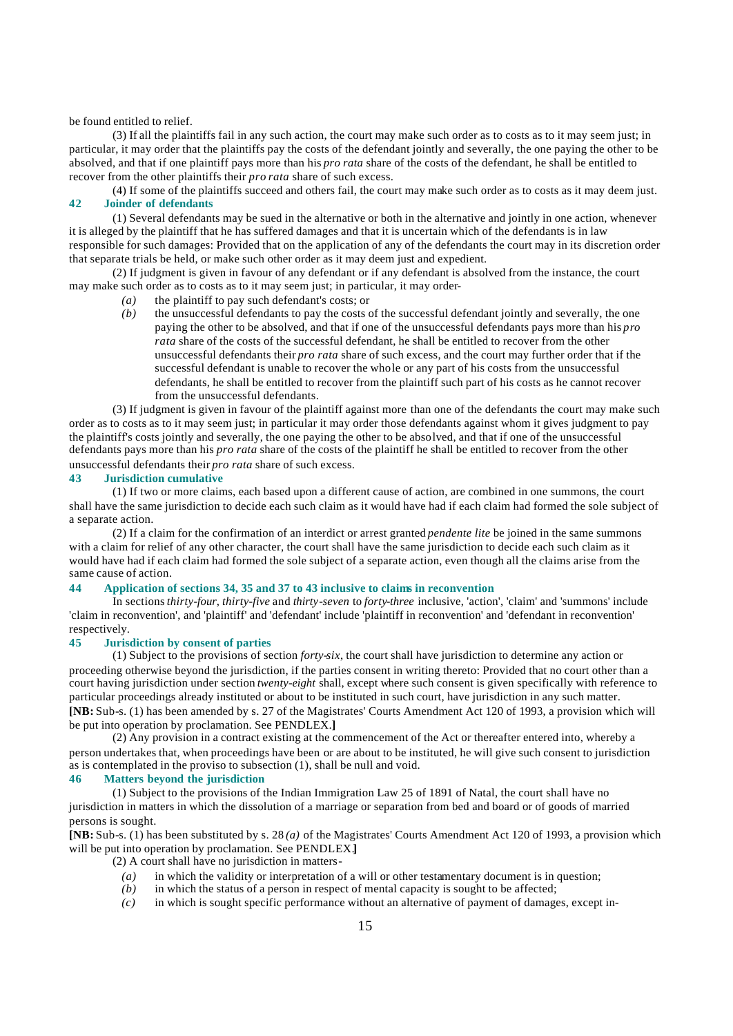be found entitled to relief.

(3) If all the plaintiffs fail in any such action, the court may make such order as to costs as to it may seem just; in particular, it may order that the plaintiffs pay the costs of the defendant jointly and severally, the one paying the other to be absolved, and that if one plaintiff pays more than his *pro rata* share of the costs of the defendant, he shall be entitled to recover from the other plaintiffs their *pro rata* share of such excess.

(4) If some of the plaintiffs succeed and others fail, the court may make such order as to costs as it may deem just. **42 Joinder of defendants**

(1) Several defendants may be sued in the alternative or both in the alternative and jointly in one action, whenever it is alleged by the plaintiff that he has suffered damages and that it is uncertain which of the defendants is in law responsible for such damages: Provided that on the application of any of the defendants the court may in its discretion order that separate trials be held, or make such other order as it may deem just and expedient.

(2) If judgment is given in favour of any defendant or if any defendant is absolved from the instance, the court may make such order as to costs as to it may seem just; in particular, it may order-

- *(a)* the plaintiff to pay such defendant's costs; or
- *(b)* the unsuccessful defendants to pay the costs of the successful defendant jointly and severally, the one paying the other to be absolved, and that if one of the unsuccessful defendants pays more than his *pro rata* share of the costs of the successful defendant, he shall be entitled to recover from the other unsuccessful defendants their *pro rata* share of such excess, and the court may further order that if the successful defendant is unable to recover the whole or any part of his costs from the unsuccessful defendants, he shall be entitled to recover from the plaintiff such part of his costs as he cannot recover from the unsuccessful defendants.

(3) If judgment is given in favour of the plaintiff against more than one of the defendants the court may make such order as to costs as to it may seem just; in particular it may order those defendants against whom it gives judgment to pay the plaintiff's costs jointly and severally, the one paying the other to be absolved, and that if one of the unsuccessful defendants pays more than his *pro rata* share of the costs of the plaintiff he shall be entitled to recover from the other unsuccessful defendants their *pro rata* share of such excess.

# **43 Jurisdiction cumulative**

(1) If two or more claims, each based upon a different cause of action, are combined in one summons, the court shall have the same jurisdiction to decide each such claim as it would have had if each claim had formed the sole subject of a separate action.

(2) If a claim for the confirmation of an interdict or arrest granted *pendente lite* be joined in the same summons with a claim for relief of any other character, the court shall have the same jurisdiction to decide each such claim as it would have had if each claim had formed the sole subject of a separate action, even though all the claims arise from the same cause of action.

## **44 Application of sections 34, 35 and 37 to 43 inclusive to claims in reconvention**

In sections *thirty-four*, *thirty-five* and *thirty-seven* to *forty-three* inclusive, 'action', 'claim' and 'summons' include 'claim in reconvention', and 'plaintiff' and 'defendant' include 'plaintiff in reconvention' and 'defendant in reconvention' respectively.

#### **45 Jurisdiction by consent of parties**

(1) Subject to the provisions of section *forty-six*, the court shall have jurisdiction to determine any action or proceeding otherwise beyond the jurisdiction, if the parties consent in writing thereto: Provided that no court other than a court having jurisdiction under section *twenty-eight* shall, except where such consent is given specifically with reference to particular proceedings already instituted or about to be instituted in such court, have jurisdiction in any such matter. **[NB:** Sub-s. (1) has been amended by s. 27 of the Magistrates' Courts Amendment Act 120 of 1993, a provision which will be put into operation by proclamation. See PENDLEX.**]**

(2) Any provision in a contract existing at the commencement of the Act or thereafter entered into, whereby a person undertakes that, when proceedings have been or are about to be instituted, he will give such consent to jurisdiction as is contemplated in the proviso to subsection (1), shall be null and void.

# **46 Matters beyond the jurisdiction**

(1) Subject to the provisions of the Indian Immigration Law 25 of 1891 of Natal, the court shall have no jurisdiction in matters in which the dissolution of a marriage or separation from bed and board or of goods of married persons is sought.

**[NB:** Sub-s. (1) has been substituted by s. 28 *(a)* of the Magistrates' Courts Amendment Act 120 of 1993, a provision which will be put into operation by proclamation. See PENDLEX.**]**

(2) A court shall have no jurisdiction in matters-

- *(a)* in which the validity or interpretation of a will or other testamentary document is in question; *(b)* in which the status of a person in respect of mental capacity is sought to be affected;
- in which the status of a person in respect of mental capacity is sought to be affected;
- *(c)* in which is sought specific performance without an alternative of payment of damages, except in-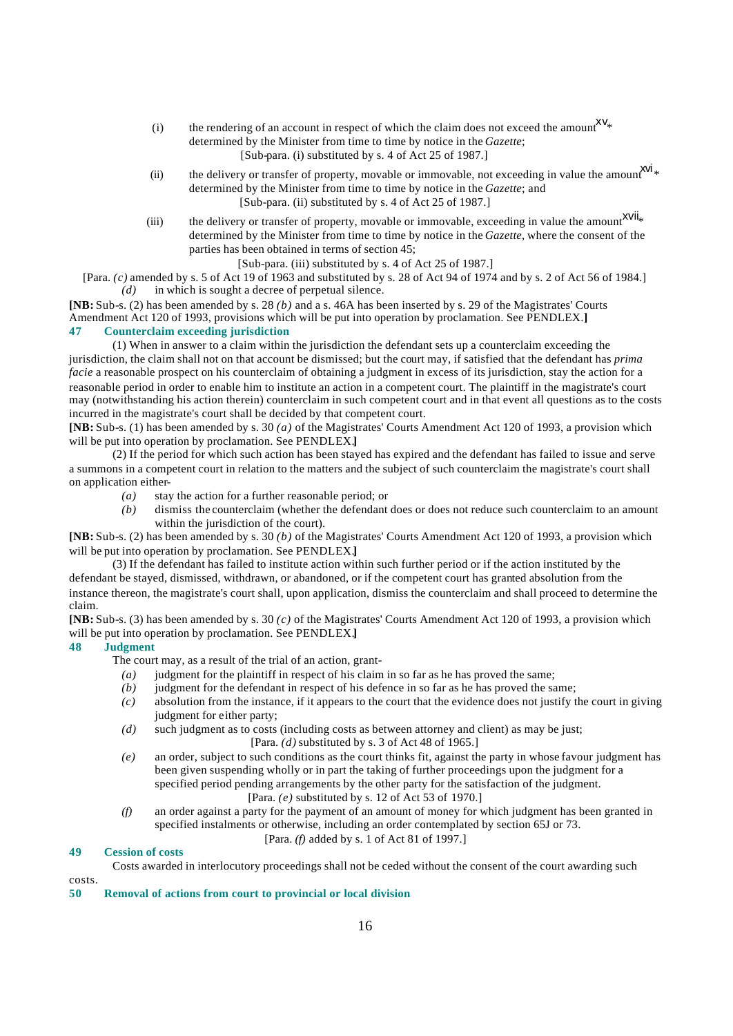- (i) the rendering of an account in respect of which the claim does not exceed the amount  $XV_*$ determined by the Minister from time to time by notice in the *Gazette*; [Sub-para. (i) substituted by s. 4 of Act 25 of 1987.]
- (ii) the delivery or transfer of property, movable or immovable, not exceeding in value the amount  $x^{yi}$ determined by the Minister from time to time by notice in the *Gazette*; and [Sub-para. (ii) substituted by s. 4 of Act 25 of 1987.]
- (iii) the delivery or transfer of property, movable or immovable, exceeding in value the amount  $XVU_{*}$ determined by the Minister from time to time by notice in the *Gazette*, where the consent of the parties has been obtained in terms of section 45;

[Sub-para. (iii) substituted by s. 4 of Act 25 of 1987.]

[Para. *(c)* amended by s. 5 of Act 19 of 1963 and substituted by s. 28 of Act 94 of 1974 and by s. 2 of Act 56 of 1984.] *(d)* in which is sought a decree of perpetual silence.

**[NB:** Sub-s. (2) has been amended by s. 28 *(b)* and a s. 46A has been inserted by s. 29 of the Magistrates' Courts Amendment Act 120 of 1993, provisions which will be put into operation by proclamation. See PENDLEX.**] 47 Counterclaim exceeding jurisdiction**

(1) When in answer to a claim within the jurisdiction the defendant sets up a counterclaim exceeding the jurisdiction, the claim shall not on that account be dismissed; but the court may, if satisfied that the defendant has *prima facie* a reasonable prospect on his counterclaim of obtaining a judgment in excess of its jurisdiction, stay the action for a reasonable period in order to enable him to institute an action in a competent court. The plaintiff in the magistrate's court may (notwithstanding his action therein) counterclaim in such competent court and in that event all questions as to the costs incurred in the magistrate's court shall be decided by that competent court.

**[NB:** Sub-s. (1) has been amended by s. 30 *(a)* of the Magistrates' Courts Amendment Act 120 of 1993, a provision which will be put into operation by proclamation. See PENDLEX.**]**

(2) If the period for which such action has been stayed has expired and the defendant has failed to issue and serve a summons in a competent court in relation to the matters and the subject of such counterclaim the magistrate's court shall on application either-

*(a)* stay the action for a further reasonable period; or

*(b)* dismiss the counterclaim (whether the defendant does or does not reduce such counterclaim to an amount within the jurisdiction of the court).

**[NB:** Sub-s. (2) has been amended by s. 30 *(b)* of the Magistrates' Courts Amendment Act 120 of 1993, a provision which will be put into operation by proclamation. See PENDLEX.**]**

(3) If the defendant has failed to institute action within such further period or if the action instituted by the defendant be stayed, dismissed, withdrawn, or abandoned, or if the competent court has granted absolution from the instance thereon, the magistrate's court shall, upon application, dismiss the counterclaim and shall proceed to determine the claim.

**[NB:** Sub-s. (3) has been amended by s. 30 *(c)* of the Magistrates' Courts Amendment Act 120 of 1993, a provision which will be put into operation by proclamation. See PENDLEX.**]**

# **48 Judgment**

The court may, as a result of the trial of an action, grant-

- *(a)* judgment for the plaintiff in respect of his claim in so far as he has proved the same;
- *(b)* judgment for the defendant in respect of his defence in so far as he has proved the same;
- *(c)* absolution from the instance, if it appears to the court that the evidence does not justify the court in giving judgment for either party;
- *(d)* such judgment as to costs (including costs as between attorney and client) as may be just; [Para. *(d)* substituted by s. 3 of Act 48 of 1965.]
- *(e)* an order, subject to such conditions as the court thinks fit, against the party in whose favour judgment has been given suspending wholly or in part the taking of further proceedings upon the judgment for a specified period pending arrangements by the other party for the satisfaction of the judgment. [Para. *(e)* substituted by s. 12 of Act 53 of 1970.]
- *(f)* an order against a party for the payment of an amount of money for which judgment has been granted in specified instalments or otherwise, including an order contemplated by section 65J or 73.

#### [Para. *(f)* added by s. 1 of Act 81 of 1997.]

#### **49 Cession of costs**

Costs awarded in interlocutory proceedings shall not be ceded without the consent of the court awarding such

costs.

**50 Removal of actions from court to provincial or local division**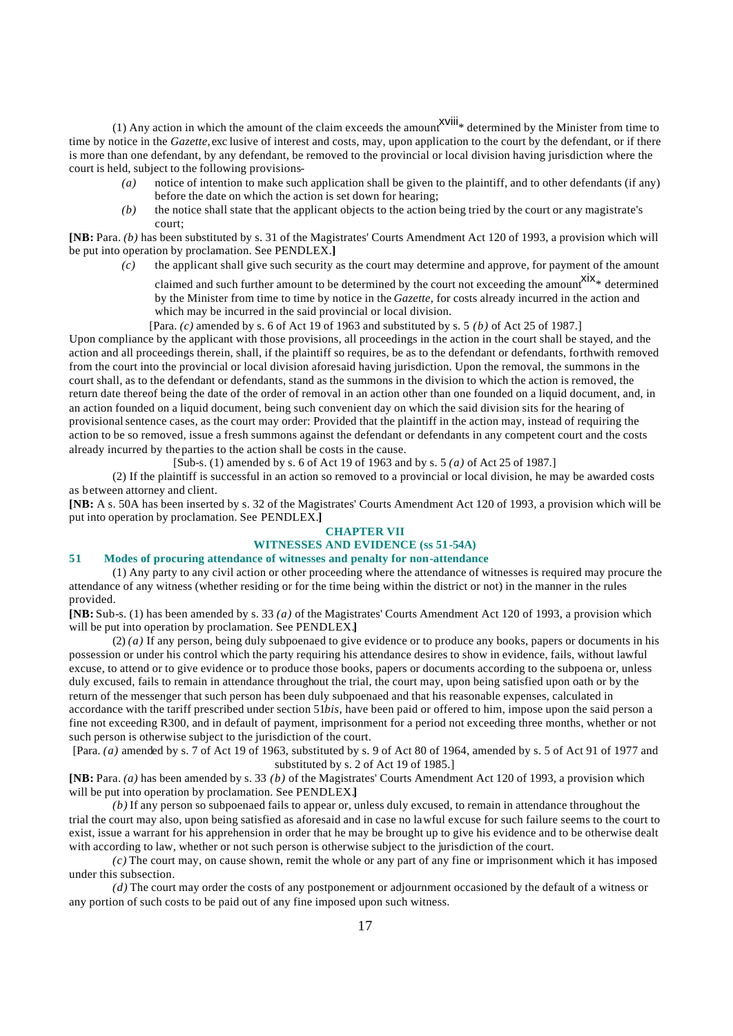(1) Any action in which the amount of the claim exceeds the amount  $\frac{X}{X}$  determined by the Minister from time to time by notice in the *Gazette*, exc lusive of interest and costs, may, upon application to the court by the defendant, or if there is more than one defendant, by any defendant, be removed to the provincial or local division having jurisdiction where the court is held, subject to the following provisions-

- *(a)* notice of intention to make such application shall be given to the plaintiff, and to other defendants (if any) before the date on which the action is set down for hearing;
- *(b)* the notice shall state that the applicant objects to the action being tried by the court or any magistrate's court;

**[NB:** Para. *(b)* has been substituted by s. 31 of the Magistrates' Courts Amendment Act 120 of 1993, a provision which will be put into operation by proclamation. See PENDLEX.**]**

*(c)* the applicant shall give such security as the court may determine and approve, for payment of the amount

claimed and such further amount to be determined by the court not exceeding the amount  $\frac{X}{X}$  determined by the Minister from time to time by notice in the *Gazette*, for costs already incurred in the action and which may be incurred in the said provincial or local division.

[Para. *(c)* amended by s. 6 of Act 19 of 1963 and substituted by s. 5 *(b)* of Act 25 of 1987.] Upon compliance by the applicant with those provisions, all proceedings in the action in the court shall be stayed, and the action and all proceedings therein, shall, if the plaintiff so requires, be as to the defendant or defendants, forthwith removed from the court into the provincial or local division aforesaid having jurisdiction. Upon the removal, the summons in the court shall, as to the defendant or defendants, stand as the summons in the division to which the action is removed, the return date thereof being the date of the order of removal in an action other than one founded on a liquid document, and, in an action founded on a liquid document, being such convenient day on which the said division sits for the hearing of provisional sentence cases, as the court may order: Provided that the plaintiff in the action may, instead of requiring the action to be so removed, issue a fresh summons against the defendant or defendants in any competent court and the costs already incurred by the parties to the action shall be costs in the cause.

[Sub-s. (1) amended by s. 6 of Act 19 of 1963 and by s. 5 *(a)* of Act 25 of 1987.]

(2) If the plaintiff is successful in an action so removed to a provincial or local division, he may be awarded costs as between attorney and client.

**[NB:** A s. 50A has been inserted by s. 32 of the Magistrates' Courts Amendment Act 120 of 1993, a provision which will be put into operation by proclamation. See PENDLEX.**]**

#### **CHAPTER VII WITNESSES AND EVIDENCE (ss 51-54A)**

# **51 Modes of procuring attendance of witnesses and penalty for non-attendance**

(1) Any party to any civil action or other proceeding where the attendance of witnesses is required may procure the attendance of any witness (whether residing or for the time being within the district or not) in the manner in the rules provided.

**[NB:** Sub-s. (1) has been amended by s. 33 *(a)* of the Magistrates' Courts Amendment Act 120 of 1993, a provision which will be put into operation by proclamation. See PENDLEX.**]**

(2) *(a)* If any person, being duly subpoenaed to give evidence or to produce any books, papers or documents in his possession or under his control which the party requiring his attendance desires to show in evidence, fails, without lawful excuse, to attend or to give evidence or to produce those books, papers or documents according to the subpoena or, unless duly excused, fails to remain in attendance throughout the trial, the court may, upon being satisfied upon oath or by the return of the messenger that such person has been duly subpoenaed and that his reasonable expenses, calculated in accordance with the tariff prescribed under section 51*bis*, have been paid or offered to him, impose upon the said person a fine not exceeding R300, and in default of payment, imprisonment for a period not exceeding three months, whether or not such person is otherwise subject to the jurisdiction of the court.

[Para. *(a)* amended by s. 7 of Act 19 of 1963, substituted by s. 9 of Act 80 of 1964, amended by s. 5 of Act 91 of 1977 and substituted by s. 2 of Act 19 of 1985.]

**[NB:** Para. *(a)* has been amended by s. 33 *(b)* of the Magistrates' Courts Amendment Act 120 of 1993, a provision which will be put into operation by proclamation. See PENDLEX.**]**

*(b)* If any person so subpoenaed fails to appear or, unless duly excused, to remain in attendance throughout the trial the court may also, upon being satisfied as aforesaid and in case no lawful excuse for such failure seems to the court to exist, issue a warrant for his apprehension in order that he may be brought up to give his evidence and to be otherwise dealt with according to law, whether or not such person is otherwise subject to the jurisdiction of the court.

*(c)* The court may, on cause shown, remit the whole or any part of any fine or imprisonment which it has imposed under this subsection.

*(d)* The court may order the costs of any postponement or adjournment occasioned by the default of a witness or any portion of such costs to be paid out of any fine imposed upon such witness.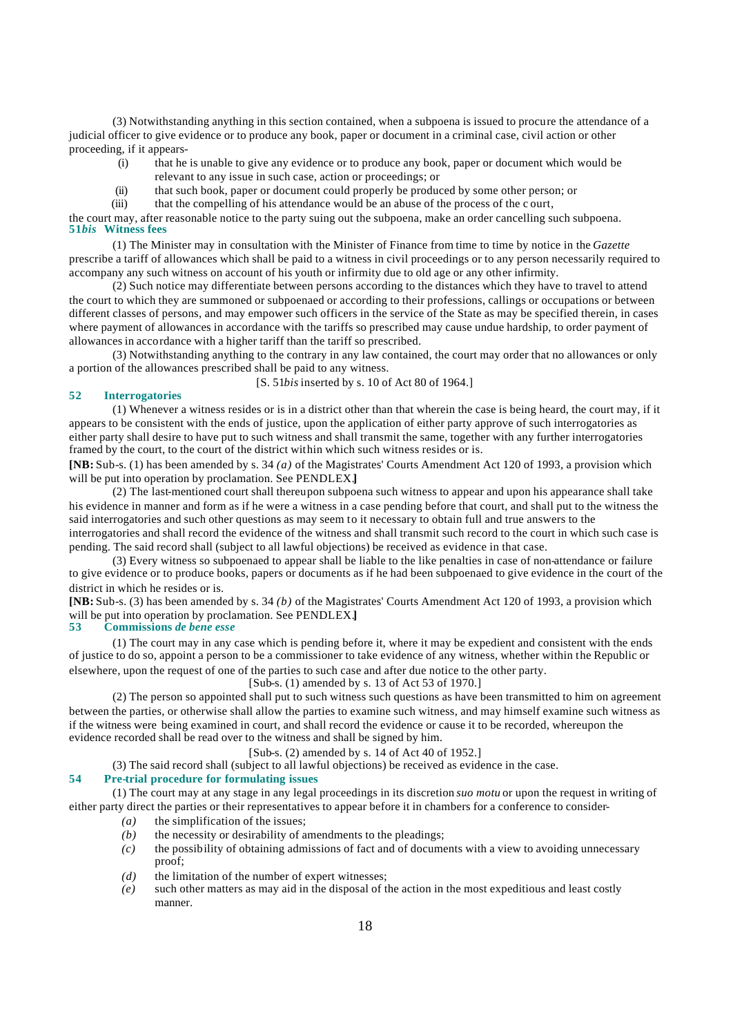(3) Notwithstanding anything in this section contained, when a subpoena is issued to procure the attendance of a judicial officer to give evidence or to produce any book, paper or document in a criminal case, civil action or other proceeding, if it appears-

- (i) that he is unable to give any evidence or to produce any book, paper or document which would be relevant to any issue in such case, action or proceedings; or
- (ii) that such book, paper or document could properly be produced by some other person; or
- (iii) that the compelling of his attendance would be an abuse of the process of the c ourt,

the court may, after reasonable notice to the party suing out the subpoena, make an order cancelling such subpoena. **51***bis* **Witness fees**

(1) The Minister may in consultation with the Minister of Finance from time to time by notice in the *Gazette* prescribe a tariff of allowances which shall be paid to a witness in civil proceedings or to any person necessarily required to accompany any such witness on account of his youth or infirmity due to old age or any other infirmity.

(2) Such notice may differentiate between persons according to the distances which they have to travel to attend the court to which they are summoned or subpoenaed or according to their professions, callings or occupations or between different classes of persons, and may empower such officers in the service of the State as may be specified therein, in cases where payment of allowances in accordance with the tariffs so prescribed may cause undue hardship, to order payment of allowances in accordance with a higher tariff than the tariff so prescribed.

(3) Notwithstanding anything to the contrary in any law contained, the court may order that no allowances or only a portion of the allowances prescribed shall be paid to any witness.

#### [S. 51*bis* inserted by s. 10 of Act 80 of 1964.]

#### **52 Interrogatories**

(1) Whenever a witness resides or is in a district other than that wherein the case is being heard, the court may, if it appears to be consistent with the ends of justice, upon the application of either party approve of such interrogatories as either party shall desire to have put to such witness and shall transmit the same, together with any further interrogatories framed by the court, to the court of the district within which such witness resides or is.

**[NB:** Sub-s. (1) has been amended by s. 34 *(a)* of the Magistrates' Courts Amendment Act 120 of 1993, a provision which will be put into operation by proclamation. See PENDLEX.**]**

(2) The last-mentioned court shall thereupon subpoena such witness to appear and upon his appearance shall take his evidence in manner and form as if he were a witness in a case pending before that court, and shall put to the witness the said interrogatories and such other questions as may seem to it necessary to obtain full and true answers to the interrogatories and shall record the evidence of the witness and shall transmit such record to the court in which such case is pending. The said record shall (subject to all lawful objections) be received as evidence in that case.

(3) Every witness so subpoenaed to appear shall be liable to the like penalties in case of non-attendance or failure to give evidence or to produce books, papers or documents as if he had been subpoenaed to give evidence in the court of the district in which he resides or is.

**[NB:** Sub-s. (3) has been amended by s. 34 *(b)* of the Magistrates' Courts Amendment Act 120 of 1993, a provision which will be put into operation by proclamation. See PENDLEX.<br>53 Commissions *de bene esse* 

**53 Commissions** *de bene esse*

(1) The court may in any case which is pending before it, where it may be expedient and consistent with the ends of justice to do so, appoint a person to be a commissioner to take evidence of any witness, whether within the Republic or elsewhere, upon the request of one of the parties to such case and after due notice to the other party.

[Sub-s. (1) amended by s. 13 of Act 53 of 1970.]

(2) The person so appointed shall put to such witness such questions as have been transmitted to him on agreement between the parties, or otherwise shall allow the parties to examine such witness, and may himself examine such witness as if the witness were being examined in court, and shall record the evidence or cause it to be recorded, whereupon the evidence recorded shall be read over to the witness and shall be signed by him.

[Sub-s. (2) amended by s. 14 of Act 40 of 1952.]

(3) The said record shall (subject to all lawful objections) be received as evidence in the case.

# **54 Pre-trial procedure for formulating issues**

(1) The court may at any stage in any legal proceedings in its discretion *suo motu* or upon the request in writing of either party direct the parties or their representatives to appear before it in chambers for a conference to consider-

- *(a)* the simplification of the issues;
- *(b)* the necessity or desirability of amendments to the pleadings;
- *(c)* the possibility of obtaining admissions of fact and of documents with a view to avoiding unnecessary proof;
- *(d)* the limitation of the number of expert witnesses;
- *(e)* such other matters as may aid in the disposal of the action in the most expeditious and least costly manner.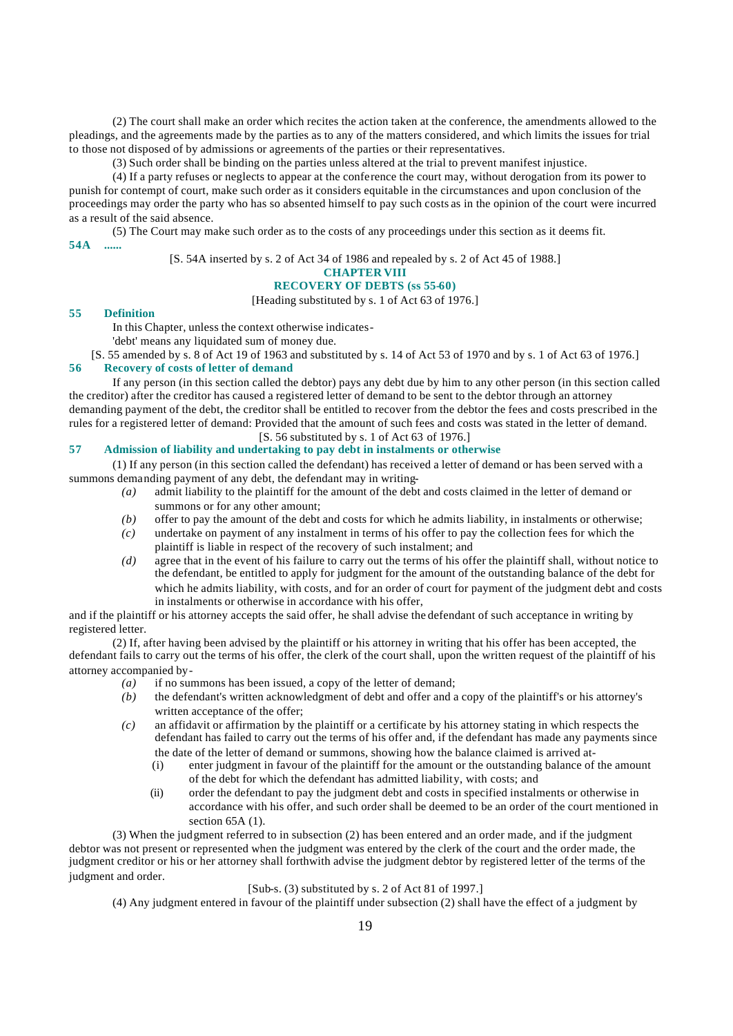(2) The court shall make an order which recites the action taken at the conference, the amendments allowed to the pleadings, and the agreements made by the parties as to any of the matters considered, and which limits the issues for trial to those not disposed of by admissions or agreements of the parties or their representatives.

(3) Such order shall be binding on the parties unless altered at the trial to prevent manifest injustice.

(4) If a party refuses or neglects to appear at the conference the court may, without derogation from its power to punish for contempt of court, make such order as it considers equitable in the circumstances and upon conclusion of the proceedings may order the party who has so absented himself to pay such costs as in the opinion of the court were incurred as a result of the said absence.

(5) The Court may make such order as to the costs of any proceedings under this section as it deems fit. **54A ......**

[S. 54A inserted by s. 2 of Act 34 of 1986 and repealed by s. 2 of Act 45 of 1988.]

# **CHAPTER VIII**

# **RECOVERY OF DEBTS (ss 55-60)**

[Heading substituted by s. 1 of Act 63 of 1976.]

#### **55 Definition**

In this Chapter, unless the context otherwise indicates-

'debt' means any liquidated sum of money due.

[S. 55 amended by s. 8 of Act 19 of 1963 and substituted by s. 14 of Act 53 of 1970 and by s. 1 of Act 63 of 1976.] **56 Recovery of costs of letter of demand**

If any person (in this section called the debtor) pays any debt due by him to any other person (in this section called the creditor) after the creditor has caused a registered letter of demand to be sent to the debtor through an attorney demanding payment of the debt, the creditor shall be entitled to recover from the debtor the fees and costs prescribed in the rules for a registered letter of demand: Provided that the amount of such fees and costs was stated in the letter of demand. [S. 56 substituted by s. 1 of Act 63 of 1976.]

# **57 Admission of liability and undertaking to pay debt in instalments or otherwise**

(1) If any person (in this section called the defendant) has received a letter of demand or has been served with a summons demanding payment of any debt, the defendant may in writing-

- *(a)* admit liability to the plaintiff for the amount of the debt and costs claimed in the letter of demand or summons or for any other amount;
- *(b)* offer to pay the amount of the debt and costs for which he admits liability, in instalments or otherwise;
- *(c)* undertake on payment of any instalment in terms of his offer to pay the collection fees for which the plaintiff is liable in respect of the recovery of such instalment; and
- *(d)* agree that in the event of his failure to carry out the terms of his offer the plaintiff shall, without notice to the defendant, be entitled to apply for judgment for the amount of the outstanding balance of the debt for which he admits liability, with costs, and for an order of court for payment of the judgment debt and costs in instalments or otherwise in accordance with his offer,

and if the plaintiff or his attorney accepts the said offer, he shall advise the defendant of such acceptance in writing by registered letter.

(2) If, after having been advised by the plaintiff or his attorney in writing that his offer has been accepted, the defendant fails to carry out the terms of his offer, the clerk of the court shall, upon the written request of the plaintiff of his attorney accompanied by-

- *(a)* if no summons has been issued, a copy of the letter of demand;
- *(b)* the defendant's written acknowledgment of debt and offer and a copy of the plaintiff's or his attorney's written acceptance of the offer;
- *(c)* an affidavit or affirmation by the plaintiff or a certificate by his attorney stating in which respects the defendant has failed to carry out the terms of his offer and, if the defendant has made any payments since the date of the letter of demand or summons, showing how the balance claimed is arrived at-
	- (i) enter judgment in favour of the plaintiff for the amount or the outstanding balance of the amount of the debt for which the defendant has admitted liability, with costs; and
	- (ii) order the defendant to pay the judgment debt and costs in specified instalments or otherwise in accordance with his offer, and such order shall be deemed to be an order of the court mentioned in section  $65A(1)$ .

(3) When the judgment referred to in subsection (2) has been entered and an order made, and if the judgment debtor was not present or represented when the judgment was entered by the clerk of the court and the order made, the judgment creditor or his or her attorney shall forthwith advise the judgment debtor by registered letter of the terms of the judgment and order.

#### [Sub-s. (3) substituted by s. 2 of Act 81 of 1997.]

(4) Any judgment entered in favour of the plaintiff under subsection (2) shall have the effect of a judgment by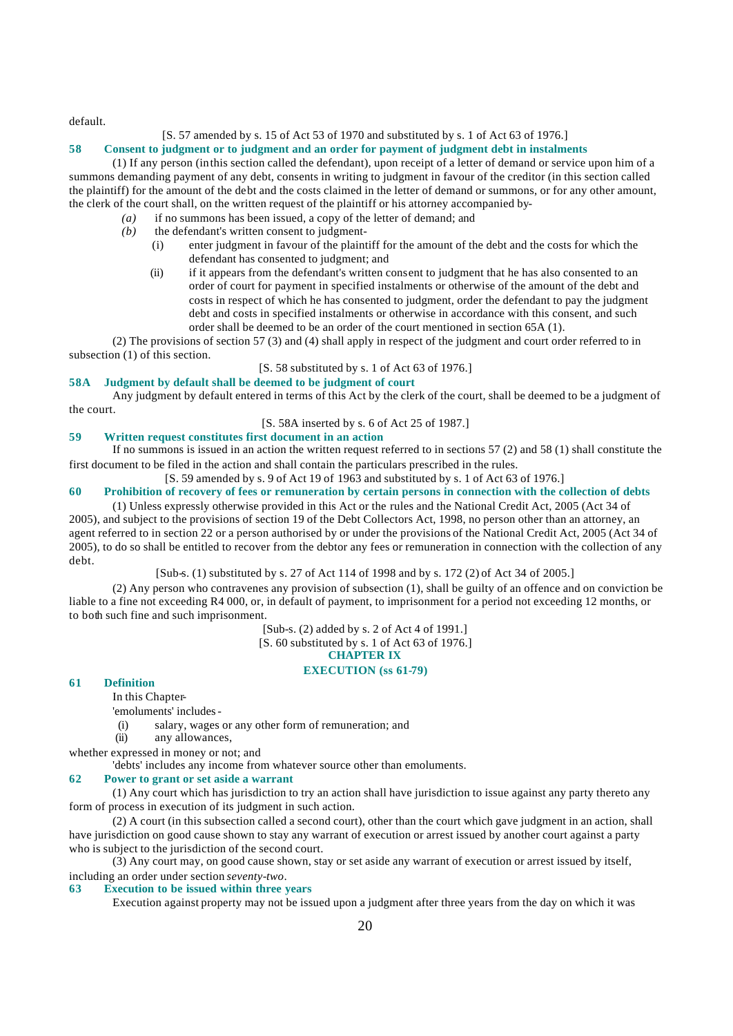default.

### [S. 57 amended by s. 15 of Act 53 of 1970 and substituted by s. 1 of Act 63 of 1976.]

#### **58 Consent to judgment or to judgment and an order for payment of judgment debt in instalments**

(1) If any person (in this section called the defendant), upon receipt of a letter of demand or service upon him of a summons demanding payment of any debt, consents in writing to judgment in favour of the creditor (in this section called the plaintiff) for the amount of the debt and the costs claimed in the letter of demand or summons, or for any other amount, the clerk of the court shall, on the written request of the plaintiff or his attorney accompanied by-

- *(a)* if no summons has been issued, a copy of the letter of demand; and
- *(b)* the defendant's written consent to judgment-
	- (i) enter judgment in favour of the plaintiff for the amount of the debt and the costs for which the defendant has consented to judgment; and
	- (ii) if it appears from the defendant's written consent to judgment that he has also consented to an order of court for payment in specified instalments or otherwise of the amount of the debt and costs in respect of which he has consented to judgment, order the defendant to pay the judgment debt and costs in specified instalments or otherwise in accordance with this consent, and such order shall be deemed to be an order of the court mentioned in section 65A (1).

(2) The provisions of section 57 (3) and (4) shall apply in respect of the judgment and court order referred to in subsection (1) of this section.

#### [S. 58 substituted by s. 1 of Act 63 of 1976.]

# **58A Judgment by default shall be deemed to be judgment of court**

Any judgment by default entered in terms of this Act by the clerk of the court, shall be deemed to be a judgment of the court.

## [S. 58A inserted by s. 6 of Act 25 of 1987.]

# **59 Written request constitutes first document in an action**

If no summons is issued in an action the written request referred to in sections 57 (2) and 58 (1) shall constitute the first document to be filed in the action and shall contain the particulars prescribed in the rules.

[S. 59 amended by s. 9 of Act 19 of 1963 and substituted by s. 1 of Act 63 of 1976.]

# **60 Prohibition of recovery of fees or remuneration by certain persons in connection with the collection of debts**

(1) Unless expressly otherwise provided in this Act or the rules and the National Credit Act, 2005 (Act 34 of 2005), and subject to the provisions of section 19 of the Debt Collectors Act, 1998, no person other than an attorney, an agent referred to in section 22 or a person authorised by or under the provisions of the National Credit Act, 2005 (Act 34 of 2005), to do so shall be entitled to recover from the debtor any fees or remuneration in connection with the collection of any debt.

[Sub-s. (1) substituted by s. 27 of Act 114 of 1998 and by s. 172 (2) of Act 34 of 2005.]

(2) Any person who contravenes any provision of subsection (1), shall be guilty of an offence and on conviction be liable to a fine not exceeding R4 000, or, in default of payment, to imprisonment for a period not exceeding 12 months, or to both such fine and such imprisonment.

[Sub-s. (2) added by s. 2 of Act 4 of 1991.]

 $[S, 60$  substituted by s. 1 of Act 63 of 1976.

# **CHAPTER IX**

# **EXECUTION (ss 61-79)**

#### **61 Definition**

In this Chapter-

'emoluments' includes-

(i) salary, wages or any other form of remuneration; and

(ii) any allowances,

whether expressed in money or not; and

'debts' includes any income from whatever source other than emoluments.

### **62 Power to grant or set aside a warrant**

(1) Any court which has jurisdiction to try an action shall have jurisdiction to issue against any party thereto any form of process in execution of its judgment in such action.

(2) A court (in this subsection called a second court), other than the court which gave judgment in an action, shall have jurisdiction on good cause shown to stay any warrant of execution or arrest issued by another court against a party who is subject to the jurisdiction of the second court.

(3) Any court may, on good cause shown, stay or set aside any warrant of execution or arrest issued by itself, including an order under section *seventy-two*.

# **63 Execution to be issued within three years**

Execution against property may not be issued upon a judgment after three years from the day on which it was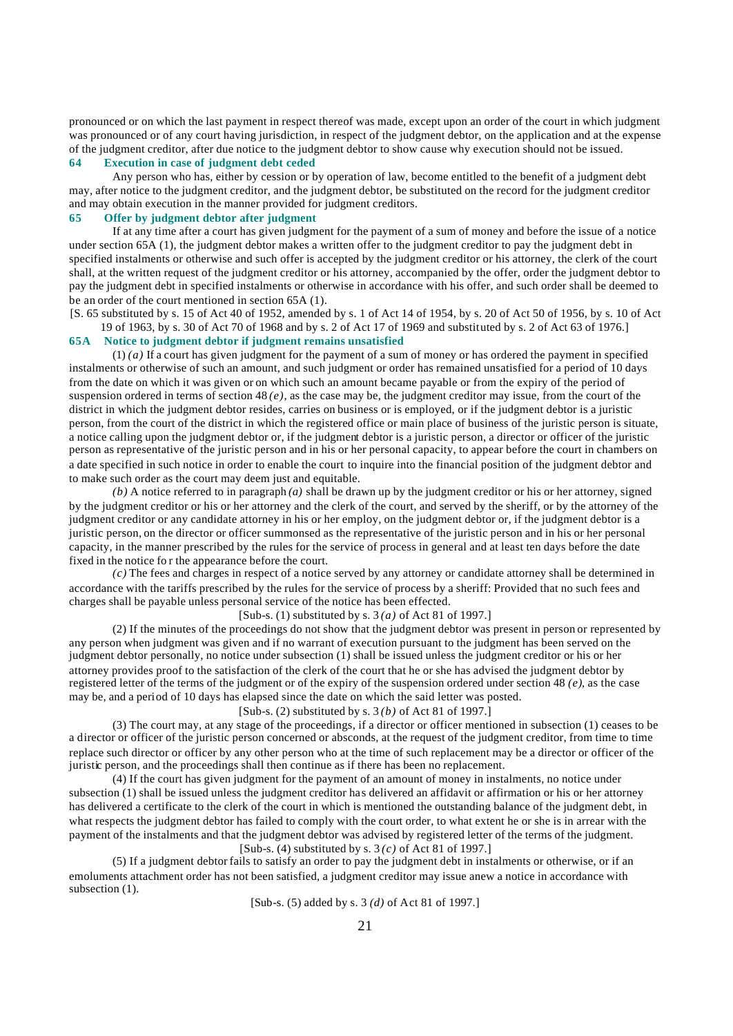pronounced or on which the last payment in respect thereof was made, except upon an order of the court in which judgment was pronounced or of any court having jurisdiction, in respect of the judgment debtor, on the application and at the expense of the judgment creditor, after due notice to the judgment debtor to show cause why execution should not be issued. **64 Execution in case of judgment debt ceded**

Any person who has, either by cession or by operation of law, become entitled to the benefit of a judgment debt may, after notice to the judgment creditor, and the judgment debtor, be substituted on the record for the judgment creditor and may obtain execution in the manner provided for judgment creditors.

# **65 Offer by judgment debtor after judgment**

If at any time after a court has given judgment for the payment of a sum of money and before the issue of a notice under section 65A (1), the judgment debtor makes a written offer to the judgment creditor to pay the judgment debt in specified instalments or otherwise and such offer is accepted by the judgment creditor or his attorney, the clerk of the court shall, at the written request of the judgment creditor or his attorney, accompanied by the offer, order the judgment debtor to pay the judgment debt in specified instalments or otherwise in accordance with his offer, and such order shall be deemed to be an order of the court mentioned in section 65A (1).

[S. 65 substituted by s. 15 of Act 40 of 1952, amended by s. 1 of Act 14 of 1954, by s. 20 of Act 50 of 1956, by s. 10 of Act 19 of 1963, by s. 30 of Act 70 of 1968 and by s. 2 of Act 17 of 1969 and substituted by s. 2 of Act 63 of 1976.]

## **65A Notice to judgment debtor if judgment remains unsatisfied**

(1) *(a)* If a court has given judgment for the payment of a sum of money or has ordered the payment in specified instalments or otherwise of such an amount, and such judgment or order has remained unsatisfied for a period of 10 days from the date on which it was given or on which such an amount became payable or from the expiry of the period of suspension ordered in terms of section  $48(e)$ , as the case may be, the judgment creditor may issue, from the court of the district in which the judgment debtor resides, carries on business or is employed, or if the judgment debtor is a juristic person, from the court of the district in which the registered office or main place of business of the juristic person is situate, a notice calling upon the judgment debtor or, if the judgment debtor is a juristic person, a director or officer of the juristic person as representative of the juristic person and in his or her personal capacity, to appear before the court in chambers on a date specified in such notice in order to enable the court to inquire into the financial position of the judgment debtor and to make such order as the court may deem just and equitable.

 $(b)$  A notice referred to in paragraph  $(a)$  shall be drawn up by the judgment creditor or his or her attorney, signed by the judgment creditor or his or her attorney and the clerk of the court, and served by the sheriff, or by the attorney of the judgment creditor or any candidate attorney in his or her employ, on the judgment debtor or, if the judgment debtor is a juristic person, on the director or officer summonsed as the representative of the juristic person and in his or her personal capacity, in the manner prescribed by the rules for the service of process in general and at least ten days before the date fixed in the notice fo r the appearance before the court.

*(c)* The fees and charges in respect of a notice served by any attorney or candidate attorney shall be determined in accordance with the tariffs prescribed by the rules for the service of process by a sheriff: Provided that no such fees and charges shall be payable unless personal service of the notice has been effected.

[Sub-s. (1) substituted by s. 3 *(a)* of Act 81 of 1997.]

(2) If the minutes of the proceedings do not show that the judgment debtor was present in person or represented by any person when judgment was given and if no warrant of execution pursuant to the judgment has been served on the judgment debtor personally, no notice under subsection (1) shall be issued unless the judgment creditor or his or her attorney provides proof to the satisfaction of the clerk of the court that he or she has advised the judgment debtor by registered letter of the terms of the judgment or of the expiry of the suspension ordered under section 48 *(e)*, as the case may be, and a period of 10 days has elapsed since the date on which the said letter was posted.

# [Sub-s. (2) substituted by s. 3 *(b)* of Act 81 of 1997.]

(3) The court may, at any stage of the proceedings, if a director or officer mentioned in subsection (1) ceases to be a director or officer of the juristic person concerned or absconds, at the request of the judgment creditor, from time to time replace such director or officer by any other person who at the time of such replacement may be a director or officer of the juristic person, and the proceedings shall then continue as if there has been no replacement.

(4) If the court has given judgment for the payment of an amount of money in instalments, no notice under subsection (1) shall be issued unless the judgment creditor has delivered an affidavit or affirmation or his or her attorney has delivered a certificate to the clerk of the court in which is mentioned the outstanding balance of the judgment debt, in what respects the judgment debtor has failed to comply with the court order, to what extent he or she is in arrear with the payment of the instalments and that the judgment debtor was advised by registered letter of the terms of the judgment. [Sub-s. (4) substituted by s. 3 *(c)* of Act 81 of 1997.]

(5) If a judgment debtor fails to satisfy an order to pay the judgment debt in instalments or otherwise, or if an emoluments attachment order has not been satisfied, a judgment creditor may issue anew a notice in accordance with subsection  $(1)$ .

[Sub-s. (5) added by s. 3 *(d)* of Act 81 of 1997.]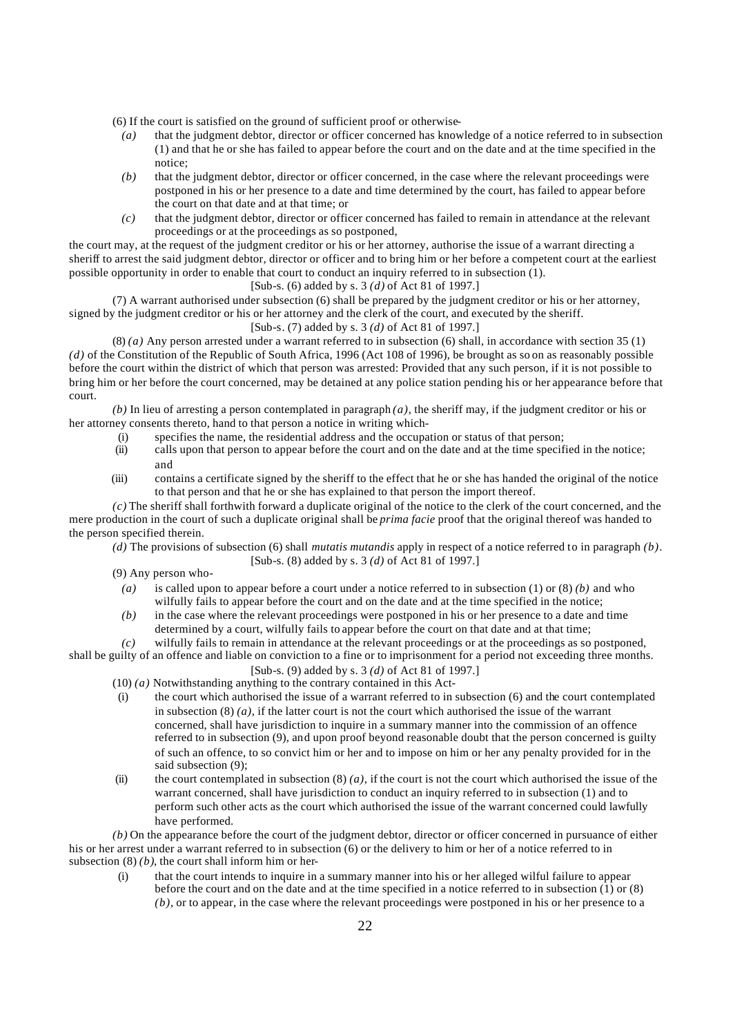(6) If the court is satisfied on the ground of sufficient proof or otherwise-

- *(a)* that the judgment debtor, director or officer concerned has knowledge of a notice referred to in subsection (1) and that he or she has failed to appear before the court and on the date and at the time specified in the notice;
- *(b)* that the judgment debtor, director or officer concerned, in the case where the relevant proceedings were postponed in his or her presence to a date and time determined by the court, has failed to appear before the court on that date and at that time; or
- *(c)* that the judgment debtor, director or officer concerned has failed to remain in attendance at the relevant proceedings or at the proceedings as so postponed,

the court may, at the request of the judgment creditor or his or her attorney, authorise the issue of a warrant directing a sheriff to arrest the said judgment debtor, director or officer and to bring him or her before a competent court at the earliest possible opportunity in order to enable that court to conduct an inquiry referred to in subsection (1).

## [Sub-s. (6) added by s. 3 *(d)* of Act 81 of 1997.]

(7) A warrant authorised under subsection (6) shall be prepared by the judgment creditor or his or her attorney, signed by the judgment creditor or his or her attorney and the clerk of the court, and executed by the sheriff.

#### [Sub-s. (7) added by s. 3 *(d)* of Act 81 of 1997.]

(8) *(a)* Any person arrested under a warrant referred to in subsection (6) shall, in accordance with section 35 (1) *(d)* of the Constitution of the Republic of South Africa, 1996 (Act 108 of 1996), be brought as so on as reasonably possible before the court within the district of which that person was arrested: Provided that any such person, if it is not possible to bring him or her before the court concerned, may be detained at any police station pending his or her appearance before that court.

*(b)* In lieu of arresting a person contemplated in paragraph *(a)*, the sheriff may, if the judgment creditor or his or her attorney consents thereto, hand to that person a notice in writing which-

- (i) specifies the name, the residential address and the occupation or status of that person;<br>(ii) calls upon that person to appear before the court and on the date and at the time specif
- calls upon that person to appear before the court and on the date and at the time specified in the notice; and
- (iii) contains a certificate signed by the sheriff to the effect that he or she has handed the original of the notice to that person and that he or she has explained to that person the import thereof.

*(c)* The sheriff shall forthwith forward a duplicate original of the notice to the clerk of the court concerned, and the mere production in the court of such a duplicate original shall be *prima facie* proof that the original thereof was handed to the person specified therein.

*(d)* The provisions of subsection (6) shall *mutatis mutandis* apply in respect of a notice referred to in paragraph *(b)*. [Sub-s. (8) added by s. 3 *(d)* of Act 81 of 1997.]

(9) Any person who-

- *(a)* is called upon to appear before a court under a notice referred to in subsection (1) or (8) *(b)* and who wilfully fails to appear before the court and on the date and at the time specified in the notice;
- *(b)* in the case where the relevant proceedings were postponed in his or her presence to a date and time determined by a court, wilfully fails to appear before the court on that date and at that time;

*(c)* wilfully fails to remain in attendance at the relevant proceedings or at the proceedings as so postponed,

shall be guilty of an offence and liable on conviction to a fine or to imprisonment for a period not exceeding three months. [Sub-s. (9) added by s. 3 *(d)* of Act 81 of 1997.]

- (10) *(a)* Notwithstanding anything to the contrary contained in this Act-
- (i) the court which authorised the issue of a warrant referred to in subsection (6) and the court contemplated in subsection  $(8)(a)$ , if the latter court is not the court which authorised the issue of the warrant concerned, shall have jurisdiction to inquire in a summary manner into the commission of an offence referred to in subsection (9), and upon proof beyond reasonable doubt that the person concerned is guilty of such an offence, to so convict him or her and to impose on him or her any penalty provided for in the said subsection (9);
- (ii) the court contemplated in subsection  $(8)(a)$ , if the court is not the court which authorised the issue of the warrant concerned, shall have jurisdiction to conduct an inquiry referred to in subsection (1) and to perform such other acts as the court which authorised the issue of the warrant concerned could lawfully have performed.

*(b)* On the appearance before the court of the judgment debtor, director or officer concerned in pursuance of either his or her arrest under a warrant referred to in subsection (6) or the delivery to him or her of a notice referred to in subsection  $(8)(b)$ , the court shall inform him or her-

that the court intends to inquire in a summary manner into his or her alleged wilful failure to appear before the court and on the date and at the time specified in a notice referred to in subsection  $(1)$  or  $(8)$ *(b)*, or to appear, in the case where the relevant proceedings were postponed in his or her presence to a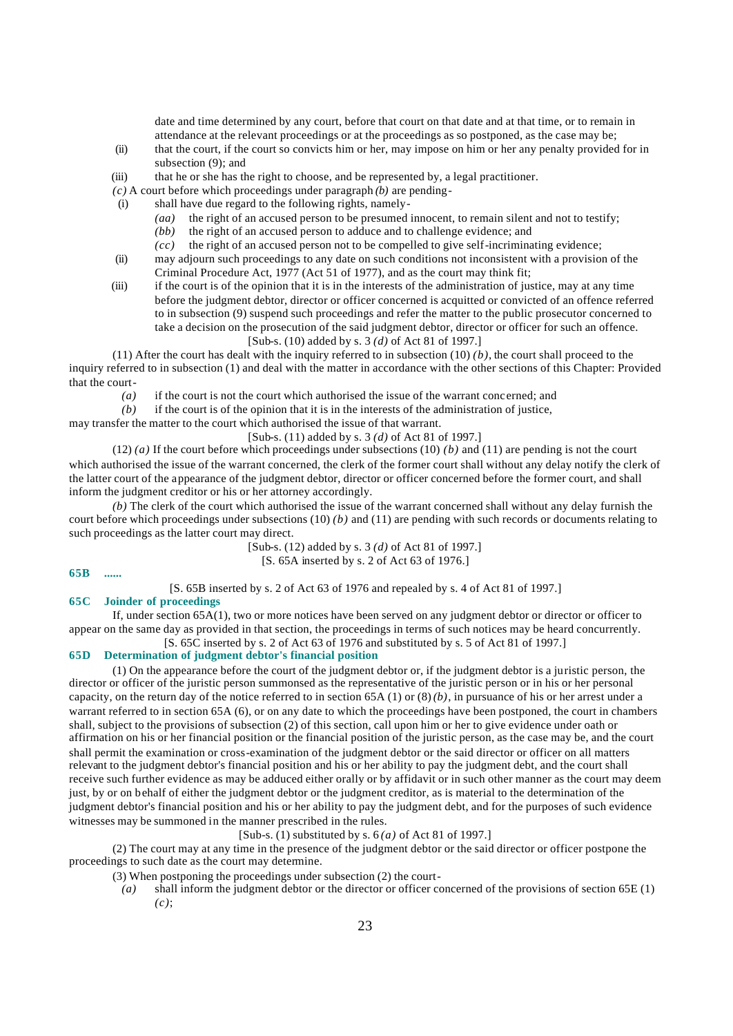date and time determined by any court, before that court on that date and at that time, or to remain in attendance at the relevant proceedings or at the proceedings as so postponed, as the case may be;

- (ii) that the court, if the court so convicts him or her, may impose on him or her any penalty provided for in subsection (9); and
- (iii) that he or she has the right to choose, and be represented by, a legal practitioner.
- *(c)* A court before which proceedings under paragraph *(b)* are pending-
- (i) shall have due regard to the following rights, namely-
	- *(aa)* the right of an accused person to be presumed innocent, to remain silent and not to testify;
	- *(bb)* the right of an accused person to adduce and to challenge evidence; and
	- *(cc)* the right of an accused person not to be compelled to give self-incriminating evidence;
- (ii) may adjourn such proceedings to any date on such conditions not inconsistent with a provision of the Criminal Procedure Act, 1977 (Act 51 of 1977), and as the court may think fit;
- (iii) if the court is of the opinion that it is in the interests of the administration of justice, may at any time before the judgment debtor, director or officer concerned is acquitted or convicted of an offence referred to in subsection (9) suspend such proceedings and refer the matter to the public prosecutor concerned to take a decision on the prosecution of the said judgment debtor, director or officer for such an offence.

[Sub-s. (10) added by s. 3 *(d)* of Act 81 of 1997.]

(11) After the court has dealt with the inquiry referred to in subsection (10) *(b)*, the court shall proceed to the inquiry referred to in subsection (1) and deal with the matter in accordance with the other sections of this Chapter: Provided that the court-

*(a)* if the court is not the court which authorised the issue of the warrant concerned; and *(b)* if the court is of the opinion that it is in the interests of the administration of iustice.

if the court is of the opinion that it is in the interests of the administration of justice,

may transfer the matter to the court which authorised the issue of that warrant.

[Sub-s. (11) added by s. 3 *(d)* of Act 81 of 1997.]

(12) *(a)* If the court before which proceedings under subsections (10) *(b)* and (11) are pending is not the court which authorised the issue of the warrant concerned, the clerk of the former court shall without any delay notify the clerk of the latter court of the appearance of the judgment debtor, director or officer concerned before the former court, and shall inform the judgment creditor or his or her attorney accordingly.

*(b)* The clerk of the court which authorised the issue of the warrant concerned shall without any delay furnish the court before which proceedings under subsections (10) *(b)* and (11) are pending with such records or documents relating to such proceedings as the latter court may direct.

> [Sub-s. (12) added by s. 3 *(d)* of Act 81 of 1997.] [S. 65A inserted by s. 2 of Act 63 of 1976.]

**65B ......**

[S. 65B inserted by s. 2 of Act 63 of 1976 and repealed by s. 4 of Act 81 of 1997.]

**65C Joinder of proceedings** 

If, under section 65A(1), two or more notices have been served on any judgment debtor or director or officer to appear on the same day as provided in that section, the proceedings in terms of such notices may be heard concurrently.  $[S, 65C$  inserted by s. 2 of Act 63 of 1976 and substituted by s. 5 of Act 81 of 1997.

# **65D Determination of judgment debtor's financial position**

(1) On the appearance before the court of the judgment debtor or, if the judgment debtor is a juristic person, the director or officer of the juristic person summonsed as the representative of the juristic person or in his or her personal capacity, on the return day of the notice referred to in section  $65A(1)$  or  $(8)(b)$ , in pursuance of his or her arrest under a warrant referred to in section 65A (6), or on any date to which the proceedings have been postponed, the court in chambers shall, subject to the provisions of subsection (2) of this section, call upon him or her to give evidence under oath or affirmation on his or her financial position or the financial position of the juristic person, as the case may be, and the court shall permit the examination or cross-examination of the judgment debtor or the said director or officer on all matters relevant to the judgment debtor's financial position and his or her ability to pay the judgment debt, and the court shall receive such further evidence as may be adduced either orally or by affidavit or in such other manner as the court may deem just, by or on behalf of either the judgment debtor or the judgment creditor, as is material to the determination of the judgment debtor's financial position and his or her ability to pay the judgment debt, and for the purposes of such evidence witnesses may be summoned in the manner prescribed in the rules.

[Sub-s. (1) substituted by s. 6 *(a)* of Act 81 of 1997.]

(2) The court may at any time in the presence of the judgment debtor or the said director or officer postpone the proceedings to such date as the court may determine.

(3) When postponing the proceedings under subsection (2) the court-

*(a)* shall inform the judgment debtor or the director or officer concerned of the provisions of section 65E (1) *(c)*;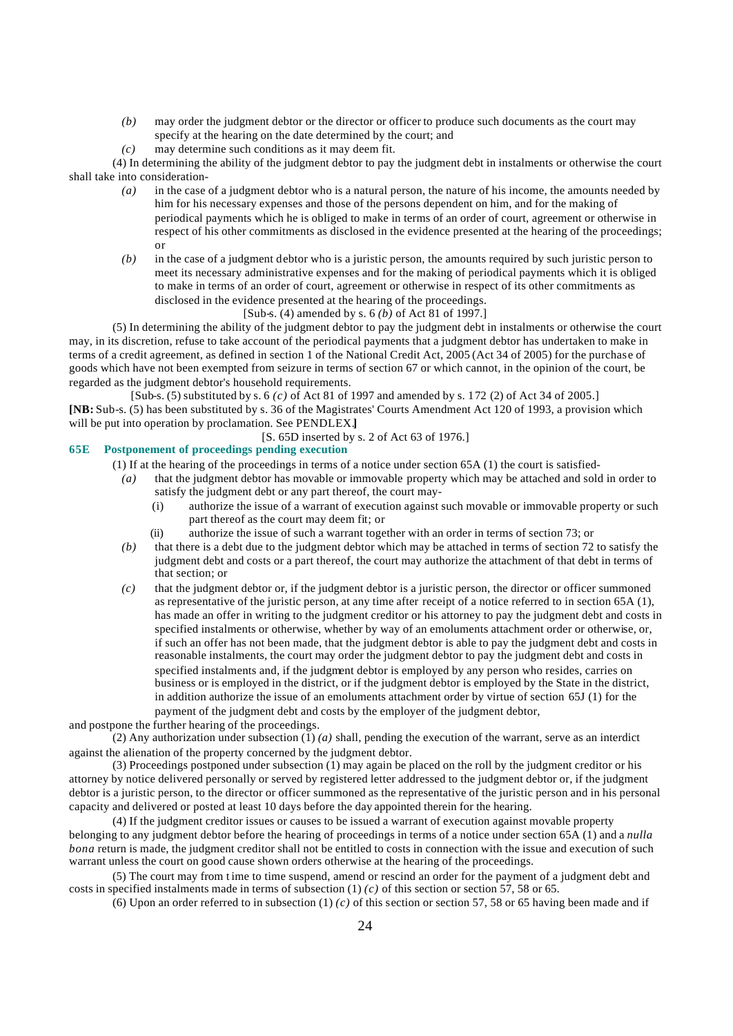- *(b)* may order the judgment debtor or the director or officer to produce such documents as the court may specify at the hearing on the date determined by the court; and
- *(c)* may determine such conditions as it may deem fit.

(4) In determining the ability of the judgment debtor to pay the judgment debt in instalments or otherwise the court shall take into consideration-

- *(a)* in the case of a judgment debtor who is a natural person, the nature of his income, the amounts needed by him for his necessary expenses and those of the persons dependent on him, and for the making of periodical payments which he is obliged to make in terms of an order of court, agreement or otherwise in respect of his other commitments as disclosed in the evidence presented at the hearing of the proceedings; or
- *(b)* in the case of a judgment debtor who is a juristic person, the amounts required by such juristic person to meet its necessary administrative expenses and for the making of periodical payments which it is obliged to make in terms of an order of court, agreement or otherwise in respect of its other commitments as disclosed in the evidence presented at the hearing of the proceedings.
	- [Sub-s. (4) amended by s. 6 *(b)* of Act 81 of 1997.]

(5) In determining the ability of the judgment debtor to pay the judgment debt in instalments or otherwise the court may, in its discretion, refuse to take account of the periodical payments that a judgment debtor has undertaken to make in terms of a credit agreement, as defined in section 1 of the National Credit Act, 2005 (Act 34 of 2005) for the purchase of goods which have not been exempted from seizure in terms of section 67 or which cannot, in the opinion of the court, be regarded as the judgment debtor's household requirements.

[Sub-s. (5) substituted by s. 6 *(c)* of Act 81 of 1997 and amended by s. 172 (2) of Act 34 of 2005.] **[NB:** Sub-s. (5) has been substituted by s. 36 of the Magistrates' Courts Amendment Act 120 of 1993, a provision which will be put into operation by proclamation. See PENDLEX.**]**

[S. 65D inserted by s. 2 of Act 63 of 1976.]

# **65E Postponement of proceedings pending execution**

- (1) If at the hearing of the proceedings in terms of a notice under section 65A (1) the court is satisfied-
	- *(a)* that the judgment debtor has movable or immovable property which may be attached and sold in order to satisfy the judgment debt or any part thereof, the court may-
		- (i) authorize the issue of a warrant of execution against such movable or immovable property or such part thereof as the court may deem fit; or
		- (ii) authorize the issue of such a warrant together with an order in terms of section 73; or
- *(b)* that there is a debt due to the judgment debtor which may be attached in terms of section 72 to satisfy the judgment debt and costs or a part thereof, the court may authorize the attachment of that debt in terms of that section; or
- *(c)* that the judgment debtor or, if the judgment debtor is a juristic person, the director or officer summoned as representative of the juristic person, at any time after receipt of a notice referred to in section 65A (1), has made an offer in writing to the judgment creditor or his attorney to pay the judgment debt and costs in specified instalments or otherwise, whether by way of an emoluments attachment order or otherwise, or, if such an offer has not been made, that the judgment debtor is able to pay the judgment debt and costs in reasonable instalments, the court may order the judgment debtor to pay the judgment debt and costs in specified instalments and, if the judgment debtor is employed by any person who resides, carries on business or is employed in the district, or if the judgment debtor is employed by the State in the district, in addition authorize the issue of an emoluments attachment order by virtue of section 65J (1) for the payment of the judgment debt and costs by the employer of the judgment debtor,

and postpone the further hearing of the proceedings.

(2) Any authorization under subsection  $(1)$  *(a)* shall, pending the execution of the warrant, serve as an interdict against the alienation of the property concerned by the judgment debtor.

(3) Proceedings postponed under subsection (1) may again be placed on the roll by the judgment creditor or his attorney by notice delivered personally or served by registered letter addressed to the judgment debtor or, if the judgment debtor is a juristic person, to the director or officer summoned as the representative of the juristic person and in his personal capacity and delivered or posted at least 10 days before the day appointed therein for the hearing.

(4) If the judgment creditor issues or causes to be issued a warrant of execution against movable property belonging to any judgment debtor before the hearing of proceedings in terms of a notice under section 65A (1) and a *nulla bona* return is made, the judgment creditor shall not be entitled to costs in connection with the issue and execution of such warrant unless the court on good cause shown orders otherwise at the hearing of the proceedings.

(5) The court may from t ime to time suspend, amend or rescind an order for the payment of a judgment debt and costs in specified instalments made in terms of subsection  $(1)$  *(c)* of this section or section 57, 58 or 65.

(6) Upon an order referred to in subsection (1) *(c)* of this section or section 57, 58 or 65 having been made and if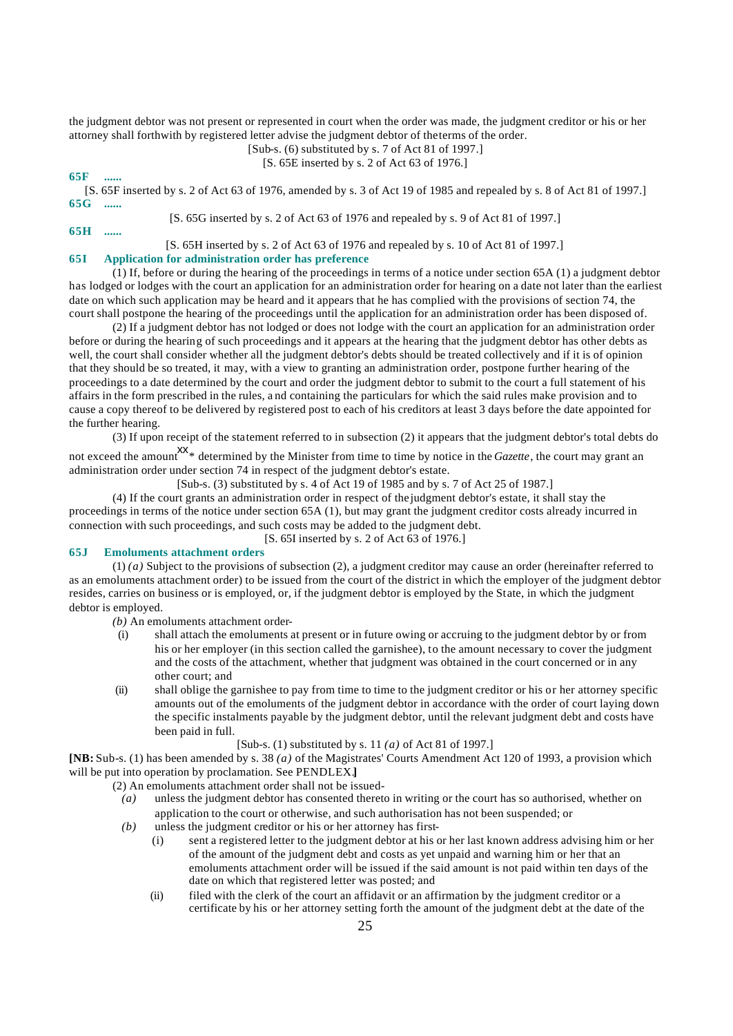the judgment debtor was not present or represented in court when the order was made, the judgment creditor or his or her attorney shall forthwith by registered letter advise the judgment debtor of the terms of the order.

[Sub-s. (6) substituted by s. 7 of Act 81 of 1997.]

[S. 65E inserted by s. 2 of Act 63 of 1976.]

**65F ......**

[S. 65F inserted by s. 2 of Act 63 of 1976, amended by s. 3 of Act 19 of 1985 and repealed by s. 8 of Act 81 of 1997.] **65G ......**

[S. 65G inserted by s. 2 of Act 63 of 1976 and repealed by s. 9 of Act 81 of 1997.]

**65H ......**

#### [S. 65H inserted by s. 2 of Act 63 of 1976 and repealed by s. 10 of Act 81 of 1997.]

# **65I Application for administration order has preference**

(1) If, before or during the hearing of the proceedings in terms of a notice under section 65A (1) a judgment debtor has lodged or lodges with the court an application for an administration order for hearing on a date not later than the earliest date on which such application may be heard and it appears that he has complied with the provisions of section 74, the court shall postpone the hearing of the proceedings until the application for an administration order has been disposed of.

(2) If a judgment debtor has not lodged or does not lodge with the court an application for an administration order before or during the hearing of such proceedings and it appears at the hearing that the judgment debtor has other debts as well, the court shall consider whether all the judgment debtor's debts should be treated collectively and if it is of opinion that they should be so treated, it may, with a view to granting an administration order, postpone further hearing of the proceedings to a date determined by the court and order the judgment debtor to submit to the court a full statement of his affairs in the form prescribed in the rules, a nd containing the particulars for which the said rules make provision and to cause a copy thereof to be delivered by registered post to each of his creditors at least 3 days before the date appointed for the further hearing.

(3) If upon receipt of the statement referred to in subsection (2) it appears that the judgment debtor's total debts do

not exceed the amount<sup>XX</sup>\* determined by the Minister from time to time by notice in the *Gazette*, the court may grant an administration order under section 74 in respect of the judgment debtor's estate.

[Sub-s. (3) substituted by s. 4 of Act 19 of 1985 and by s. 7 of Act 25 of 1987.]

(4) If the court grants an administration order in respect of the judgment debtor's estate, it shall stay the proceedings in terms of the notice under section 65A (1), but may grant the judgment creditor costs already incurred in connection with such proceedings, and such costs may be added to the judgment debt.

[S. 65I inserted by s. 2 of Act 63 of 1976.]

# **65J Emoluments attachment orders**

(1) *(a)* Subject to the provisions of subsection (2), a judgment creditor may cause an order (hereinafter referred to as an emoluments attachment order) to be issued from the court of the district in which the employer of the judgment debtor resides, carries on business or is employed, or, if the judgment debtor is employed by the State, in which the judgment debtor is employed.

- *(b)* An emoluments attachment order-
	- (i) shall attach the emoluments at present or in future owing or accruing to the judgment debtor by or from his or her employer (in this section called the garnishee), to the amount necessary to cover the judgment and the costs of the attachment, whether that judgment was obtained in the court concerned or in any other court; and
- (ii) shall oblige the garnishee to pay from time to time to the judgment creditor or his or her attorney specific amounts out of the emoluments of the judgment debtor in accordance with the order of court laying down the specific instalments payable by the judgment debtor, until the relevant judgment debt and costs have been paid in full.

#### [Sub-s. (1) substituted by s. 11 *(a)* of Act 81 of 1997.]

**[NB:** Sub-s. (1) has been amended by s. 38 *(a)* of the Magistrates' Courts Amendment Act 120 of 1993, a provision which will be put into operation by proclamation. See PENDLEX.**]**

(2) An emoluments attachment order shall not be issued-

- *(a)* unless the judgment debtor has consented thereto in writing or the court has so authorised, whether on application to the court or otherwise, and such authorisation has not been suspended; or
- *(b)* unless the judgment creditor or his or her attorney has first-
	- (i) sent a registered letter to the judgment debtor at his or her last known address advising him or her of the amount of the judgment debt and costs as yet unpaid and warning him or her that an emoluments attachment order will be issued if the said amount is not paid within ten days of the date on which that registered letter was posted; and
	- (ii) filed with the clerk of the court an affidavit or an affirmation by the judgment creditor or a certificate by his or her attorney setting forth the amount of the judgment debt at the date of the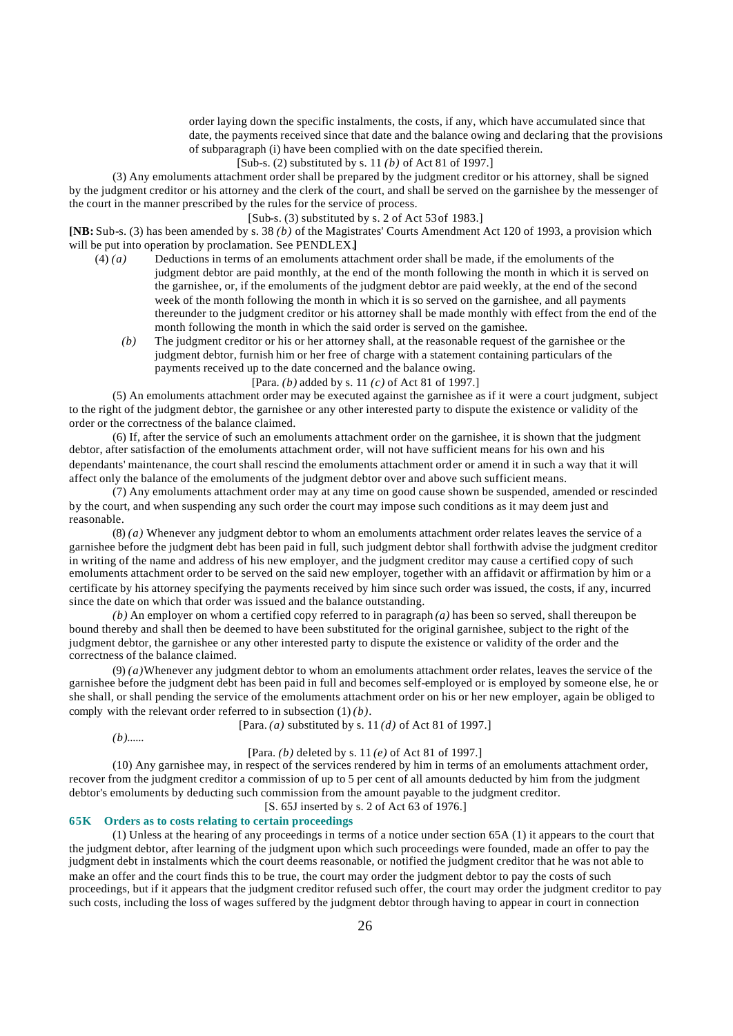order laying down the specific instalments, the costs, if any, which have accumulated since that date, the payments received since that date and the balance owing and declaring that the provisions of subparagraph (i) have been complied with on the date specified therein.

[Sub-s. (2) substituted by s. 11 *(b)* of Act 81 of 1997.]

(3) Any emoluments attachment order shall be prepared by the judgment creditor or his attorney, shall be signed by the judgment creditor or his attorney and the clerk of the court, and shall be served on the garnishee by the messenger of the court in the manner prescribed by the rules for the service of process.

#### $[Sub-s. (3)$  substituted by s. 2 of Act 53 of 1983.]

**[NB:** Sub-s. (3) has been amended by s. 38 *(b)* of the Magistrates' Courts Amendment Act 120 of 1993, a provision which will be put into operation by proclamation. See PENDLEX.**]**

- (4) *(a)* Deductions in terms of an emoluments attachment order shall be made, if the emoluments of the judgment debtor are paid monthly, at the end of the month following the month in which it is served on the garnishee, or, if the emoluments of the judgment debtor are paid weekly, at the end of the second week of the month following the month in which it is so served on the garnishee, and all payments thereunder to the judgment creditor or his attorney shall be made monthly with effect from the end of the month following the month in which the said order is served on the garnishee.
	- *(b)* The judgment creditor or his or her attorney shall, at the reasonable request of the garnishee or the judgment debtor, furnish him or her free of charge with a statement containing particulars of the payments received up to the date concerned and the balance owing.

[Para. *(b)* added by s. 11 *(c)* of Act 81 of 1997.]

(5) An emoluments attachment order may be executed against the garnishee as if it were a court judgment, subject to the right of the judgment debtor, the garnishee or any other interested party to dispute the existence or validity of the order or the correctness of the balance claimed.

(6) If, after the service of such an emoluments attachment order on the garnishee, it is shown that the judgment debtor, after satisfaction of the emoluments attachment order, will not have sufficient means for his own and his dependants' maintenance, the court shall rescind the emoluments attachment order or amend it in such a way that it will affect only the balance of the emoluments of the judgment debtor over and above such sufficient means.

(7) Any emoluments attachment order may at any time on good cause shown be suspended, amended or rescinded by the court, and when suspending any such order the court may impose such conditions as it may deem just and reasonable.

(8) *(a)* Whenever any judgment debtor to whom an emoluments attachment order relates leaves the service of a garnishee before the judgment debt has been paid in full, such judgment debtor shall forthwith advise the judgment creditor in writing of the name and address of his new employer, and the judgment creditor may cause a certified copy of such emoluments attachment order to be served on the said new employer, together with an affidavit or affirmation by him or a certificate by his attorney specifying the payments received by him since such order was issued, the costs, if any, incurred since the date on which that order was issued and the balance outstanding.

*(b)* An employer on whom a certified copy referred to in paragraph *(a)* has been so served, shall thereupon be bound thereby and shall then be deemed to have been substituted for the original garnishee, subject to the right of the judgment debtor, the garnishee or any other interested party to dispute the existence or validity of the order and the correctness of the balance claimed.

(9) *(a)*Whenever any judgment debtor to whom an emoluments attachment order relates, leaves the service of the garnishee before the judgment debt has been paid in full and becomes self-employed or is employed by someone else, he or she shall, or shall pending the service of the emoluments attachment order on his or her new employer, again be obliged to comply with the relevant order referred to in subsection (1) *(b)*.

[Para. *(a)* substituted by s. 11 *(d)* of Act 81 of 1997.]

*(b)*......

#### [Para. *(b)* deleted by s. 11 *(e)* of Act 81 of 1997.]

(10) Any garnishee may, in respect of the services rendered by him in terms of an emoluments attachment order, recover from the judgment creditor a commission of up to 5 per cent of all amounts deducted by him from the judgment debtor's emoluments by deducting such commission from the amount payable to the judgment creditor.

[S. 65J inserted by s. 2 of Act 63 of 1976.]

# **65K Orders as to costs relating to certain proceedings**

(1) Unless at the hearing of any proceedings in terms of a notice under section 65A (1) it appears to the court that the judgment debtor, after learning of the judgment upon which such proceedings were founded, made an offer to pay the judgment debt in instalments which the court deems reasonable, or notified the judgment creditor that he was not able to make an offer and the court finds this to be true, the court may order the judgment debtor to pay the costs of such proceedings, but if it appears that the judgment creditor refused such offer, the court may order the judgment creditor to pay such costs, including the loss of wages suffered by the judgment debtor through having to appear in court in connection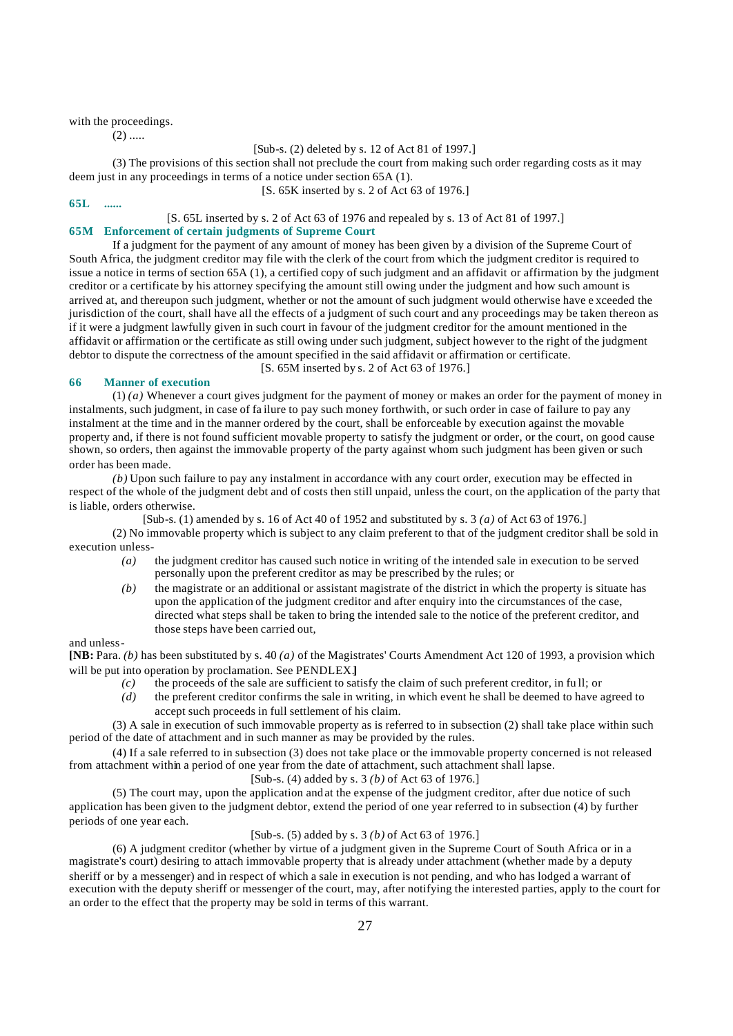with the proceedings.

 $(2)$  .....

[Sub-s. (2) deleted by s. 12 of Act 81 of 1997.]

(3) The provisions of this section shall not preclude the court from making such order regarding costs as it may deem just in any proceedings in terms of a notice under section 65A (1).

[S. 65K inserted by s. 2 of Act 63 of 1976.]

#### **65L ......**

# [S. 65L inserted by s. 2 of Act 63 of 1976 and repealed by s. 13 of Act 81 of 1997.]

# **65M Enforcement of certain judgments of Supreme Court**

If a judgment for the payment of any amount of money has been given by a division of the Supreme Court of South Africa, the judgment creditor may file with the clerk of the court from which the judgment creditor is required to issue a notice in terms of section 65A (1), a certified copy of such judgment and an affidavit or affirmation by the judgment creditor or a certificate by his attorney specifying the amount still owing under the judgment and how such amount is arrived at, and thereupon such judgment, whether or not the amount of such judgment would otherwise have e xceeded the jurisdiction of the court, shall have all the effects of a judgment of such court and any proceedings may be taken thereon as if it were a judgment lawfully given in such court in favour of the judgment creditor for the amount mentioned in the affidavit or affirmation or the certificate as still owing under such judgment, subject however to the right of the judgment debtor to dispute the correctness of the amount specified in the said affidavit or affirmation or certificate.

[S. 65M inserted by s. 2 of Act 63 of 1976.]

# **66 Manner of execution**

(1) *(a)* Whenever a court gives judgment for the payment of money or makes an order for the payment of money in instalments, such judgment, in case of fa ilure to pay such money forthwith, or such order in case of failure to pay any instalment at the time and in the manner ordered by the court, shall be enforceable by execution against the movable property and, if there is not found sufficient movable property to satisfy the judgment or order, or the court, on good cause shown, so orders, then against the immovable property of the party against whom such judgment has been given or such order has been made.

*(b)* Upon such failure to pay any instalment in accordance with any court order, execution may be effected in respect of the whole of the judgment debt and of costs then still unpaid, unless the court, on the application of the party that is liable, orders otherwise.

[Sub-s. (1) amended by s. 16 of Act 40 of 1952 and substituted by s. 3 *(a)* of Act 63 of 1976.]

(2) No immovable property which is subject to any claim preferent to that of the judgment creditor shall be sold in execution unless-

- *(a)* the judgment creditor has caused such notice in writing of the intended sale in execution to be served personally upon the preferent creditor as may be prescribed by the rules; or
- *(b)* the magistrate or an additional or assistant magistrate of the district in which the property is situate has upon the application of the judgment creditor and after enquiry into the circumstances of the case, directed what steps shall be taken to bring the intended sale to the notice of the preferent creditor, and those steps have been carried out,

#### and unless-

**[NB:** Para. *(b)* has been substituted by s. 40 *(a)* of the Magistrates' Courts Amendment Act 120 of 1993, a provision which will be put into operation by proclamation. See PENDLEX.**]**

- *(c)* the proceeds of the sale are sufficient to satisfy the claim of such preferent creditor, in fu ll; or
- *(d)* the preferent creditor confirms the sale in writing, in which event he shall be deemed to have agreed to accept such proceeds in full settlement of his claim.

(3) A sale in execution of such immovable property as is referred to in subsection (2) shall take place within such period of the date of attachment and in such manner as may be provided by the rules.

(4) If a sale referred to in subsection (3) does not take place or the immovable property concerned is not released from attachment within a period of one year from the date of attachment, such attachment shall lapse.

#### [Sub-s. (4) added by s. 3 *(b)* of Act 63 of 1976.]

(5) The court may, upon the application and at the expense of the judgment creditor, after due notice of such application has been given to the judgment debtor, extend the period of one year referred to in subsection (4) by further periods of one year each.

# [Sub-s. (5) added by s. 3 *(b)* of Act 63 of 1976.]

(6) A judgment creditor (whether by virtue of a judgment given in the Supreme Court of South Africa or in a magistrate's court) desiring to attach immovable property that is already under attachment (whether made by a deputy sheriff or by a messenger) and in respect of which a sale in execution is not pending, and who has lodged a warrant of execution with the deputy sheriff or messenger of the court, may, after notifying the interested parties, apply to the court for an order to the effect that the property may be sold in terms of this warrant.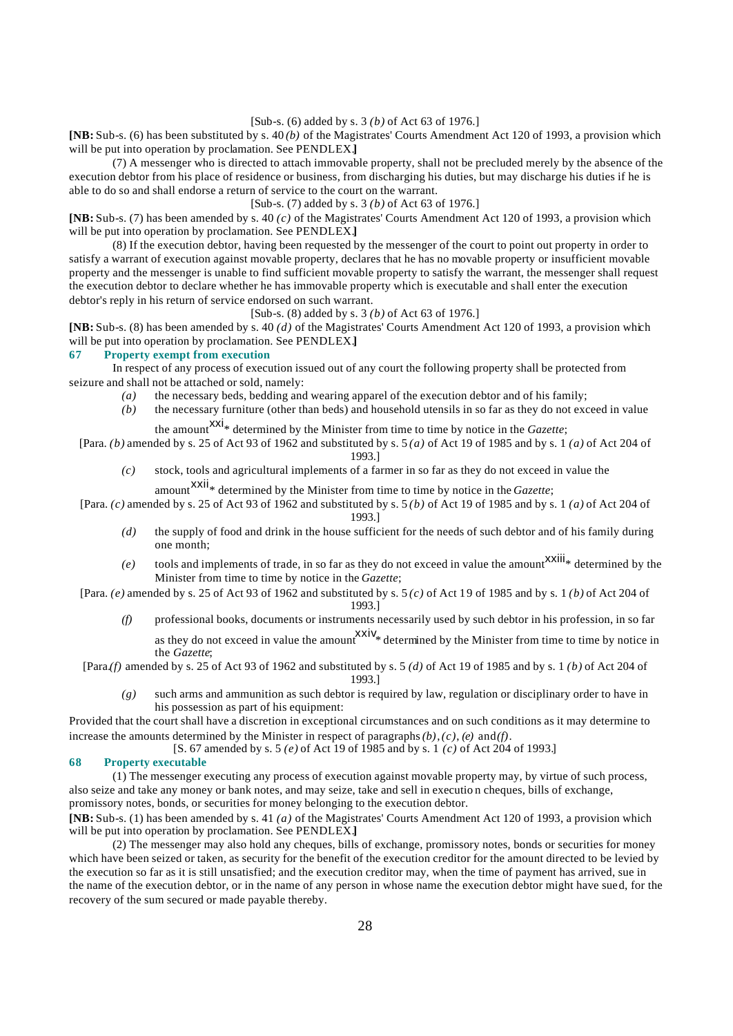[Sub-s. (6) added by s. 3 *(b)* of Act 63 of 1976.]

**[NB:** Sub-s. (6) has been substituted by s. 40 *(b)* of the Magistrates' Courts Amendment Act 120 of 1993, a provision which will be put into operation by proclamation. See PENDLEX.**]**

(7) A messenger who is directed to attach immovable property, shall not be precluded merely by the absence of the execution debtor from his place of residence or business, from discharging his duties, but may discharge his duties if he is able to do so and shall endorse a return of service to the court on the warrant.

[Sub-s. (7) added by s. 3 *(b)* of Act 63 of 1976.]

**[NB:** Sub-s. (7) has been amended by s. 40 *(c)* of the Magistrates' Courts Amendment Act 120 of 1993, a provision which will be put into operation by proclamation. See PENDLEX.**]**

(8) If the execution debtor, having been requested by the messenger of the court to point out property in order to satisfy a warrant of execution against movable property, declares that he has no movable property or insufficient movable property and the messenger is unable to find sufficient movable property to satisfy the warrant, the messenger shall request the execution debtor to declare whether he has immovable property which is executable and shall enter the execution debtor's reply in his return of service endorsed on such warrant.

[Sub-s. (8) added by s. 3 *(b)* of Act 63 of 1976.]

**[NB:** Sub-s. (8) has been amended by s. 40 *(d)* of the Magistrates' Courts Amendment Act 120 of 1993, a provision which will be put into operation by proclamation. See PENDLEX.**]**

#### **67 Property exempt from execution**

In respect of any process of execution issued out of any court the following property shall be protected from seizure and shall not be attached or sold, namely:

- *(a)* the necessary beds, bedding and wearing apparel of the execution debtor and of his family;
- *(b)* the necessary furniture (other than beds) and household utensils in so far as they do not exceed in value the amount  $\frac{xxi}{x}$  determined by the Minister from time to time by notice in the *Gazette*;

[Para. *(b)* amended by s. 25 of Act 93 of 1962 and substituted by s. 5 *(a)* of Act 19 of 1985 and by s. 1 *(a)* of Act 204 of

#### 1993.]

*(c)* stock, tools and agricultural implements of a farmer in so far as they do not exceed in value the

amount<sup>XXII</sup>\* determined by the Minister from time to time by notice in the *Gazette*;

- [Para. *(c)* amended by s. 25 of Act 93 of 1962 and substituted by s. 5 *(b)* of Act 19 of 1985 and by s. 1 *(a)* of Act 204 of 1993.]
	- *(d)* the supply of food and drink in the house sufficient for the needs of such debtor and of his family during one month;
	- $(e)$  tools and implements of trade, in so far as they do not exceed in value the amount  $\frac{xx}{iii}$  determined by the Minister from time to time by notice in the *Gazette*;
- [Para. *(e)* amended by s. 25 of Act 93 of 1962 and substituted by s. 5 *(c)* of Act 19 of 1985 and by s. 1 *(b)* of Act 204 of 1993.]
	- *(f)* professional books, documents or instruments necessarily used by such debtor in his profession, in so far as they do not exceed in value the amount  $\frac{XXIV_*}{}$  determined by the Minister from time to time by notice in the *Gazette*;
- [Para.*(f)* amended by s. 25 of Act 93 of 1962 and substituted by s. 5 *(d)* of Act 19 of 1985 and by s. 1 *(b)* of Act 204 of

1993.]

*(g)* such arms and ammunition as such debtor is required by law, regulation or disciplinary order to have in his possession as part of his equipment:

Provided that the court shall have a discretion in exceptional circumstances and on such conditions as it may determine to increase the amounts determined by the Minister in respect of paragraphs  $(b)$ ,  $(c)$ ,  $(e)$  and  $(f)$ .

[S. 67 amended by s. 5 *(e)* of Act 19 of 1985 and by s. 1 *(c)* of Act 204 of 1993.]

#### **68 Property executable**

(1) The messenger executing any process of execution against movable property may, by virtue of such process, also seize and take any money or bank notes, and may seize, take and sell in executio n cheques, bills of exchange, promissory notes, bonds, or securities for money belonging to the execution debtor.

**[NB:** Sub-s. (1) has been amended by s. 41 *(a)* of the Magistrates' Courts Amendment Act 120 of 1993, a provision which will be put into operation by proclamation. See PENDLEX.**]**

(2) The messenger may also hold any cheques, bills of exchange, promissory notes, bonds or securities for money which have been seized or taken, as security for the benefit of the execution creditor for the amount directed to be levied by the execution so far as it is still unsatisfied; and the execution creditor may, when the time of payment has arrived, sue in the name of the execution debtor, or in the name of any person in whose name the execution debtor might have sued, for the recovery of the sum secured or made payable thereby.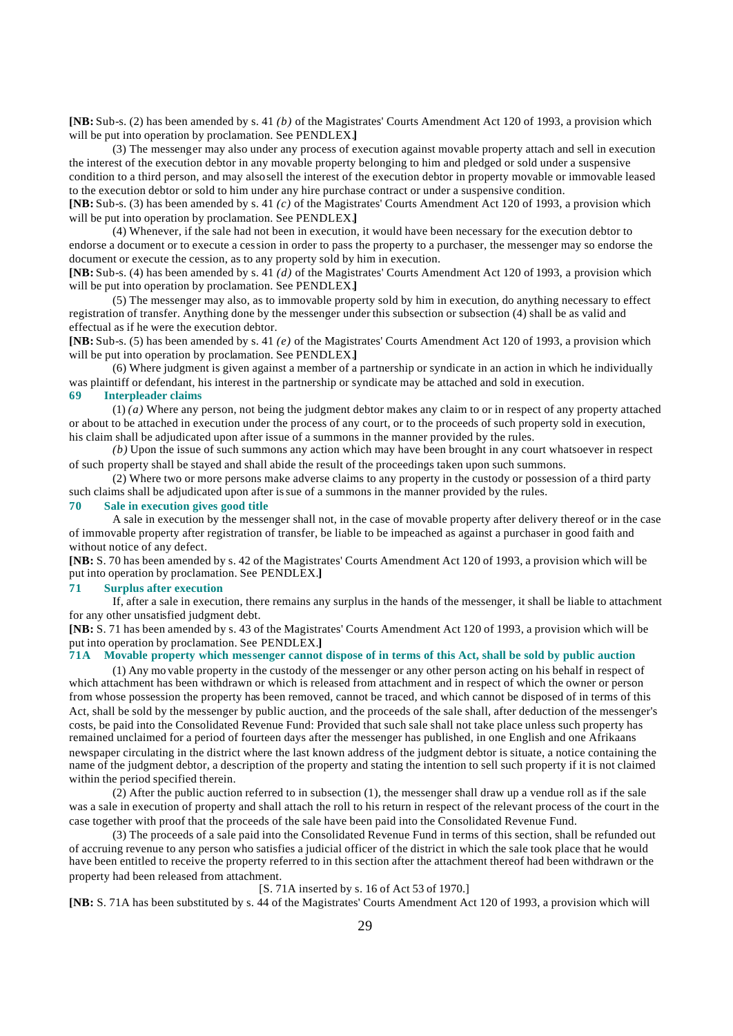**[NB:** Sub-s. (2) has been amended by s. 41 *(b)* of the Magistrates' Courts Amendment Act 120 of 1993, a provision which will be put into operation by proclamation. See PENDLEX.**]**

(3) The messenger may also under any process of execution against movable property attach and sell in execution the interest of the execution debtor in any movable property belonging to him and pledged or sold under a suspensive condition to a third person, and may also sell the interest of the execution debtor in property movable or immovable leased to the execution debtor or sold to him under any hire purchase contract or under a suspensive condition.

**[NB:** Sub-s. (3) has been amended by s. 41 *(c)* of the Magistrates' Courts Amendment Act 120 of 1993, a provision which will be put into operation by proclamation. See PENDLEX.**]**

(4) Whenever, if the sale had not been in execution, it would have been necessary for the execution debtor to endorse a document or to execute a cession in order to pass the property to a purchaser, the messenger may so endorse the document or execute the cession, as to any property sold by him in execution.

**[NB:** Sub-s. (4) has been amended by s. 41 *(d)* of the Magistrates' Courts Amendment Act 120 of 1993, a provision which will be put into operation by proclamation. See PENDLEX.**]**

(5) The messenger may also, as to immovable property sold by him in execution, do anything necessary to effect registration of transfer. Anything done by the messenger under this subsection or subsection (4) shall be as valid and effectual as if he were the execution debtor.

**[NB:** Sub-s. (5) has been amended by s. 41 *(e)* of the Magistrates' Courts Amendment Act 120 of 1993, a provision which will be put into operation by proclamation. See PENDLEX.**]**

(6) Where judgment is given against a member of a partnership or syndicate in an action in which he individually was plaintiff or defendant, his interest in the partnership or syndicate may be attached and sold in execution. **69 Interpleader claims**

(1) *(a)* Where any person, not being the judgment debtor makes any claim to or in respect of any property attached or about to be attached in execution under the process of any court, or to the proceeds of such property sold in execution, his claim shall be adjudicated upon after issue of a summons in the manner provided by the rules.

*(b)* Upon the issue of such summons any action which may have been brought in any court whatsoever in respect of such property shall be stayed and shall abide the result of the proceedings taken upon such summons.

(2) Where two or more persons make adverse claims to any property in the custody or possession of a third party such claims shall be adjudicated upon after issue of a summons in the manner provided by the rules.

# **70 Sale in execution gives good title**

A sale in execution by the messenger shall not, in the case of movable property after delivery thereof or in the case of immovable property after registration of transfer, be liable to be impeached as against a purchaser in good faith and without notice of any defect.

**[NB:** S. 70 has been amended by s. 42 of the Magistrates' Courts Amendment Act 120 of 1993, a provision which will be put into operation by proclamation. See PENDLEX.**]**

## **71 Surplus after execution**

If, after a sale in execution, there remains any surplus in the hands of the messenger, it shall be liable to attachment for any other unsatisfied judgment debt.

**[NB:** S. 71 has been amended by s. 43 of the Magistrates' Courts Amendment Act 120 of 1993, a provision which will be put into operation by proclamation. See PENDLEX.]<br>**71A** Movable property which messenger cannot

## **71A Movable property which messenger cannot dispose of in terms of this Act, shall be sold by public auction**

(1) Any mo vable property in the custody of the messenger or any other person acting on his behalf in respect of which attachment has been withdrawn or which is released from attachment and in respect of which the owner or person from whose possession the property has been removed, cannot be traced, and which cannot be disposed of in terms of this Act, shall be sold by the messenger by public auction, and the proceeds of the sale shall, after deduction of the messenger's costs, be paid into the Consolidated Revenue Fund: Provided that such sale shall not take place unless such property has remained unclaimed for a period of fourteen days after the messenger has published, in one English and one Afrikaans newspaper circulating in the district where the last known address of the judgment debtor is situate, a notice containing the name of the judgment debtor, a description of the property and stating the intention to sell such property if it is not claimed within the period specified therein.

(2) After the public auction referred to in subsection (1), the messenger shall draw up a vendue roll as if the sale was a sale in execution of property and shall attach the roll to his return in respect of the relevant process of the court in the case together with proof that the proceeds of the sale have been paid into the Consolidated Revenue Fund.

(3) The proceeds of a sale paid into the Consolidated Revenue Fund in terms of this section, shall be refunded out of accruing revenue to any person who satisfies a judicial officer of the district in which the sale took place that he would have been entitled to receive the property referred to in this section after the attachment thereof had been withdrawn or the property had been released from attachment.

#### [S. 71A inserted by s. 16 of Act 53 of 1970.]

**[NB:** S. 71A has been substituted by s. 44 of the Magistrates' Courts Amendment Act 120 of 1993, a provision which will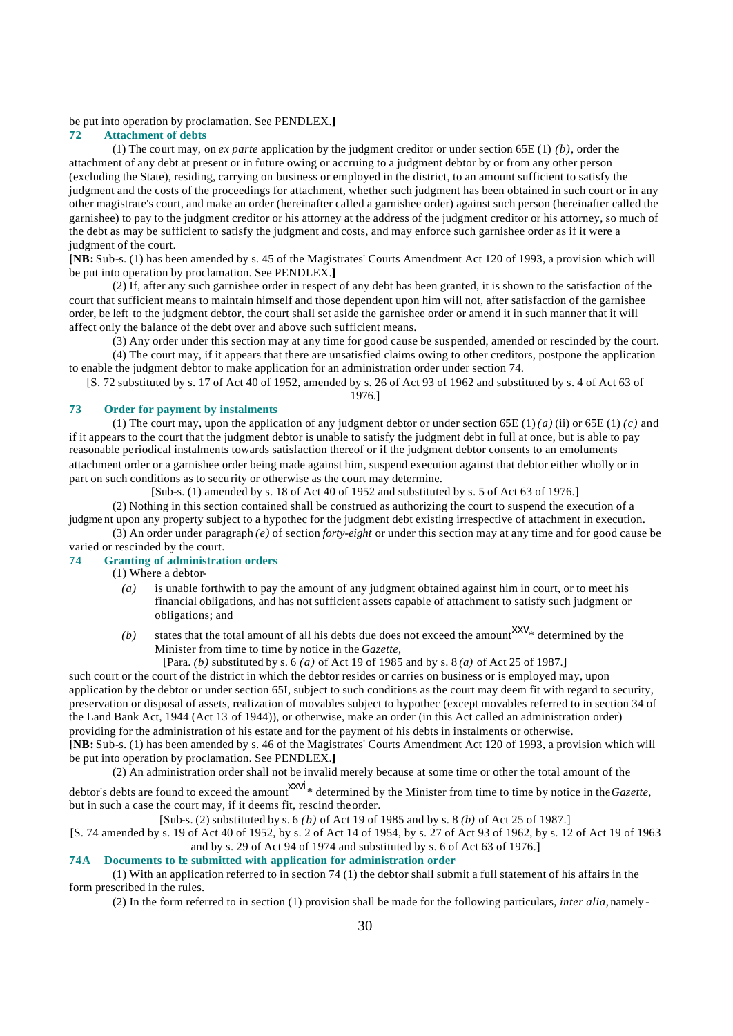#### be put into operation by proclamation. See PENDLEX.**]**

#### **72 Attachment of debts**

(1) The court may, on *ex parte* application by the judgment creditor or under section 65E (1) *(b)*, order the attachment of any debt at present or in future owing or accruing to a judgment debtor by or from any other person (excluding the State), residing, carrying on business or employed in the district, to an amount sufficient to satisfy the judgment and the costs of the proceedings for attachment, whether such judgment has been obtained in such court or in any other magistrate's court, and make an order (hereinafter called a garnishee order) against such person (hereinafter called the garnishee) to pay to the judgment creditor or his attorney at the address of the judgment creditor or his attorney, so much of the debt as may be sufficient to satisfy the judgment and costs, and may enforce such garnishee order as if it were a judgment of the court.

**[NB:** Sub-s. (1) has been amended by s. 45 of the Magistrates' Courts Amendment Act 120 of 1993, a provision which will be put into operation by proclamation. See PENDLEX.**]**

(2) If, after any such garnishee order in respect of any debt has been granted, it is shown to the satisfaction of the court that sufficient means to maintain himself and those dependent upon him will not, after satisfaction of the garnishee order, be left to the judgment debtor, the court shall set aside the garnishee order or amend it in such manner that it will affect only the balance of the debt over and above such sufficient means.

(3) Any order under this section may at any time for good cause be suspended, amended or rescinded by the court.

(4) The court may, if it appears that there are unsatisfied claims owing to other creditors, postpone the application to enable the judgment debtor to make application for an administration order under section 74.

[S. 72 substituted by s. 17 of Act 40 of 1952, amended by s. 26 of Act 93 of 1962 and substituted by s. 4 of Act 63 of 1976.]

# **73 Order for payment by instalments**

(1) The court may, upon the application of any judgment debtor or under section 65E (1) *(a)* (ii) or 65E (1) *(c)* and if it appears to the court that the judgment debtor is unable to satisfy the judgment debt in full at once, but is able to pay reasonable periodical instalments towards satisfaction thereof or if the judgment debtor consents to an emoluments attachment order or a garnishee order being made against him, suspend execution against that debtor either wholly or in part on such conditions as to security or otherwise as the court may determine.

[Sub-s. (1) amended by s. 18 of Act 40 of 1952 and substituted by s. 5 of Act 63 of 1976.]

(2) Nothing in this section contained shall be construed as authorizing the court to suspend the execution of a judgme nt upon any property subject to a hypothec for the judgment debt existing irrespective of attachment in execution.

(3) An order under paragraph *(e)* of section *forty-eight* or under this section may at any time and for good cause be varied or rescinded by the court.

# **74 Granting of administration orders**

(1) Where a debtor-

- *(a)* is unable forthwith to pay the amount of any judgment obtained against him in court, or to meet his financial obligations, and has not sufficient assets capable of attachment to satisfy such judgment or obligations; and
- $(b)$  states that the total amount of all his debts due does not exceed the amount  $\frac{xxv_*}{x}$  determined by the Minister from time to time by notice in the *Gazette*,

[Para. *(b)* substituted by s. 6 *(a)* of Act 19 of 1985 and by s. 8 *(a)* of Act 25 of 1987.]

such court or the court of the district in which the debtor resides or carries on business or is employed may, upon application by the debtor or under section 65I, subject to such conditions as the court may deem fit with regard to security, preservation or disposal of assets, realization of movables subject to hypothec (except movables referred to in section 34 of the Land Bank Act, 1944 (Act 13 of 1944)), or otherwise, make an order (in this Act called an administration order) providing for the administration of his estate and for the payment of his debts in instalments or otherwise. **[NB:** Sub-s. (1) has been amended by s. 46 of the Magistrates' Courts Amendment Act 120 of 1993, a provision which will be put into operation by proclamation. See PENDLEX.**]**

(2) An administration order shall not be invalid merely because at some time or other the total amount of the

debtor's debts are found to exceed the amount xxvi<sup>\*</sup> determined by the Minister from time to time by notice in the *Gazette*, but in such a case the court may, if it deems fit, rescind the order.

[Sub-s. (2) substituted by s. 6 *(b)* of Act 19 of 1985 and by s. 8 *(b)* of Act 25 of 1987.]

[S. 74 amended by s. 19 of Act 40 of 1952, by s. 2 of Act 14 of 1954, by s. 27 of Act 93 of 1962, by s. 12 of Act 19 of 1963 and by s. 29 of Act 94 of 1974 and substituted by s. 6 of Act 63 of 1976.]

## **74A Documents to be submitted with application for administration order**

(1) With an application referred to in section 74 (1) the debtor shall submit a full statement of his affairs in the form prescribed in the rules.

(2) In the form referred to in section (1) provision shall be made for the following particulars, *inter alia*, namely -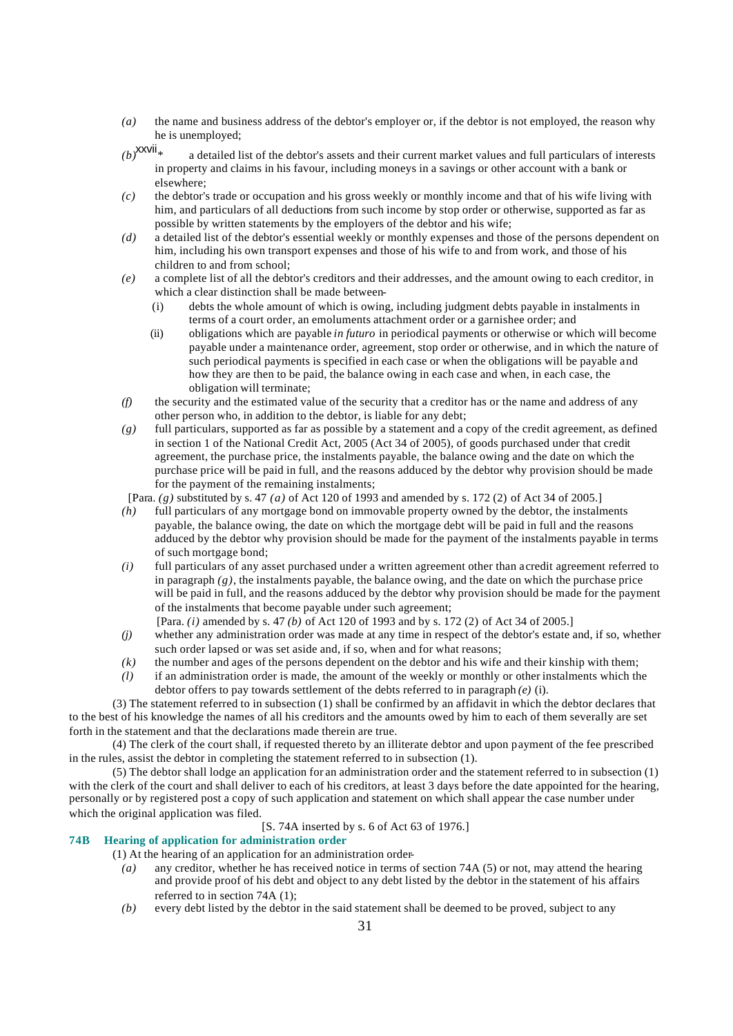*(a)* the name and business address of the debtor's employer or, if the debtor is not employed, the reason why he is unemployed;

- $(b)$ <sup>XXVII</sup><sup>\*</sup> a detailed list of the debtor's assets and their current market values and full particulars of interests in property and claims in his favour, including moneys in a savings or other account with a bank or elsewhere;
- *(c)* the debtor's trade or occupation and his gross weekly or monthly income and that of his wife living with him, and particulars of all deductions from such income by stop order or otherwise, supported as far as possible by written statements by the employers of the debtor and his wife;
- *(d)* a detailed list of the debtor's essential weekly or monthly expenses and those of the persons dependent on him, including his own transport expenses and those of his wife to and from work, and those of his children to and from school;
- *(e)* a complete list of all the debtor's creditors and their addresses, and the amount owing to each creditor, in which a clear distinction shall be made between-
	- (i) debts the whole amount of which is owing, including judgment debts payable in instalments in terms of a court order, an emoluments attachment order or a garnishee order; and
	- (ii) obligations which are payable *in futuro* in periodical payments or otherwise or which will become payable under a maintenance order, agreement, stop order or otherwise, and in which the nature of such periodical payments is specified in each case or when the obligations will be payable and how they are then to be paid, the balance owing in each case and when, in each case, the obligation will terminate;
- *(f)* the security and the estimated value of the security that a creditor has or the name and address of any other person who, in addition to the debtor, is liable for any debt;
- *(g)* full particulars, supported as far as possible by a statement and a copy of the credit agreement, as defined in section 1 of the National Credit Act, 2005 (Act 34 of 2005), of goods purchased under that credit agreement, the purchase price, the instalments payable, the balance owing and the date on which the purchase price will be paid in full, and the reasons adduced by the debtor why provision should be made for the payment of the remaining instalments;

[Para. *(g)* substituted by s. 47 *(a)* of Act 120 of 1993 and amended by s. 172 (2) of Act 34 of 2005.]

- *(h)* full particulars of any mortgage bond on immovable property owned by the debtor, the instalments payable, the balance owing, the date on which the mortgage debt will be paid in full and the reasons adduced by the debtor why provision should be made for the payment of the instalments payable in terms of such mortgage bond;
- *(i)* full particulars of any asset purchased under a written agreement other than a credit agreement referred to in paragraph  $(g)$ , the instalments payable, the balance owing, and the date on which the purchase price will be paid in full, and the reasons adduced by the debtor why provision should be made for the payment of the instalments that become payable under such agreement;
	- [Para. *(i)* amended by s. 47 *(b)* of Act 120 of 1993 and by s. 172 (2) of Act 34 of 2005.]
- *(j)* whether any administration order was made at any time in respect of the debtor's estate and, if so, whether such order lapsed or was set aside and, if so, when and for what reasons;
- *(k)* the number and ages of the persons dependent on the debtor and his wife and their kinship with them;
- *(l)* if an administration order is made, the amount of the weekly or monthly or other instalments which the debtor offers to pay towards settlement of the debts referred to in paragraph *(e)* (i).

(3) The statement referred to in subsection (1) shall be confirmed by an affidavit in which the debtor declares that to the best of his knowledge the names of all his creditors and the amounts owed by him to each of them severally are set forth in the statement and that the declarations made therein are true.

(4) The clerk of the court shall, if requested thereto by an illiterate debtor and upon payment of the fee prescribed in the rules, assist the debtor in completing the statement referred to in subsection (1).

(5) The debtor shall lodge an application for an administration order and the statement referred to in subsection (1) with the clerk of the court and shall deliver to each of his creditors, at least 3 days before the date appointed for the hearing, personally or by registered post a copy of such application and statement on which shall appear the case number under which the original application was filed.

[S. 74A inserted by s. 6 of Act 63 of 1976.]

# **74B Hearing of application for administration order**

(1) At the hearing of an application for an administration order-

- *(a)* any creditor, whether he has received notice in terms of section 74A (5) or not, may attend the hearing and provide proof of his debt and object to any debt listed by the debtor in the statement of his affairs referred to in section 74A (1);
- *(b)* every debt listed by the debtor in the said statement shall be deemed to be proved, subject to any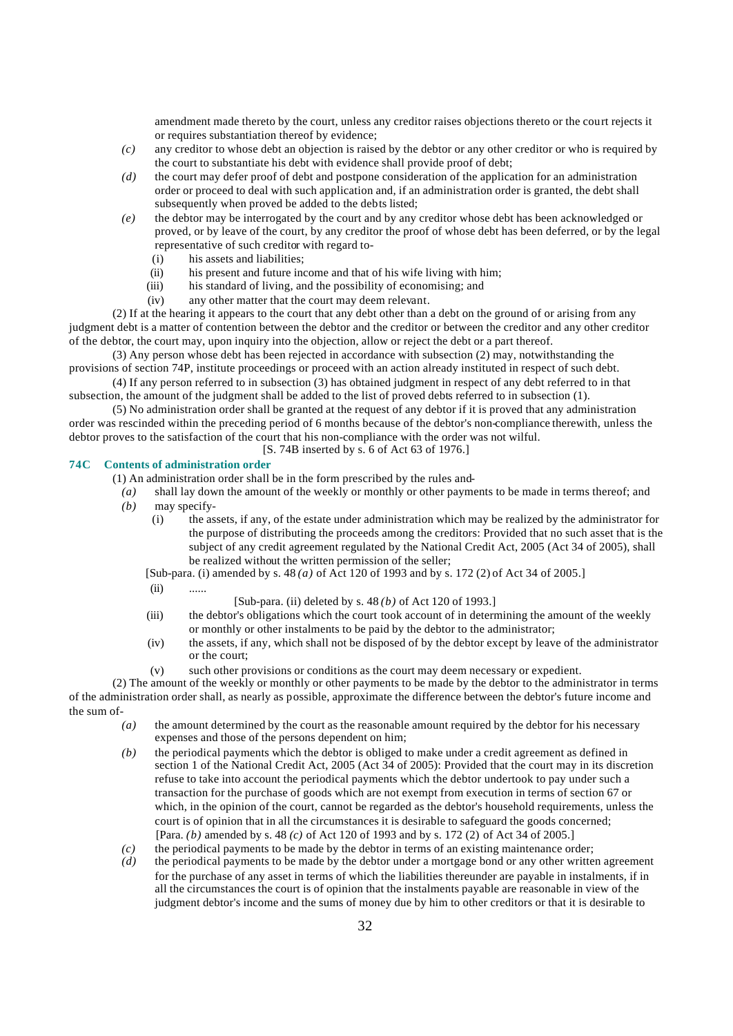amendment made thereto by the court, unless any creditor raises objections thereto or the court rejects it or requires substantiation thereof by evidence;

- *(c)* any creditor to whose debt an objection is raised by the debtor or any other creditor or who is required by the court to substantiate his debt with evidence shall provide proof of debt;
- *(d)* the court may defer proof of debt and postpone consideration of the application for an administration order or proceed to deal with such application and, if an administration order is granted, the debt shall subsequently when proved be added to the debts listed;
- *(e)* the debtor may be interrogated by the court and by any creditor whose debt has been acknowledged or proved, or by leave of the court, by any creditor the proof of whose debt has been deferred, or by the legal representative of such creditor with regard to-
	- (i) his assets and liabilities;
	- (ii) his present and future income and that of his wife living with him;
	- (iii) his standard of living, and the possibility of economising; and
	- (iv) any other matter that the court may deem relevant.

(2) If at the hearing it appears to the court that any debt other than a debt on the ground of or arising from any judgment debt is a matter of contention between the debtor and the creditor or between the creditor and any other creditor of the debtor, the court may, upon inquiry into the objection, allow or reject the debt or a part thereof.

(3) Any person whose debt has been rejected in accordance with subsection (2) may, notwithstanding the provisions of section 74P, institute proceedings or proceed with an action already instituted in respect of such debt.

(4) If any person referred to in subsection (3) has obtained judgment in respect of any debt referred to in that subsection, the amount of the judgment shall be added to the list of proved debts referred to in subsection (1).

(5) No administration order shall be granted at the request of any debtor if it is proved that any administration order was rescinded within the preceding period of 6 months because of the debtor's non-compliance therewith, unless the debtor proves to the satisfaction of the court that his non-compliance with the order was not wilful.

# [S. 74B inserted by s. 6 of Act 63 of 1976.]

# **74C Contents of administration order**

(1) An administration order shall be in the form prescribed by the rules and-

- *(a)* shall lay down the amount of the weekly or monthly or other payments to be made in terms thereof; and *(b)* may specify-
	- (i) the assets, if any, of the estate under administration which may be realized by the administrator for the purpose of distributing the proceeds among the creditors: Provided that no such asset that is the subject of any credit agreement regulated by the National Credit Act, 2005 (Act 34 of 2005), shall be realized without the written permission of the seller;
	- [Sub-para. (i) amended by s. 48 *(a)* of Act 120 of 1993 and by s. 172 (2) of Act 34 of 2005.]
	- $(ii)$  ......
- [Sub-para. (ii) deleted by s. 48 *(b)* of Act 120 of 1993.]
- (iii) the debtor's obligations which the court took account of in determining the amount of the weekly or monthly or other instalments to be paid by the debtor to the administrator;
- (iv) the assets, if any, which shall not be disposed of by the debtor except by leave of the administrator or the court;
- (v) such other provisions or conditions as the court may deem necessary or expedient.

(2) The amount of the weekly or monthly or other payments to be made by the debtor to the administrator in terms of the administration order shall, as nearly as possible, approximate the difference between the debtor's future income and the sum of-

- *(a)* the amount determined by the court as the reasonable amount required by the debtor for his necessary expenses and those of the persons dependent on him;
- *(b)* the periodical payments which the debtor is obliged to make under a credit agreement as defined in section 1 of the National Credit Act, 2005 (Act 34 of 2005): Provided that the court may in its discretion refuse to take into account the periodical payments which the debtor undertook to pay under such a transaction for the purchase of goods which are not exempt from execution in terms of section 67 or which, in the opinion of the court, cannot be regarded as the debtor's household requirements, unless the court is of opinion that in all the circumstances it is desirable to safeguard the goods concerned; [Para. *(b)* amended by s. 48 *(c)* of Act 120 of 1993 and by s. 172 (2) of Act 34 of 2005.]
- *(c)* the periodical payments to be made by the debtor in terms of an existing maintenance order;
- *(d)* the periodical payments to be made by the debtor under a mortgage bond or any other written agreement for the purchase of any asset in terms of which the liabilities thereunder are payable in instalments, if in all the circumstances the court is of opinion that the instalments payable are reasonable in view of the judgment debtor's income and the sums of money due by him to other creditors or that it is desirable to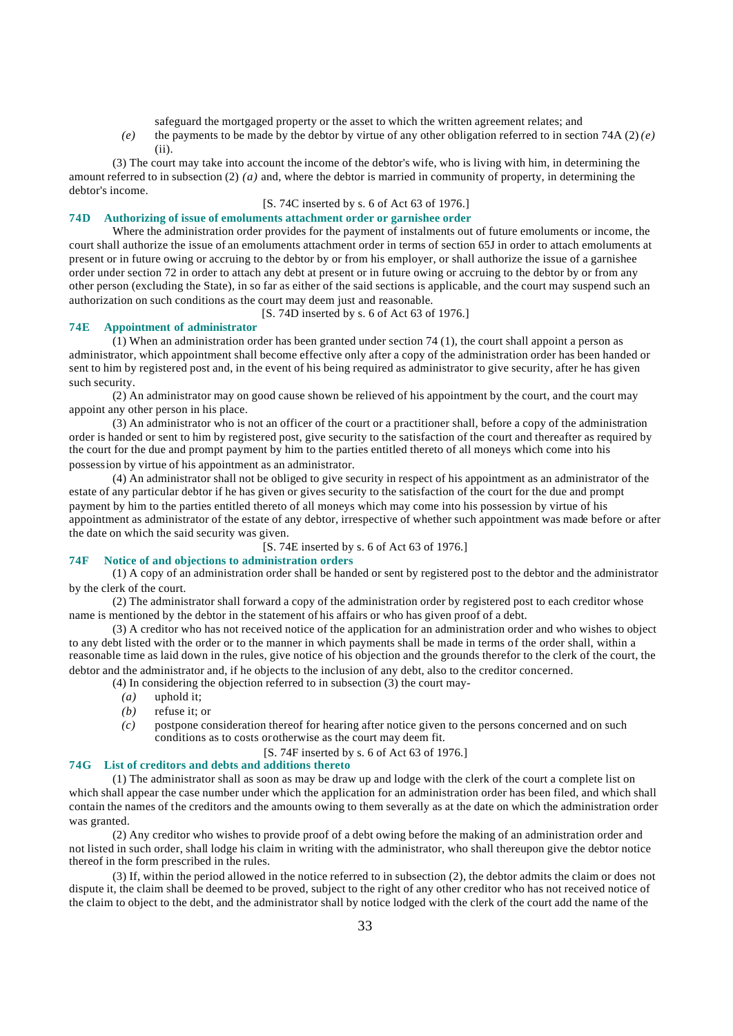safeguard the mortgaged property or the asset to which the written agreement relates; and

*(e)* the payments to be made by the debtor by virtue of any other obligation referred to in section 74A (2)  $(e)$ (ii).

(3) The court may take into account the income of the debtor's wife, who is living with him, in determining the amount referred to in subsection (2) *(a)* and, where the debtor is married in community of property, in determining the debtor's income.

## [S. 74C inserted by s. 6 of Act 63 of 1976.]

# **74D Authorizing of issue of emoluments attachment order or garnishee order**

Where the administration order provides for the payment of instalments out of future emoluments or income, the court shall authorize the issue of an emoluments attachment order in terms of section 65J in order to attach emoluments at present or in future owing or accruing to the debtor by or from his employer, or shall authorize the issue of a garnishee order under section 72 in order to attach any debt at present or in future owing or accruing to the debtor by or from any other person (excluding the State), in so far as either of the said sections is applicable, and the court may suspend such an authorization on such conditions as the court may deem just and reasonable.

[S. 74D inserted by s. 6 of Act 63 of 1976.]

#### **74E Appointment of administrator**

(1) When an administration order has been granted under section 74 (1), the court shall appoint a person as administrator, which appointment shall become effective only after a copy of the administration order has been handed or sent to him by registered post and, in the event of his being required as administrator to give security, after he has given such security.

(2) An administrator may on good cause shown be relieved of his appointment by the court, and the court may appoint any other person in his place.

(3) An administrator who is not an officer of the court or a practitioner shall, before a copy of the administration order is handed or sent to him by registered post, give security to the satisfaction of the court and thereafter as required by the court for the due and prompt payment by him to the parties entitled thereto of all moneys which come into his possession by virtue of his appointment as an administrator.

(4) An administrator shall not be obliged to give security in respect of his appointment as an administrator of the estate of any particular debtor if he has given or gives security to the satisfaction of the court for the due and prompt payment by him to the parties entitled thereto of all moneys which may come into his possession by virtue of his appointment as administrator of the estate of any debtor, irrespective of whether such appointment was made before or after the date on which the said security was given.

[S. 74E inserted by s. 6 of Act 63 of 1976.]

# **74F Notice of and objections to administration orders**

(1) A copy of an administration order shall be handed or sent by registered post to the debtor and the administrator by the clerk of the court.

(2) The administrator shall forward a copy of the administration order by registered post to each creditor whose name is mentioned by the debtor in the statement of his affairs or who has given proof of a debt.

(3) A creditor who has not received notice of the application for an administration order and who wishes to object to any debt listed with the order or to the manner in which payments shall be made in terms of the order shall, within a reasonable time as laid down in the rules, give notice of his objection and the grounds therefor to the clerk of the court, the debtor and the administrator and, if he objects to the inclusion of any debt, also to the creditor concerned.

- (4) In considering the objection referred to in subsection (3) the court may-
	- *(a)* uphold it;
	- *(b)* refuse it; or
	- *(c)* postpone consideration thereof for hearing after notice given to the persons concerned and on such conditions as to costs or otherwise as the court may deem fit.
		- [S. 74F inserted by s. 6 of Act 63 of 1976.]

# **74G List of creditors and debts and additions thereto**

(1) The administrator shall as soon as may be draw up and lodge with the clerk of the court a complete list on which shall appear the case number under which the application for an administration order has been filed, and which shall contain the names of the creditors and the amounts owing to them severally as at the date on which the administration order was granted.

(2) Any creditor who wishes to provide proof of a debt owing before the making of an administration order and not listed in such order, shall lodge his claim in writing with the administrator, who shall thereupon give the debtor notice thereof in the form prescribed in the rules.

(3) If, within the period allowed in the notice referred to in subsection (2), the debtor admits the claim or does not dispute it, the claim shall be deemed to be proved, subject to the right of any other creditor who has not received notice of the claim to object to the debt, and the administrator shall by notice lodged with the clerk of the court add the name of the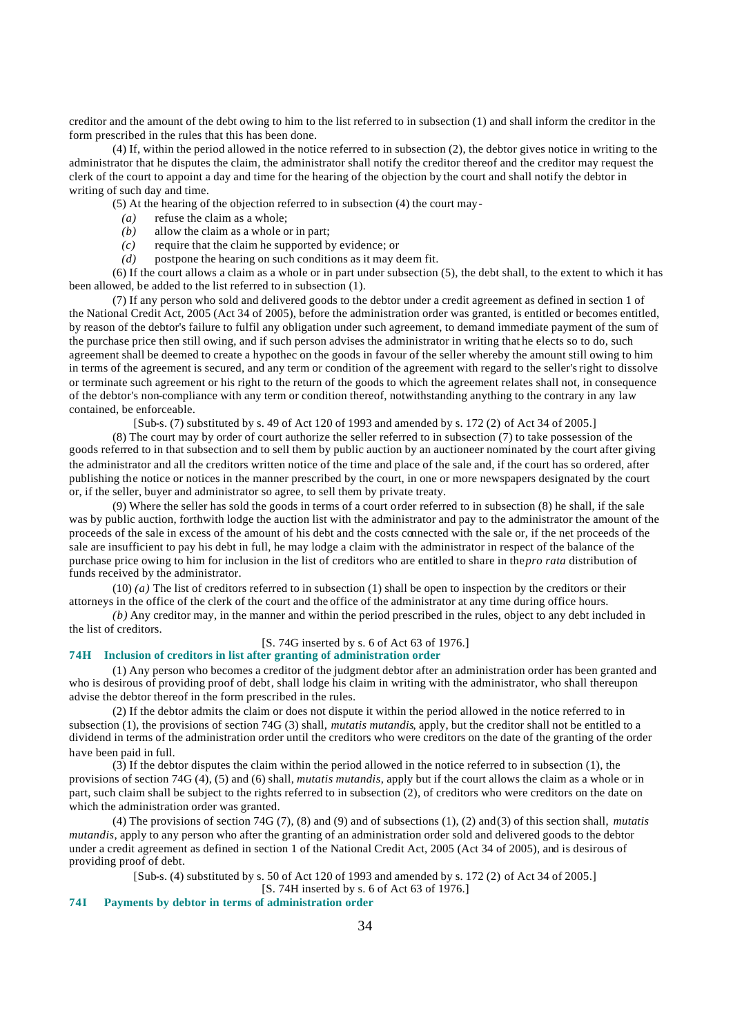creditor and the amount of the debt owing to him to the list referred to in subsection (1) and shall inform the creditor in the form prescribed in the rules that this has been done.

(4) If, within the period allowed in the notice referred to in subsection (2), the debtor gives notice in writing to the administrator that he disputes the claim, the administrator shall notify the creditor thereof and the creditor may request the clerk of the court to appoint a day and time for the hearing of the objection by the court and shall notify the debtor in writing of such day and time.

(5) At the hearing of the objection referred to in subsection (4) the court may-

- *(a)* refuse the claim as a whole;
- *(b)* allow the claim as a whole or in part;
- *(c)* require that the claim he supported by evidence; or
- *(d)* postpone the hearing on such conditions as it may deem fit.

(6) If the court allows a claim as a whole or in part under subsection (5), the debt shall, to the extent to which it has been allowed, be added to the list referred to in subsection (1).

(7) If any person who sold and delivered goods to the debtor under a credit agreement as defined in section 1 of the National Credit Act, 2005 (Act 34 of 2005), before the administration order was granted, is entitled or becomes entitled, by reason of the debtor's failure to fulfil any obligation under such agreement, to demand immediate payment of the sum of the purchase price then still owing, and if such person advises the administrator in writing that he elects so to do, such agreement shall be deemed to create a hypothec on the goods in favour of the seller whereby the amount still owing to him in terms of the agreement is secured, and any term or condition of the agreement with regard to the seller's right to dissolve or terminate such agreement or his right to the return of the goods to which the agreement relates shall not, in consequence of the debtor's non-compliance with any term or condition thereof, notwithstanding anything to the contrary in any law contained, be enforceable.

[Sub-s. (7) substituted by s. 49 of Act 120 of 1993 and amended by s. 172 (2) of Act 34 of 2005.]

(8) The court may by order of court authorize the seller referred to in subsection (7) to take possession of the goods referred to in that subsection and to sell them by public auction by an auctioneer nominated by the court after giving the administrator and all the creditors written notice of the time and place of the sale and, if the court has so ordered, after publishing the notice or notices in the manner prescribed by the court, in one or more newspapers designated by the court or, if the seller, buyer and administrator so agree, to sell them by private treaty.

(9) Where the seller has sold the goods in terms of a court order referred to in subsection (8) he shall, if the sale was by public auction, forthwith lodge the auction list with the administrator and pay to the administrator the amount of the proceeds of the sale in excess of the amount of his debt and the costs connected with the sale or, if the net proceeds of the sale are insufficient to pay his debt in full, he may lodge a claim with the administrator in respect of the balance of the purchase price owing to him for inclusion in the list of creditors who are entitled to share in the *pro rata* distribution of funds received by the administrator.

 $(10)$  *(a)* The list of creditors referred to in subsection (1) shall be open to inspection by the creditors or their attorneys in the office of the clerk of the court and the office of the administrator at any time during office hours.

*(b)* Any creditor may, in the manner and within the period prescribed in the rules, object to any debt included in the list of creditors.

# [S. 74G inserted by s. 6 of Act 63 of 1976.]

# **74H Inclusion of creditors in list after granting of administration order**

(1) Any person who becomes a creditor of the judgment debtor after an administration order has been granted and who is desirous of providing proof of debt, shall lodge his claim in writing with the administrator, who shall thereupon advise the debtor thereof in the form prescribed in the rules.

(2) If the debtor admits the claim or does not dispute it within the period allowed in the notice referred to in subsection (1), the provisions of section 74G (3) shall, *mutatis mutandis*, apply, but the creditor shall not be entitled to a dividend in terms of the administration order until the creditors who were creditors on the date of the granting of the order have been paid in full.

(3) If the debtor disputes the claim within the period allowed in the notice referred to in subsection (1), the provisions of section 74G (4), (5) and (6) shall, *mutatis mutandis*, apply but if the court allows the claim as a whole or in part, such claim shall be subject to the rights referred to in subsection (2), of creditors who were creditors on the date on which the administration order was granted.

(4) The provisions of section 74G (7), (8) and (9) and of subsections (1), (2) and (3) of this section shall, *mutatis mutandis*, apply to any person who after the granting of an administration order sold and delivered goods to the debtor under a credit agreement as defined in section 1 of the National Credit Act, 2005 (Act 34 of 2005), and is desirous of providing proof of debt.

[Sub-s. (4) substituted by s. 50 of Act 120 of 1993 and amended by s. 172 (2) of Act 34 of 2005.]

[S. 74H inserted by s. 6 of Act 63 of 1976.]

# **74I Payments by debtor in terms of administration order**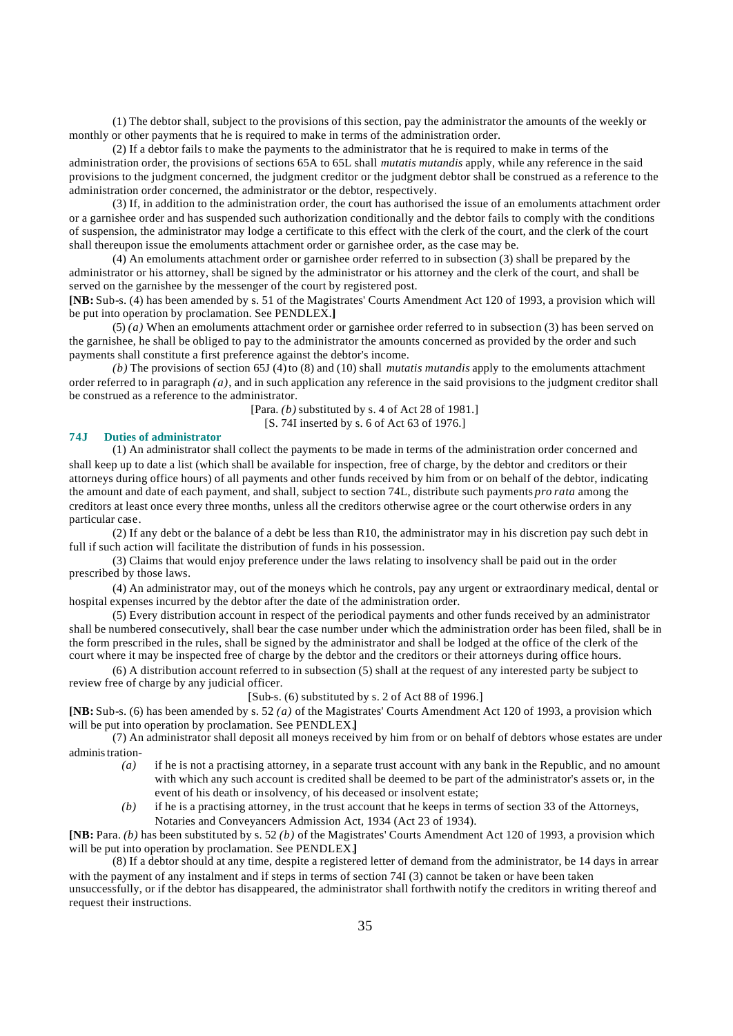(1) The debtor shall, subject to the provisions of this section, pay the administrator the amounts of the weekly or monthly or other payments that he is required to make in terms of the administration order.

(2) If a debtor fails to make the payments to the administrator that he is required to make in terms of the administration order, the provisions of sections 65A to 65L shall *mutatis mutandis* apply, while any reference in the said provisions to the judgment concerned, the judgment creditor or the judgment debtor shall be construed as a reference to the administration order concerned, the administrator or the debtor, respectively.

(3) If, in addition to the administration order, the court has authorised the issue of an emoluments attachment order or a garnishee order and has suspended such authorization conditionally and the debtor fails to comply with the conditions of suspension, the administrator may lodge a certificate to this effect with the clerk of the court, and the clerk of the court shall thereupon issue the emoluments attachment order or garnishee order, as the case may be.

(4) An emoluments attachment order or garnishee order referred to in subsection (3) shall be prepared by the administrator or his attorney, shall be signed by the administrator or his attorney and the clerk of the court, and shall be served on the garnishee by the messenger of the court by registered post.

**[NB:** Sub-s. (4) has been amended by s. 51 of the Magistrates' Courts Amendment Act 120 of 1993, a provision which will be put into operation by proclamation. See PENDLEX.**]**

(5) *(a)* When an emoluments attachment order or garnishee order referred to in subsection (3) has been served on the garnishee, he shall be obliged to pay to the administrator the amounts concerned as provided by the order and such payments shall constitute a first preference against the debtor's income.

*(b)* The provisions of section 65J (4) to (8) and (10) shall *mutatis mutandis* apply to the emoluments attachment order referred to in paragraph *(a)*, and in such application any reference in the said provisions to the judgment creditor shall be construed as a reference to the administrator.

> [Para. *(b)* substituted by s. 4 of Act 28 of 1981.] [S. 74I inserted by s. 6 of Act 63 of 1976.]

# **74J Duties of administrator**

(1) An administrator shall collect the payments to be made in terms of the administration order concerned and shall keep up to date a list (which shall be available for inspection, free of charge, by the debtor and creditors or their attorneys during office hours) of all payments and other funds received by him from or on behalf of the debtor, indicating the amount and date of each payment, and shall, subject to section 74L, distribute such payments *pro rata* among the creditors at least once every three months, unless all the creditors otherwise agree or the court otherwise orders in any particular case.

(2) If any debt or the balance of a debt be less than R10, the administrator may in his discretion pay such debt in full if such action will facilitate the distribution of funds in his possession.

(3) Claims that would enjoy preference under the laws relating to insolvency shall be paid out in the order prescribed by those laws.

(4) An administrator may, out of the moneys which he controls, pay any urgent or extraordinary medical, dental or hospital expenses incurred by the debtor after the date of the administration order.

(5) Every distribution account in respect of the periodical payments and other funds received by an administrator shall be numbered consecutively, shall bear the case number under which the administration order has been filed, shall be in the form prescribed in the rules, shall be signed by the administrator and shall be lodged at the office of the clerk of the court where it may be inspected free of charge by the debtor and the creditors or their attorneys during office hours.

(6) A distribution account referred to in subsection (5) shall at the request of any interested party be subject to review free of charge by any judicial officer.

#### [Sub-s. (6) substituted by s. 2 of Act 88 of 1996.]

**[NB:** Sub-s. (6) has been amended by s. 52 *(a)* of the Magistrates' Courts Amendment Act 120 of 1993, a provision which will be put into operation by proclamation. See PENDLEX.**]**

(7) An administrator shall deposit all moneys received by him from or on behalf of debtors whose estates are under administration-

- *(a)* if he is not a practising attorney, in a separate trust account with any bank in the Republic, and no amount with which any such account is credited shall be deemed to be part of the administrator's assets or, in the event of his death or insolvency, of his deceased or insolvent estate;
- *(b)* if he is a practising attorney, in the trust account that he keeps in terms of section 33 of the Attorneys, Notaries and Conveyancers Admission Act, 1934 (Act 23 of 1934).

**[NB:** Para. *(b)* has been substituted by s. 52 *(b)* of the Magistrates' Courts Amendment Act 120 of 1993, a provision which will be put into operation by proclamation. See PENDLEX.**]**

(8) If a debtor should at any time, despite a registered letter of demand from the administrator, be 14 days in arrear with the payment of any instalment and if steps in terms of section 74I (3) cannot be taken or have been taken

unsuccessfully, or if the debtor has disappeared, the administrator shall forthwith notify the creditors in writing thereof and request their instructions.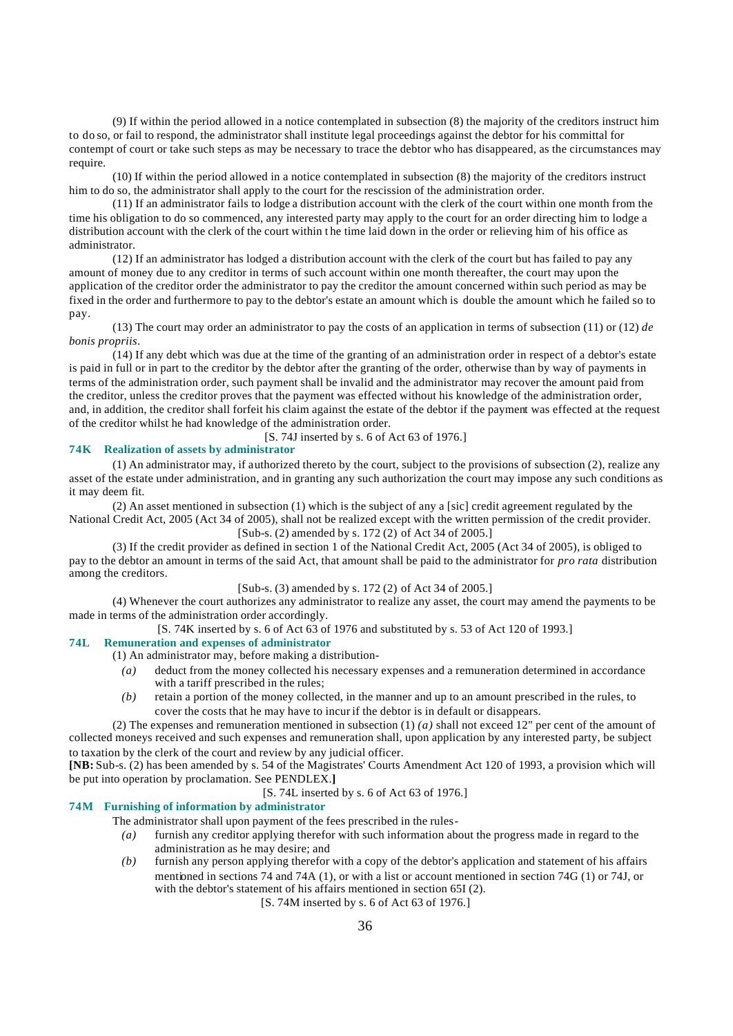(9) If within the period allowed in a notice contemplated in subsection (8) the majority of the creditors instruct him to do so, or fail to respond, the administrator shall institute legal proceedings against the debtor for his committal for contempt of court or take such steps as may be necessary to trace the debtor who has disappeared, as the circumstances may require.

(10) If within the period allowed in a notice contemplated in subsection (8) the majority of the creditors instruct him to do so, the administrator shall apply to the court for the rescission of the administration order.

(11) If an administrator fails to lodge a distribution account with the clerk of the court within one month from the time his obligation to do so commenced, any interested party may apply to the court for an order directing him to lodge a distribution account with the clerk of the court within t he time laid down in the order or relieving him of his office as administrator.

(12) If an administrator has lodged a distribution account with the clerk of the court but has failed to pay any amount of money due to any creditor in terms of such account within one month thereafter, the court may upon the application of the creditor order the administrator to pay the creditor the amount concerned within such period as may be fixed in the order and furthermore to pay to the debtor's estate an amount which is double the amount which he failed so to pay.

(13) The court may order an administrator to pay the costs of an application in terms of subsection (11) or (12) *de bonis propriis*.

(14) If any debt which was due at the time of the granting of an administration order in respect of a debtor's estate is paid in full or in part to the creditor by the debtor after the granting of the order, otherwise than by way of payments in terms of the administration order, such payment shall be invalid and the administrator may recover the amount paid from the creditor, unless the creditor proves that the payment was effected without his knowledge of the administration order, and, in addition, the creditor shall forfeit his claim against the estate of the debtor if the payment was effected at the request of the creditor whilst he had knowledge of the administration order.

[S. 74J inserted by s. 6 of Act 63 of 1976.]

# **74K Realization of assets by administrator**

(1) An administrator may, if authorized thereto by the court, subject to the provisions of subsection (2), realize any asset of the estate under administration, and in granting any such authorization the court may impose any such conditions as it may deem fit.

(2) An asset mentioned in subsection (1) which is the subject of any a [sic] credit agreement regulated by the National Credit Act, 2005 (Act 34 of 2005), shall not be realized except with the written permission of the credit provider. [Sub-s. (2) amended by s. 172 (2) of Act 34 of 2005.]

(3) If the credit provider as defined in section 1 of the National Credit Act, 2005 (Act 34 of 2005), is obliged to pay to the debtor an amount in terms of the said Act, that amount shall be paid to the administrator for *pro rata* distribution among the creditors.

[Sub-s. (3) amended by s. 172 (2) of Act 34 of 2005.]

(4) Whenever the court authorizes any administrator to realize any asset, the court may amend the payments to be made in terms of the administration order accordingly.

[S. 74K inserted by s. 6 of Act 63 of 1976 and substituted by s. 53 of Act 120 of 1993.]

# **74L Remuneration and expenses of administrator**

(1) An administrator may, before making a distribution-

- *(a)* deduct from the money collected his necessary expenses and a remuneration determined in accordance with a tariff prescribed in the rules;
- *(b)* retain a portion of the money collected, in the manner and up to an amount prescribed in the rules, to cover the costs that he may have to incur if the debtor is in default or disappears.

(2) The expenses and remuneration mentioned in subsection  $(1)$  *(a)* shall not exceed 12" per cent of the amount of collected moneys received and such expenses and remuneration shall, upon application by any interested party, be subject to taxation by the clerk of the court and review by any judicial officer.

**[NB:** Sub-s. (2) has been amended by s. 54 of the Magistrates' Courts Amendment Act 120 of 1993, a provision which will be put into operation by proclamation. See PENDLEX.**]**

[S. 74L inserted by s. 6 of Act 63 of 1976.]

# **74M Furnishing of information by administrator**

The administrator shall upon payment of the fees prescribed in the rules-

- *(a)* furnish any creditor applying therefor with such information about the progress made in regard to the administration as he may desire; and
- *(b)* furnish any person applying therefor with a copy of the debtor's application and statement of his affairs mentioned in sections 74 and 74A (1), or with a list or account mentioned in section 74G (1) or 74J, or with the debtor's statement of his affairs mentioned in section 65I (2).

[S. 74M inserted by s. 6 of Act 63 of 1976.]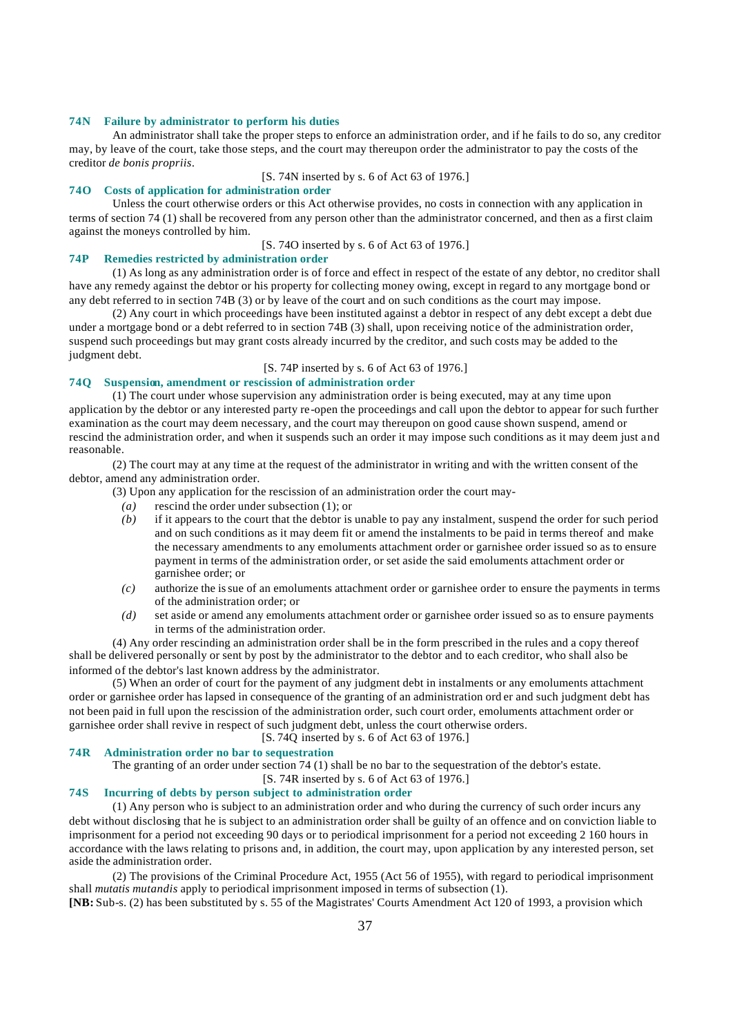#### **74N Failure by administrator to perform his duties**

An administrator shall take the proper steps to enforce an administration order, and if he fails to do so, any creditor may, by leave of the court, take those steps, and the court may thereupon order the administrator to pay the costs of the creditor *de bonis propriis*.

[S. 74N inserted by s. 6 of Act 63 of 1976.]

# **74O Costs of application for administration order**

Unless the court otherwise orders or this Act otherwise provides, no costs in connection with any application in terms of section 74 (1) shall be recovered from any person other than the administrator concerned, and then as a first claim against the moneys controlled by him.

[S. 74O inserted by s. 6 of Act 63 of 1976.]

#### **74P Remedies restricted by administration order**

(1) As long as any administration order is of force and effect in respect of the estate of any debtor, no creditor shall have any remedy against the debtor or his property for collecting money owing, except in regard to any mortgage bond or any debt referred to in section 74B (3) or by leave of the court and on such conditions as the court may impose.

(2) Any court in which proceedings have been instituted against a debtor in respect of any debt except a debt due under a mortgage bond or a debt referred to in section 74B (3) shall, upon receiving notice of the administration order, suspend such proceedings but may grant costs already incurred by the creditor, and such costs may be added to the judgment debt.

#### [S. 74P inserted by s. 6 of Act 63 of 1976.]

# **74Q Suspension, amendment or rescission of administration order**

(1) The court under whose supervision any administration order is being executed, may at any time upon application by the debtor or any interested party re-open the proceedings and call upon the debtor to appear for such further examination as the court may deem necessary, and the court may thereupon on good cause shown suspend, amend or rescind the administration order, and when it suspends such an order it may impose such conditions as it may deem just and reasonable.

(2) The court may at any time at the request of the administrator in writing and with the written consent of the debtor, amend any administration order.

(3) Upon any application for the rescission of an administration order the court may-

- *(a)* rescind the order under subsection (1); or
- *(b)* if it appears to the court that the debtor is unable to pay any instalment, suspend the order for such period and on such conditions as it may deem fit or amend the instalments to be paid in terms thereof and make the necessary amendments to any emoluments attachment order or garnishee order issued so as to ensure payment in terms of the administration order, or set aside the said emoluments attachment order or garnishee order; or
- *(c)* authorize the issue of an emoluments attachment order or garnishee order to ensure the payments in terms of the administration order; or
- *(d)* set aside or amend any emoluments attachment order or garnishee order issued so as to ensure payments in terms of the administration order.

(4) Any order rescinding an administration order shall be in the form prescribed in the rules and a copy thereof shall be delivered personally or sent by post by the administrator to the debtor and to each creditor, who shall also be informed of the debtor's last known address by the administrator.

(5) When an order of court for the payment of any judgment debt in instalments or any emoluments attachment order or garnishee order has lapsed in consequence of the granting of an administration ord er and such judgment debt has not been paid in full upon the rescission of the administration order, such court order, emoluments attachment order or garnishee order shall revive in respect of such judgment debt, unless the court otherwise orders.

[S. 74Q inserted by s. 6 of Act 63 of 1976.]

#### **74R Administration order no bar to sequestration**

The granting of an order under section 74 (1) shall be no bar to the sequestration of the debtor's estate.

#### [S. 74R inserted by s. 6 of Act 63 of 1976.]

# **74S Incurring of debts by person subject to administration order**

(1) Any person who is subject to an administration order and who during the currency of such order incurs any debt without disclosing that he is subject to an administration order shall be guilty of an offence and on conviction liable to imprisonment for a period not exceeding 90 days or to periodical imprisonment for a period not exceeding 2 160 hours in accordance with the laws relating to prisons and, in addition, the court may, upon application by any interested person, set aside the administration order.

(2) The provisions of the Criminal Procedure Act, 1955 (Act 56 of 1955), with regard to periodical imprisonment shall *mutatis mutandis* apply to periodical imprisonment imposed in terms of subsection (1).

**[NB:** Sub-s. (2) has been substituted by s. 55 of the Magistrates' Courts Amendment Act 120 of 1993, a provision which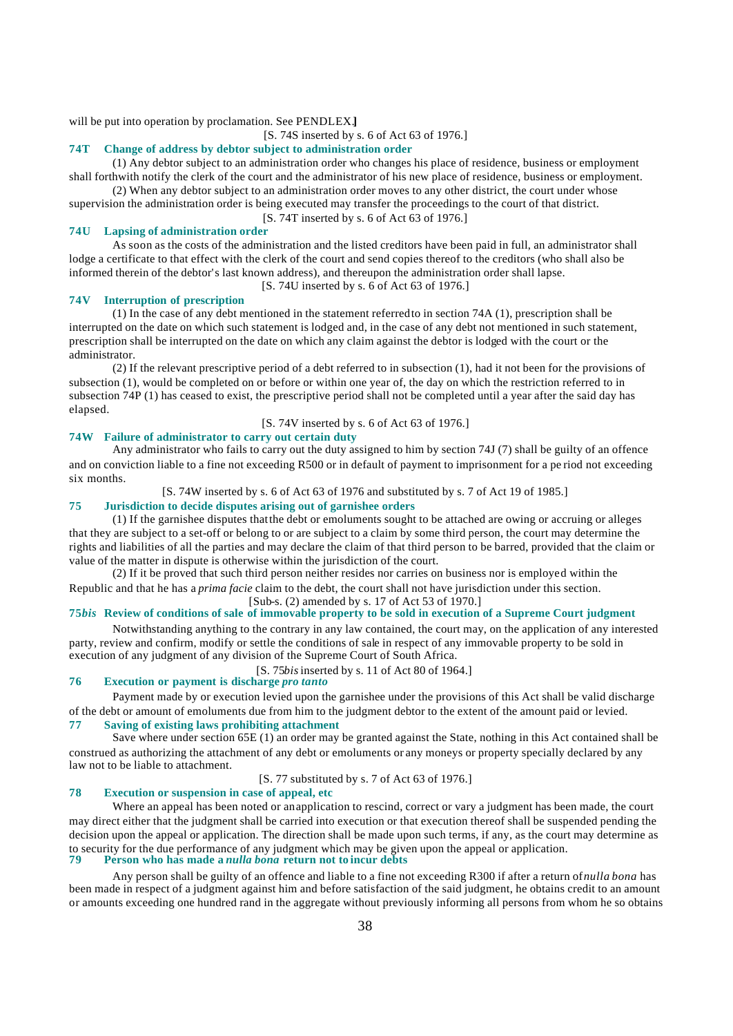will be put into operation by proclamation. See PENDLEX.**]**

[S. 74S inserted by s. 6 of Act 63 of 1976.]

# **74T Change of address by debtor subject to administration order**

(1) Any debtor subject to an administration order who changes his place of residence, business or employment shall forthwith notify the clerk of the court and the administrator of his new place of residence, business or employment.

(2) When any debtor subject to an administration order moves to any other district, the court under whose supervision the administration order is being executed may transfer the proceedings to the court of that district.

[S. 74T inserted by s. 6 of Act 63 of 1976.]

#### **74U Lapsing of administration order**

As soon as the costs of the administration and the listed creditors have been paid in full, an administrator shall lodge a certificate to that effect with the clerk of the court and send copies thereof to the creditors (who shall also be informed therein of the debtor's last known address), and thereupon the administration order shall lapse.

[S. 74U inserted by s. 6 of Act 63 of 1976.]

#### **74V Interruption of prescription**

(1) In the case of any debt mentioned in the statement referred to in section 74A (1), prescription shall be interrupted on the date on which such statement is lodged and, in the case of any debt not mentioned in such statement, prescription shall be interrupted on the date on which any claim against the debtor is lodged with the court or the administrator.

(2) If the relevant prescriptive period of a debt referred to in subsection (1), had it not been for the provisions of subsection (1), would be completed on or before or within one year of, the day on which the restriction referred to in subsection 74P (1) has ceased to exist, the prescriptive period shall not be completed until a year after the said day has elapsed.

# [S. 74V inserted by s. 6 of Act 63 of 1976.]

# **74W Failure of administrator to carry out certain duty**

Any administrator who fails to carry out the duty assigned to him by section 74J (7) shall be guilty of an offence and on conviction liable to a fine not exceeding R500 or in default of payment to imprisonment for a pe riod not exceeding six months.

[S. 74W inserted by s. 6 of Act 63 of 1976 and substituted by s. 7 of Act 19 of 1985.]

# **75 Jurisdiction to decide disputes arising out of garnishee orders**

(1) If the garnishee disputes that the debt or emoluments sought to be attached are owing or accruing or alleges that they are subject to a set-off or belong to or are subject to a claim by some third person, the court may determine the rights and liabilities of all the parties and may declare the claim of that third person to be barred, provided that the claim or value of the matter in dispute is otherwise within the jurisdiction of the court.

(2) If it be proved that such third person neither resides nor carries on business nor is employed within the Republic and that he has a *prima facie* claim to the debt, the court shall not have jurisdiction under this section. [Sub-s. (2) amended by s. 17 of Act 53 of 1970.]

# **75***bis* **Review of conditions of sale of immovable property to be sold in execution of a Supreme Court judgment**

Notwithstanding anything to the contrary in any law contained, the court may, on the application of any interested party, review and confirm, modify or settle the conditions of sale in respect of any immovable property to be sold in execution of any judgment of any division of the Supreme Court of South Africa.

[S. 75*bis* inserted by s. 11 of Act 80 of 1964.]

# **76 Execution or payment is discharge** *pro tanto*

Payment made by or execution levied upon the garnishee under the provisions of this Act shall be valid discharge of the debt or amount of emoluments due from him to the judgment debtor to the extent of the amount paid or levied. **77 Saving of existing laws prohibiting attachment**

Save where under section 65E (1) an order may be granted against the State, nothing in this Act contained shall be construed as authorizing the attachment of any debt or emoluments or any moneys or property specially declared by any law not to be liable to attachment.

[S. 77 substituted by s. 7 of Act 63 of 1976.]

#### **78 Execution or suspension in case of appeal, etc**

Where an appeal has been noted or an application to rescind, correct or vary a judgment has been made, the court may direct either that the judgment shall be carried into execution or that execution thereof shall be suspended pending the decision upon the appeal or application. The direction shall be made upon such terms, if any, as the court may determine as to security for the due performance of any judgment which may be given upon the appeal or application.<br>79 Person who has made a nulla hange return not to incur debts **79 Person who has made a** *nulla bona* **return not to incur debts**

Any person shall be guilty of an offence and liable to a fine not exceeding R300 if after a return of *nulla bona* has been made in respect of a judgment against him and before satisfaction of the said judgment, he obtains credit to an amount or amounts exceeding one hundred rand in the aggregate without previously informing all persons from whom he so obtains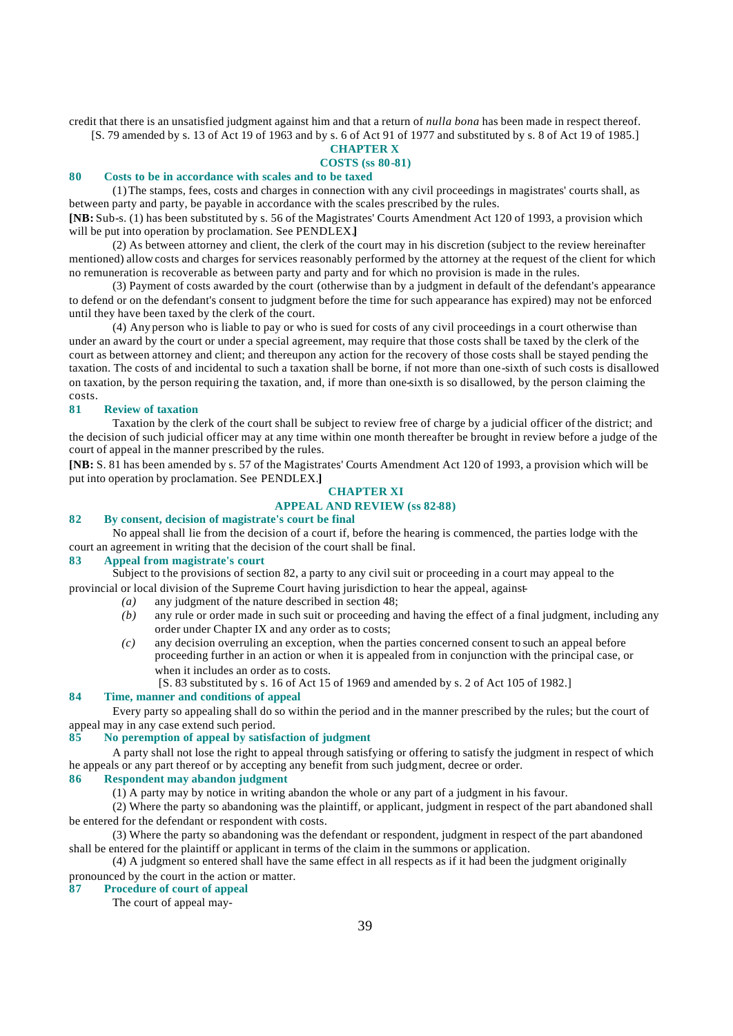credit that there is an unsatisfied judgment against him and that a return of *nulla bona* has been made in respect thereof.

[S. 79 amended by s. 13 of Act 19 of 1963 and by s. 6 of Act 91 of 1977 and substituted by s. 8 of Act 19 of 1985.]

#### **CHAPTER X COSTS (ss 80-81)**

#### **80 Costs to be in accordance with scales and to be taxed**

(1) The stamps, fees, costs and charges in connection with any civil proceedings in magistrates' courts shall, as between party and party, be payable in accordance with the scales prescribed by the rules.

**[NB:** Sub-s. (1) has been substituted by s. 56 of the Magistrates' Courts Amendment Act 120 of 1993, a provision which will be put into operation by proclamation. See PENDLEX.**]**

(2) As between attorney and client, the clerk of the court may in his discretion (subject to the review hereinafter mentioned) allow costs and charges for services reasonably performed by the attorney at the request of the client for which no remuneration is recoverable as between party and party and for which no provision is made in the rules.

(3) Payment of costs awarded by the court (otherwise than by a judgment in default of the defendant's appearance to defend or on the defendant's consent to judgment before the time for such appearance has expired) may not be enforced until they have been taxed by the clerk of the court.

(4) Any person who is liable to pay or who is sued for costs of any civil proceedings in a court otherwise than under an award by the court or under a special agreement, may require that those costs shall be taxed by the clerk of the court as between attorney and client; and thereupon any action for the recovery of those costs shall be stayed pending the taxation. The costs of and incidental to such a taxation shall be borne, if not more than one-sixth of such costs is disallowed on taxation, by the person requiring the taxation, and, if more than one-sixth is so disallowed, by the person claiming the costs.

# **81 Review of taxation**

Taxation by the clerk of the court shall be subject to review free of charge by a judicial officer of the district; and the decision of such judicial officer may at any time within one month thereafter be brought in review before a judge of the court of appeal in the manner prescribed by the rules.

**[NB:** S. 81 has been amended by s. 57 of the Magistrates' Courts Amendment Act 120 of 1993, a provision which will be put into operation by proclamation. See PENDLEX.**]**

# **CHAPTER XI**

# **APPEAL AND REVIEW (ss 82-88)**

# **82 By consent, decision of magistrate's court be final**

No appeal shall lie from the decision of a court if, before the hearing is commenced, the parties lodge with the court an agreement in writing that the decision of the court shall be final.

# **83 Appeal from magistrate's court**

Subject to the provisions of section 82, a party to any civil suit or proceeding in a court may appeal to the provincial or local division of the Supreme Court having jurisdiction to hear the appeal, against-

- *(a)* any judgment of the nature described in section 48;
- *(b)* any rule or order made in such suit or proceeding and having the effect of a final judgment, including any order under Chapter IX and any order as to costs;
- *(c)* any decision overruling an exception, when the parties concerned consent to such an appeal before proceeding further in an action or when it is appealed from in conjunction with the principal case, or when it includes an order as to costs.

[S. 83 substituted by s. 16 of Act 15 of 1969 and amended by s. 2 of Act 105 of 1982.]

# **84 Time, manner and conditions of appeal**

Every party so appealing shall do so within the period and in the manner prescribed by the rules; but the court of appeal may in any case extend such period.

#### **85 No peremption of appeal by satisfaction of judgment**

A party shall not lose the right to appeal through satisfying or offering to satisfy the judgment in respect of which he appeals or any part thereof or by accepting any benefit from such judgment, decree or order.

# **86 Respondent may abandon judgment**

(1) A party may by notice in writing abandon the whole or any part of a judgment in his favour.

(2) Where the party so abandoning was the plaintiff, or applicant, judgment in respect of the part abandoned shall be entered for the defendant or respondent with costs.

(3) Where the party so abandoning was the defendant or respondent, judgment in respect of the part abandoned shall be entered for the plaintiff or applicant in terms of the claim in the summons or application.

(4) A judgment so entered shall have the same effect in all respects as if it had been the judgment originally pronounced by the court in the action or matter.

#### **87 Procedure of court of appeal**

The court of appeal may-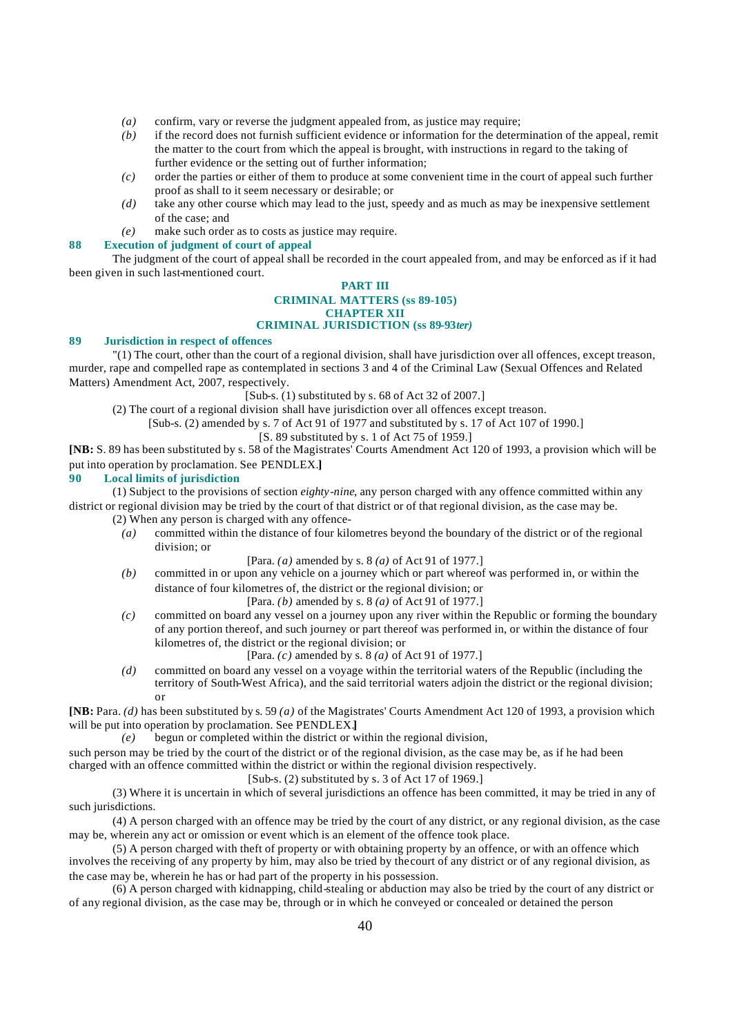- *(a)* confirm, vary or reverse the judgment appealed from, as justice may require;
- *(b)* if the record does not furnish sufficient evidence or information for the determination of the appeal, remit the matter to the court from which the appeal is brought, with instructions in regard to the taking of further evidence or the setting out of further information;
- *(c)* order the parties or either of them to produce at some convenient time in the court of appeal such further proof as shall to it seem necessary or desirable; or
- *(d)* take any other course which may lead to the just, speedy and as much as may be inexpensive settlement of the case; and
- *(e)* make such order as to costs as justice may require.

#### **88 Execution of judgment of court of appeal**

The judgment of the court of appeal shall be recorded in the court appealed from, and may be enforced as if it had been given in such last-mentioned court.

#### **PART III CRIMINAL MATTERS (ss 89-105) CHAPTER XII CRIMINAL JURISDICTION (ss 89-93***ter)*

#### **89 Jurisdiction in respect of offences**

"(1) The court, other than the court of a regional division, shall have jurisdiction over all offences, except treason, murder, rape and compelled rape as contemplated in sections 3 and 4 of the Criminal Law (Sexual Offences and Related Matters) Amendment Act, 2007, respectively.

 $[Sub-s. (1)$  substituted by s. 68 of Act 32 of 2007.]

(2) The court of a regional division shall have jurisdiction over all offences except treason.

[Sub-s. (2) amended by s. 7 of Act 91 of 1977 and substituted by s. 17 of Act 107 of 1990.]

# [S. 89 substituted by s. 1 of Act 75 of 1959.]

**[NB:** S. 89 has been substituted by s. 58 of the Magistrates' Courts Amendment Act 120 of 1993, a provision which will be put into operation by proclamation. See PENDLEX.**]**

# **90 Local limits of jurisdiction**

(1) Subject to the provisions of section *eighty-nine*, any person charged with any offence committed within any district or regional division may be tried by the court of that district or of that regional division, as the case may be.

(2) When any person is charged with any offence-

*(a)* committed within the distance of four kilometres beyond the boundary of the district or of the regional division; or

[Para. *(a)* amended by s. 8 *(a)* of Act 91 of 1977.]

- *(b)* committed in or upon any vehicle on a journey which or part whereof was performed in, or within the distance of four kilometres of, the district or the regional division; or
	- [Para. *(b)* amended by s. 8 *(a)* of Act 91 of 1977.]
- *(c)* committed on board any vessel on a journey upon any river within the Republic or forming the boundary of any portion thereof, and such journey or part thereof was performed in, or within the distance of four kilometres of, the district or the regional division; or
	- [Para. *(c)* amended by s. 8 *(a)* of Act 91 of 1977.]
- *(d)* committed on board any vessel on a voyage within the territorial waters of the Republic (including the territory of South-West Africa), and the said territorial waters adjoin the district or the regional division; or

**[NB:** Para. *(d)* has been substituted by s. 59 *(a)* of the Magistrates' Courts Amendment Act 120 of 1993, a provision which will be put into operation by proclamation. See PENDLEX.**]**

*(e)* begun or completed within the district or within the regional division,

such person may be tried by the court of the district or of the regional division, as the case may be, as if he had been charged with an offence committed within the district or within the regional division respectively.

[Sub-s. (2) substituted by s. 3 of Act 17 of 1969.]

(3) Where it is uncertain in which of several jurisdictions an offence has been committed, it may be tried in any of such jurisdictions.

(4) A person charged with an offence may be tried by the court of any district, or any regional division, as the case may be, wherein any act or omission or event which is an element of the offence took place.

(5) A person charged with theft of property or with obtaining property by an offence, or with an offence which involves the receiving of any property by him, may also be tried by the court of any district or of any regional division, as the case may be, wherein he has or had part of the property in his possession.

(6) A person charged with kidnapping, child-stealing or abduction may also be tried by the court of any district or of any regional division, as the case may be, through or in which he conveyed or concealed or detained the person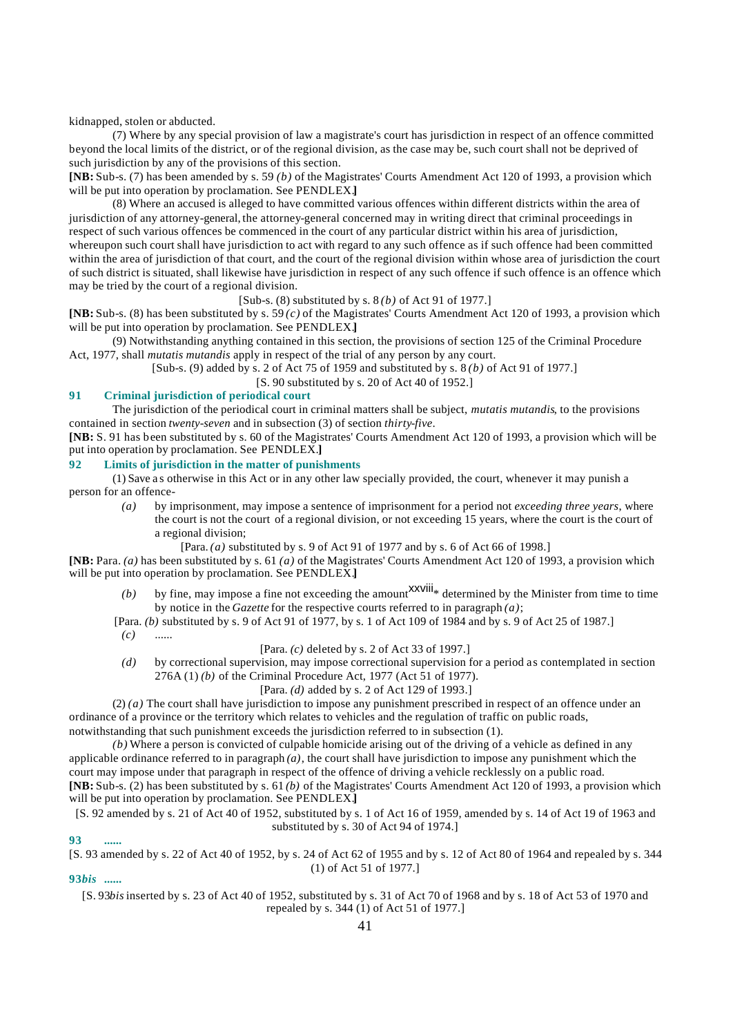kidnapped, stolen or abducted.

(7) Where by any special provision of law a magistrate's court has jurisdiction in respect of an offence committed beyond the local limits of the district, or of the regional division, as the case may be, such court shall not be deprived of such jurisdiction by any of the provisions of this section.

**[NB:** Sub-s. (7) has been amended by s. 59 *(b)* of the Magistrates' Courts Amendment Act 120 of 1993, a provision which will be put into operation by proclamation. See PENDLEX.**]**

(8) Where an accused is alleged to have committed various offences within different districts within the area of jurisdiction of any attorney-general, the attorney-general concerned may in writing direct that criminal proceedings in respect of such various offences be commenced in the court of any particular district within his area of jurisdiction, whereupon such court shall have jurisdiction to act with regard to any such offence as if such offence had been committed within the area of jurisdiction of that court, and the court of the regional division within whose area of jurisdiction the court of such district is situated, shall likewise have jurisdiction in respect of any such offence if such offence is an offence which may be tried by the court of a regional division.

[Sub-s. (8) substituted by s. 8 *(b)* of Act 91 of 1977.]

**[NB:** Sub-s. (8) has been substituted by s. 59 *(c)* of the Magistrates' Courts Amendment Act 120 of 1993, a provision which will be put into operation by proclamation. See PENDLEX.**]**

(9) Notwithstanding anything contained in this section, the provisions of section 125 of the Criminal Procedure Act, 1977, shall *mutatis mutandis* apply in respect of the trial of any person by any court.

[Sub-s. (9) added by s. 2 of Act 75 of 1959 and substituted by s. 8 *(b)* of Act 91 of 1977.]

[S. 90 substituted by s. 20 of Act 40 of 1952.]

# **91 Criminal jurisdiction of periodical court**

The jurisdiction of the periodical court in criminal matters shall be subject, *mutatis mutandis*, to the provisions contained in section *twenty-seven* and in subsection (3) of section *thirty-five*.

**[NB:** S. 91 has been substituted by s. 60 of the Magistrates' Courts Amendment Act 120 of 1993, a provision which will be put into operation by proclamation. See PENDLEX.**]**

# **92 Limits of jurisdiction in the matter of punishments**

(1) Save a s otherwise in this Act or in any other law specially provided, the court, whenever it may punish a person for an offence-

- *(a)* by imprisonment, may impose a sentence of imprisonment for a period not *exceeding three years*, where the court is not the court of a regional division, or not exceeding 15 years, where the court is the court of a regional division;
	- [Para. *(a)* substituted by s. 9 of Act 91 of 1977 and by s. 6 of Act 66 of 1998.]

**[NB:** Para. *(a)* has been substituted by s. 61 *(a)* of the Magistrates' Courts Amendment Act 120 of 1993, a provision which will be put into operation by proclamation. See PENDLEX.**]**

- *(b)* by fine, may impose a fine not exceeding the amount  $\frac{xxv}{dt}$  determined by the Minister from time to time by notice in the *Gazette* for the respective courts referred to in paragraph *(a)*;
- [Para. *(b)* substituted by s. 9 of Act 91 of 1977, by s. 1 of Act 109 of 1984 and by s. 9 of Act 25 of 1987.]
- *(c)* ......

[Para. *(c)* deleted by s. 2 of Act 33 of 1997.]

*(d)* by correctional supervision, may impose correctional supervision for a period as contemplated in section 276A (1) *(b)* of the Criminal Procedure Act, 1977 (Act 51 of 1977).

#### [Para. *(d)* added by s. 2 of Act 129 of 1993.]

(2) *(a)* The court shall have jurisdiction to impose any punishment prescribed in respect of an offence under an ordinance of a province or the territory which relates to vehicles and the regulation of traffic on public roads, notwithstanding that such punishment exceeds the jurisdiction referred to in subsection (1).

*(b)* Where a person is convicted of culpable homicide arising out of the driving of a vehicle as defined in any applicable ordinance referred to in paragraph  $(a)$ , the court shall have jurisdiction to impose any punishment which the court may impose under that paragraph in respect of the offence of driving a vehicle recklessly on a public road. **[NB:** Sub-s. (2) has been substituted by s. 61 *(b)* of the Magistrates' Courts Amendment Act 120 of 1993, a provision which will be put into operation by proclamation. See PENDLEX.**]**

[S. 92 amended by s. 21 of Act 40 of 1952, substituted by s. 1 of Act 16 of 1959, amended by s. 14 of Act 19 of 1963 and substituted by s. 30 of Act 94 of 1974.]

#### **93 ......**

[S. 93 amended by s. 22 of Act 40 of 1952, by s. 24 of Act 62 of 1955 and by s. 12 of Act 80 of 1964 and repealed by s. 344 (1) of Act 51 of 1977.]

# **93***bis* **......**

[S. 93*bis* inserted by s. 23 of Act 40 of 1952, substituted by s. 31 of Act 70 of 1968 and by s. 18 of Act 53 of 1970 and repealed by s. 344 (1) of Act 51 of 1977.]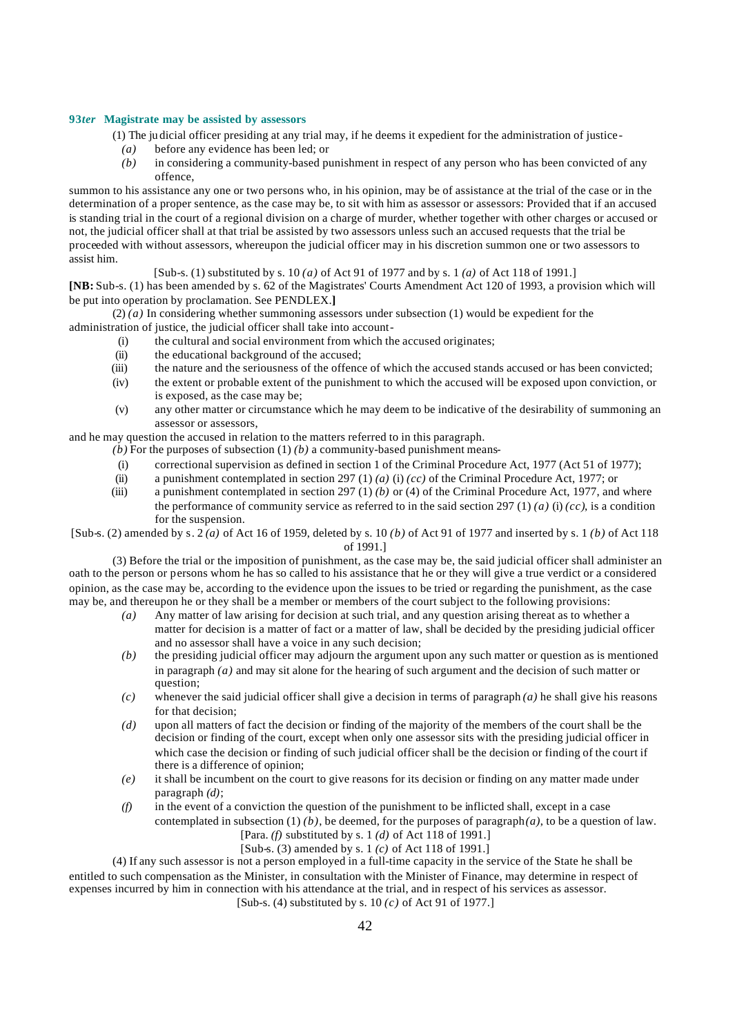#### **93***ter* **Magistrate may be assisted by assessors**

(1) The ju dicial officer presiding at any trial may, if he deems it expedient for the administration of justice-

- *(a)* before any evidence has been led; or
- *(b)* in considering a community-based punishment in respect of any person who has been convicted of any offence,

summon to his assistance any one or two persons who, in his opinion, may be of assistance at the trial of the case or in the determination of a proper sentence, as the case may be, to sit with him as assessor or assessors: Provided that if an accused is standing trial in the court of a regional division on a charge of murder, whether together with other charges or accused or not, the judicial officer shall at that trial be assisted by two assessors unless such an accused requests that the trial be proceeded with without assessors, whereupon the judicial officer may in his discretion summon one or two assessors to assist him.

[Sub-s. (1) substituted by s. 10 *(a)* of Act 91 of 1977 and by s. 1 *(a)* of Act 118 of 1991.]

**[NB:** Sub-s. (1) has been amended by s. 62 of the Magistrates' Courts Amendment Act 120 of 1993, a provision which will be put into operation by proclamation. See PENDLEX.**]**

 $(2)$  *(a)* In considering whether summoning assessors under subsection (1) would be expedient for the administration of justice, the judicial officer shall take into account-

- (i) the cultural and social environment from which the accused originates;
- (ii) the educational background of the accused;
- (iii) the nature and the seriousness of the offence of which the accused stands accused or has been convicted;
- (iv) the extent or probable extent of the punishment to which the accused will be exposed upon conviction, or is exposed, as the case may be;
- (v) any other matter or circumstance which he may deem to be indicative of the desirability of summoning an assessor or assessors,

and he may question the accused in relation to the matters referred to in this paragraph.

- $(b)$  For the purposes of subsection  $(1)$   $(b)$  a community-based punishment means-
- (i) correctional supervision as defined in section 1 of the Criminal Procedure Act, 1977 (Act 51 of 1977);
- (ii) a punishment contemplated in section 297 (1) *(a)* (i) *(cc)* of the Criminal Procedure Act, 1977; or (iii) a punishment contemplated in section 297 (1) *(b)* or (4) of the Criminal Procedure Act, 1977, and
- a punishment contemplated in section 297 (1) *(b)* or (4) of the Criminal Procedure Act, 1977, and where the performance of community service as referred to in the said section 297 (1) *(a)* (i) *(cc)*, is a condition for the suspension.

[Sub-s. (2) amended by s. 2 *(a)* of Act 16 of 1959, deleted by s. 10 *(b)* of Act 91 of 1977 and inserted by s. 1 *(b)* of Act 118 of 1991.]

(3) Before the trial or the imposition of punishment, as the case may be, the said judicial officer shall administer an oath to the person or persons whom he has so called to his assistance that he or they will give a true verdict or a considered opinion, as the case may be, according to the evidence upon the issues to be tried or regarding the punishment, as the case may be, and thereupon he or they shall be a member or members of the court subject to the following provisions:

- *(a)* Any matter of law arising for decision at such trial, and any question arising thereat as to whether a matter for decision is a matter of fact or a matter of law, shall be decided by the presiding judicial officer and no assessor shall have a voice in any such decision;
- *(b)* the presiding judicial officer may adjourn the argument upon any such matter or question as is mentioned in paragraph *(a)* and may sit alone for the hearing of such argument and the decision of such matter or question;
- *(c)* whenever the said judicial officer shall give a decision in terms of paragraph *(a)* he shall give his reasons for that decision;
- *(d)* upon all matters of fact the decision or finding of the majority of the members of the court shall be the decision or finding of the court, except when only one assessor sits with the presiding judicial officer in which case the decision or finding of such judicial officer shall be the decision or finding of the court if there is a difference of opinion;
- *(e)* it shall be incumbent on the court to give reasons for its decision or finding on any matter made under paragraph *(d)*;
- *(f)* in the event of a conviction the question of the punishment to be inflicted shall, except in a case contemplated in subsection  $(1)$  *(b)*, be deemed, for the purposes of paragraph $(a)$ , to be a question of law.

[Para. *(f)* substituted by s. 1 *(d)* of Act 118 of 1991.]

[Sub-s. (3) amended by s. 1 *(c)* of Act 118 of 1991.]

(4) If any such assessor is not a person employed in a full-time capacity in the service of the State he shall be entitled to such compensation as the Minister, in consultation with the Minister of Finance, may determine in respect of expenses incurred by him in connection with his attendance at the trial, and in respect of his services as assessor. [Sub-s. (4) substituted by s. 10 *(c)* of Act 91 of 1977.]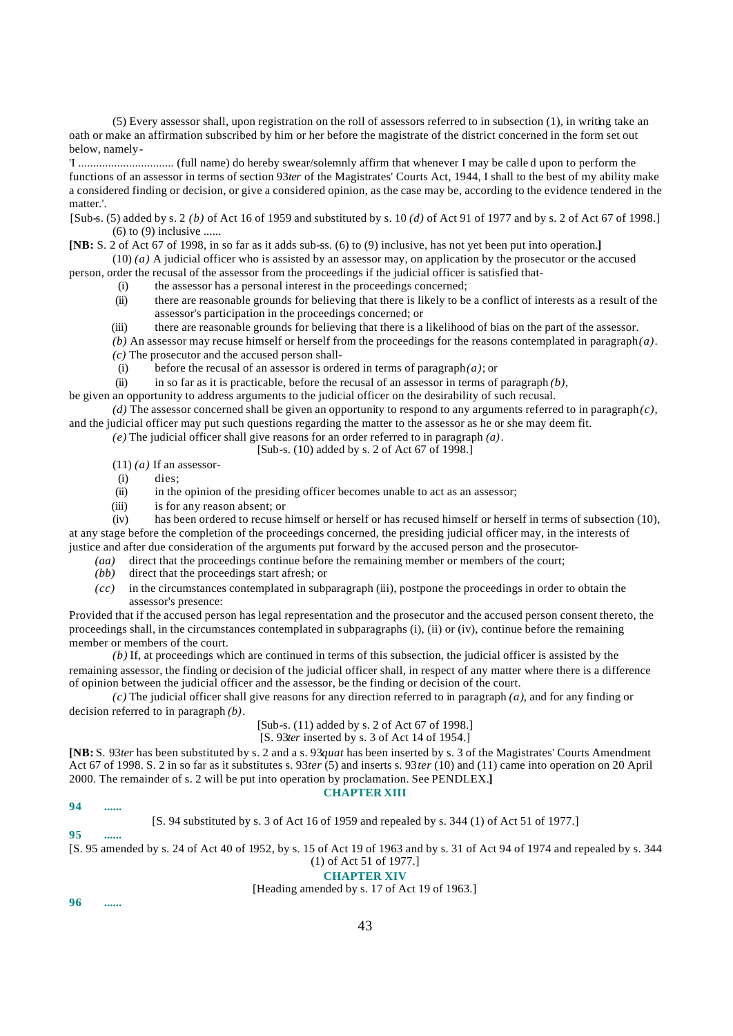(5) Every assessor shall, upon registration on the roll of assessors referred to in subsection (1), in writing take an oath or make an affirmation subscribed by him or her before the magistrate of the district concerned in the form set out below, namely-

'I ................................ (full name) do hereby swear/solemnly affirm that whenever I may be calle d upon to perform the functions of an assessor in terms of section 93*ter* of the Magistrates' Courts Act, 1944, I shall to the best of my ability make a considered finding or decision, or give a considered opinion, as the case may be, according to the evidence tendered in the matter.'.

[Sub-s. (5) added by s. 2 *(b)* of Act 16 of 1959 and substituted by s. 10 *(d)* of Act 91 of 1977 and by s. 2 of Act 67 of 1998.]  $(6)$  to  $(9)$  inclusive ......

**[NB:** S. 2 of Act 67 of 1998, in so far as it adds sub-ss. (6) to (9) inclusive, has not yet been put into operation.**]**

(10) *(a)* A judicial officer who is assisted by an assessor may, on application by the prosecutor or the accused

person, order the recusal of the assessor from the proceedings if the judicial officer is satisfied that-

- (i) the assessor has a personal interest in the proceedings concerned;
- (ii) there are reasonable grounds for believing that there is likely to be a conflict of interests as a result of the assessor's participation in the proceedings concerned; or
- (iii) there are reasonable grounds for believing that there is a likelihood of bias on the part of the assessor.
- *(b)* An assessor may recuse himself or herself from the proceedings for the reasons contemplated in paragraph *(a)*. *(c)* The prosecutor and the accused person shall-
	- (i) before the recusal of an assessor is ordered in terms of paragraph *(a)*; or
- (ii) in so far as it is practicable, before the recusal of an assessor in terms of paragraph *(b)*,

be given an opportunity to address arguments to the judicial officer on the desirability of such recusal.

 $(d)$  The assessor concerned shall be given an opportunity to respond to any arguments referred to in paragraph $(c)$ , and the judicial officer may put such questions regarding the matter to the assessor as he or she may deem fit.

*(e)* The judicial officer shall give reasons for an order referred to in paragraph *(a)*.

[Sub-s. (10) added by s. 2 of Act 67 of 1998.]

 $(11)$  *(a)* If an assessor-

- (i) dies;<br>(ii) in the
- in the opinion of the presiding officer becomes unable to act as an assessor;
- (iii) is for any reason absent; or

(iv) has been ordered to recuse himself or herself or has recused himself or herself in terms of subsection (10), at any stage before the completion of the proceedings concerned, the presiding judicial officer may, in the interests of justice and after due consideration of the arguments put forward by the accused person and the prosecutor-

- *(aa)* direct that the proceedings continue before the remaining member or members of the court;
- *(bb)* direct that the proceedings start afresh; or
- *(cc)* in the circumstances contemplated in subparagraph (iii), postpone the proceedings in order to obtain the assessor's presence:

Provided that if the accused person has legal representation and the prosecutor and the accused person consent thereto, the proceedings shall, in the circumstances contemplated in subparagraphs (i), (ii) or (iv), continue before the remaining member or members of the court.

*(b)* If, at proceedings which are continued in terms of this subsection, the judicial officer is assisted by the remaining assessor, the finding or decision of the judicial officer shall, in respect of any matter where there is a difference of opinion between the judicial officer and the assessor, be the finding or decision of the court.

*(c)* The judicial officer shall give reasons for any direction referred to in paragraph *(a)*, and for any finding or decision referred to in paragraph *(b)*.

# [Sub-s. (11) added by s. 2 of Act 67 of 1998.]

#### [S. 93*ter* inserted by s. 3 of Act 14 of 1954.]

**[NB:** S. 93*ter* has been substituted by s. 2 and a s. 93*quat* has been inserted by s. 3 of the Magistrates' Courts Amendment Act 67 of 1998. S. 2 in so far as it substitutes s. 93*ter* (5) and inserts s. 93*ter* (10) and (11) came into operation on 20 April 2000. The remainder of s. 2 will be put into operation by proclamation. See PENDLEX.**]**

# **CHAPTER XIII**

**94 ......**

[S. 94 substituted by s. 3 of Act 16 of 1959 and repealed by s. 344 (1) of Act 51 of 1977.]

**95 ......**

[S. 95 amended by s. 24 of Act 40 of 1952, by s. 15 of Act 19 of 1963 and by s. 31 of Act 94 of 1974 and repealed by s. 344 (1) of Act 51 of 1977.]

**CHAPTER XIV**

# [Heading amended by s. 17 of Act 19 of 1963.]

**96 ......**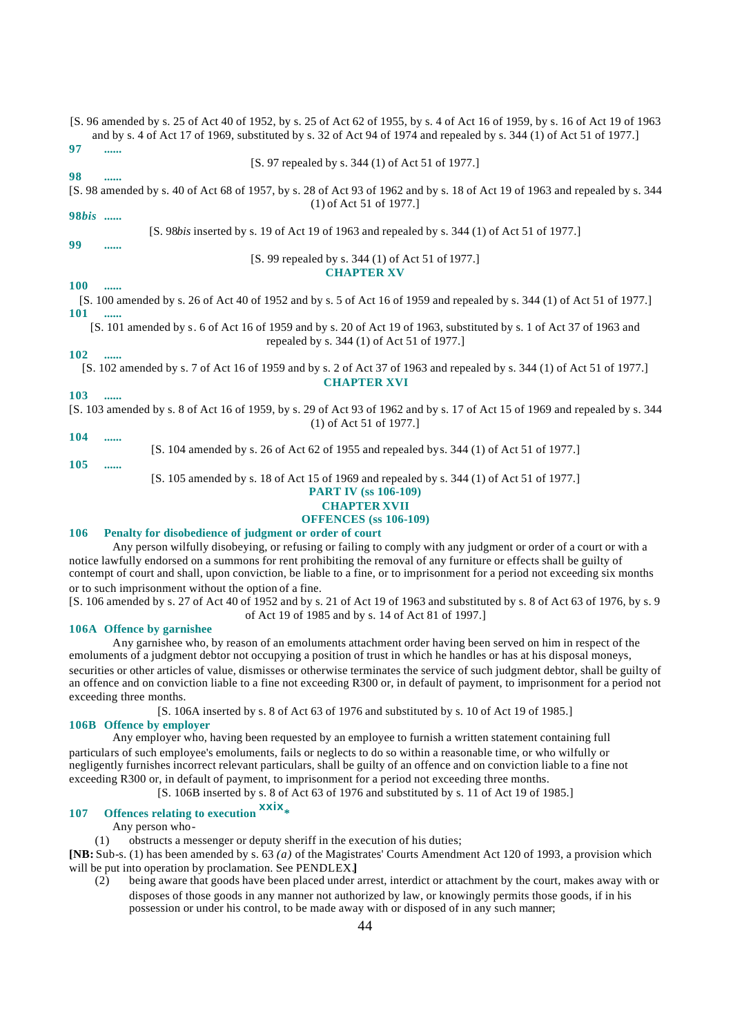|    | [S. 96 amended by s. 25 of Act 40 of 1952, by s. 25 of Act 62 of 1955, by s. 4 of Act 16 of 1959, by s. 16 of Act 19 of 1963 |
|----|------------------------------------------------------------------------------------------------------------------------------|
|    | and by s. 4 of Act 17 of 1969, substituted by s. 32 of Act 94 of 1974 and repealed by s. 344 (1) of Act 51 of 1977.          |
| 97 |                                                                                                                              |
|    | [S. 97 repealed by s. 344 (1) of Act 51 of 1977.]                                                                            |

#### **98 ......**

[S. 98 amended by s. 40 of Act 68 of 1957, by s. 28 of Act 93 of 1962 and by s. 18 of Act 19 of 1963 and repealed by s. 344 (1) of Act 51 of 1977.]

# **98***bis* **......**

[S. 98*bis* inserted by s. 19 of Act 19 of 1963 and repealed by s. 344 (1) of Act 51 of 1977.]

# **99 ......**

## [S. 99 repealed by s. 344 (1) of Act 51 of 1977.] **CHAPTER XV**

#### **100 ......**

[S. 100 amended by s. 26 of Act 40 of 1952 and by s. 5 of Act 16 of 1959 and repealed by s. 344 (1) of Act 51 of 1977.] **101 ......**

[S. 101 amended by s. 6 of Act 16 of 1959 and by s. 20 of Act 19 of 1963, substituted by s. 1 of Act 37 of 1963 and repealed by s. 344 (1) of Act 51 of 1977.]

# **102 ......**

[S. 102 amended by s. 7 of Act 16 of 1959 and by s. 2 of Act 37 of 1963 and repealed by s. 344 (1) of Act 51 of 1977.] **CHAPTER XVI**

# **103 ......**

[S. 103 amended by s. 8 of Act 16 of 1959, by s. 29 of Act 93 of 1962 and by s. 17 of Act 15 of 1969 and repealed by s. 344 (1) of Act 51 of 1977.]

### **104 ......**

**105 ......**

[S. 104 amended by s. 26 of Act 62 of 1955 and repealed by s. 344 (1) of Act 51 of 1977.]

[S. 105 amended by s. 18 of Act 15 of 1969 and repealed by s. 344 (1) of Act 51 of 1977.]

# **PART IV (ss 106-109)**

# **CHAPTER XVII**

# **OFFENCES (ss 106-109)**

#### **106 Penalty for disobedience of judgment or order of court**

Any person wilfully disobeying, or refusing or failing to comply with any judgment or order of a court or with a notice lawfully endorsed on a summons for rent prohibiting the removal of any furniture or effects shall be guilty of contempt of court and shall, upon conviction, be liable to a fine, or to imprisonment for a period not exceeding six months or to such imprisonment without the option of a fine.

[S. 106 amended by s. 27 of Act 40 of 1952 and by s. 21 of Act 19 of 1963 and substituted by s. 8 of Act 63 of 1976, by s. 9 of Act 19 of 1985 and by s. 14 of Act 81 of 1997.]

#### **106A Offence by garnishee**

Any garnishee who, by reason of an emoluments attachment order having been served on him in respect of the emoluments of a judgment debtor not occupying a position of trust in which he handles or has at his disposal moneys, securities or other articles of value, dismisses or otherwise terminates the service of such judgment debtor, shall be guilty of an offence and on conviction liable to a fine not exceeding R300 or, in default of payment, to imprisonment for a period not exceeding three months.

[S. 106A inserted by s. 8 of Act 63 of 1976 and substituted by s. 10 of Act 19 of 1985.]

#### **106B Offence by employer**

Any employer who, having been requested by an employee to furnish a written statement containing full particulars of such employee's emoluments, fails or neglects to do so within a reasonable time, or who wilfully or negligently furnishes incorrect relevant particulars, shall be guilty of an offence and on conviction liable to a fine not exceeding R300 or, in default of payment, to imprisonment for a period not exceeding three months.

[S. 106B inserted by s. 8 of Act 63 of 1976 and substituted by s. 11 of Act 19 of 1985.]

# **<sup>107</sup> Offences relating to execution xxix\***

Any person who-

(1) obstructs a messenger or deputy sheriff in the execution of his duties;

**[NB:** Sub-s. (1) has been amended by s. 63 *(a)* of the Magistrates' Courts Amendment Act 120 of 1993, a provision which will be put into operation by proclamation. See PENDLEX.**]**

(2) being aware that goods have been placed under arrest, interdict or attachment by the court, makes away with or disposes of those goods in any manner not authorized by law, or knowingly permits those goods, if in his possession or under his control, to be made away with or disposed of in any such manner;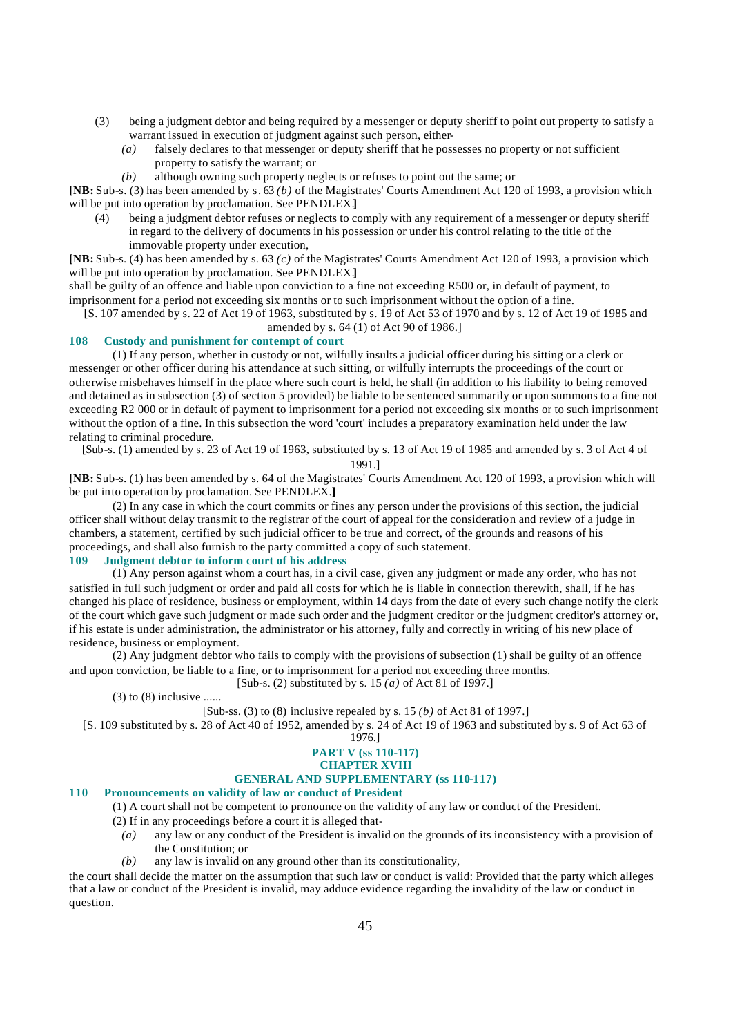- (3) being a judgment debtor and being required by a messenger or deputy sheriff to point out property to satisfy a warrant issued in execution of judgment against such person, either-
	- *(a)* falsely declares to that messenger or deputy sheriff that he possesses no property or not sufficient property to satisfy the warrant; or
	- *(b)* although owning such property neglects or refuses to point out the same; or

**[NB:** Sub-s. (3) has been amended by s. 63 *(b)* of the Magistrates' Courts Amendment Act 120 of 1993, a provision which will be put into operation by proclamation. See PENDLEX.**]**

(4) being a judgment debtor refuses or neglects to comply with any requirement of a messenger or deputy sheriff in regard to the delivery of documents in his possession or under his control relating to the title of the immovable property under execution,

**[NB:** Sub-s. (4) has been amended by s. 63 *(c)* of the Magistrates' Courts Amendment Act 120 of 1993, a provision which will be put into operation by proclamation. See PENDLEX.**]**

shall be guilty of an offence and liable upon conviction to a fine not exceeding R500 or, in default of payment, to imprisonment for a period not exceeding six months or to such imprisonment without the option of a fine.

[S. 107 amended by s. 22 of Act 19 of 1963, substituted by s. 19 of Act 53 of 1970 and by s. 12 of Act 19 of 1985 and

amended by s. 64 (1) of Act 90 of 1986.]

## **108 Custody and punishment for contempt of court**

(1) If any person, whether in custody or not, wilfully insults a judicial officer during his sitting or a clerk or messenger or other officer during his attendance at such sitting, or wilfully interrupts the proceedings of the court or otherwise misbehaves himself in the place where such court is held, he shall (in addition to his liability to being removed and detained as in subsection (3) of section 5 provided) be liable to be sentenced summarily or upon summons to a fine not exceeding R2 000 or in default of payment to imprisonment for a period not exceeding six months or to such imprisonment without the option of a fine. In this subsection the word 'court' includes a preparatory examination held under the law relating to criminal procedure.

[Sub-s. (1) amended by s. 23 of Act 19 of 1963, substituted by s. 13 of Act 19 of 1985 and amended by s. 3 of Act 4 of

1991.]

**[NB:** Sub-s. (1) has been amended by s. 64 of the Magistrates' Courts Amendment Act 120 of 1993, a provision which will be put into operation by proclamation. See PENDLEX.**]**

(2) In any case in which the court commits or fines any person under the provisions of this section, the judicial officer shall without delay transmit to the registrar of the court of appeal for the consideration and review of a judge in chambers, a statement, certified by such judicial officer to be true and correct, of the grounds and reasons of his proceedings, and shall also furnish to the party committed a copy of such statement.

# **109 Judgment debtor to inform court of his address**

(1) Any person against whom a court has, in a civil case, given any judgment or made any order, who has not satisfied in full such judgment or order and paid all costs for which he is liable in connection therewith, shall, if he has changed his place of residence, business or employment, within 14 days from the date of every such change notify the clerk of the court which gave such judgment or made such order and the judgment creditor or the judgment creditor's attorney or, if his estate is under administration, the administrator or his attorney, fully and correctly in writing of his new place of residence, business or employment.

(2) Any judgment debtor who fails to comply with the provisions of subsection (1) shall be guilty of an offence and upon conviction, be liable to a fine, or to imprisonment for a period not exceeding three months. [Sub-s. (2) substituted by s. 15 *(a)* of Act 81 of 1997.]

 $(3)$  to  $(8)$  inclusive ......

[Sub-ss. (3) to (8) inclusive repealed by s. 15 *(b)* of Act 81 of 1997.]

[S. 109 substituted by s. 28 of Act 40 of 1952, amended by s. 24 of Act 19 of 1963 and substituted by s. 9 of Act 63 of

1976.]

#### **PART V (ss 110-117) CHAPTER XVIII**

# **GENERAL AND SUPPLEMENTARY (ss 110-117)**

#### **110 Pronouncements on validity of law or conduct of President**

- (1) A court shall not be competent to pronounce on the validity of any law or conduct of the President.
- (2) If in any proceedings before a court it is alleged that-
	- *(a)* any law or any conduct of the President is invalid on the grounds of its inconsistency with a provision of the Constitution; or
	- *(b)* any law is invalid on any ground other than its constitutionality,

the court shall decide the matter on the assumption that such law or conduct is valid: Provided that the party which alleges that a law or conduct of the President is invalid, may adduce evidence regarding the invalidity of the law or conduct in question.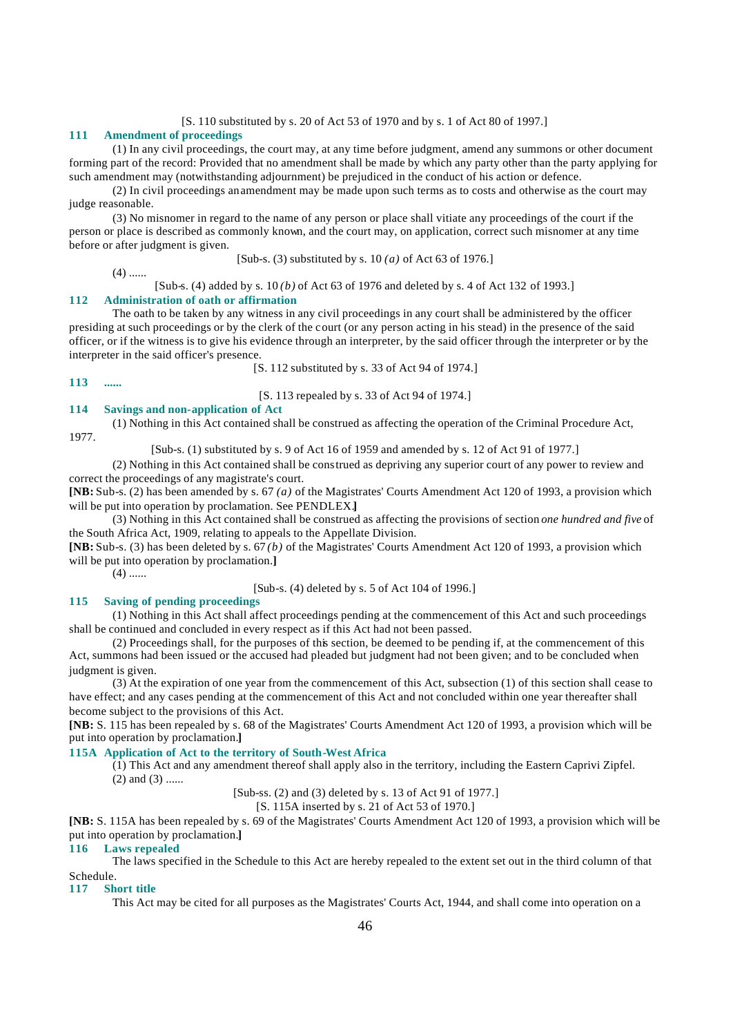#### [S. 110 substituted by s. 20 of Act 53 of 1970 and by s. 1 of Act 80 of 1997.]

## **111 Amendment of proceedings**

(1) In any civil proceedings, the court may, at any time before judgment, amend any summons or other document forming part of the record: Provided that no amendment shall be made by which any party other than the party applying for such amendment may (notwithstanding adjournment) be prejudiced in the conduct of his action or defence.

(2) In civil proceedings an amendment may be made upon such terms as to costs and otherwise as the court may judge reasonable.

(3) No misnomer in regard to the name of any person or place shall vitiate any proceedings of the court if the person or place is described as commonly known, and the court may, on application, correct such misnomer at any time before or after judgment is given.

[Sub-s. (3) substituted by s. 10 *(a)* of Act 63 of 1976.]

 $(4)$  ......

[Sub-s. (4) added by s. 10 *(b)* of Act 63 of 1976 and deleted by s. 4 of Act 132 of 1993.]

#### **112 Administration of oath or affirmation**

The oath to be taken by any witness in any civil proceedings in any court shall be administered by the officer presiding at such proceedings or by the clerk of the court (or any person acting in his stead) in the presence of the said officer, or if the witness is to give his evidence through an interpreter, by the said officer through the interpreter or by the interpreter in the said officer's presence.

[S. 112 substituted by s. 33 of Act 94 of 1974.]

**113 ......**

[S. 113 repealed by s. 33 of Act 94 of 1974.]

### **114 Savings and non-application of Act**

(1) Nothing in this Act contained shall be construed as affecting the operation of the Criminal Procedure Act,

1977.

[Sub-s. (1) substituted by s. 9 of Act 16 of 1959 and amended by s. 12 of Act 91 of 1977.]

(2) Nothing in this Act contained shall be construed as depriving any superior court of any power to review and correct the proceedings of any magistrate's court.

**[NB:** Sub-s. (2) has been amended by s. 67 *(a)* of the Magistrates' Courts Amendment Act 120 of 1993, a provision which will be put into operation by proclamation. See PENDLEX.**]**

(3) Nothing in this Act contained shall be construed as affecting the provisions of section *one hundred and five* of the South Africa Act, 1909, relating to appeals to the Appellate Division.

**[NB:** Sub-s. (3) has been deleted by s. 67 *(b)* of the Magistrates' Courts Amendment Act 120 of 1993, a provision which will be put into operation by proclamation.**]**

 $(4)$  ......

[Sub-s. (4) deleted by s. 5 of Act 104 of 1996.]

# **115 Saving of pending proceedings**

(1) Nothing in this Act shall affect proceedings pending at the commencement of this Act and such proceedings shall be continued and concluded in every respect as if this Act had not been passed.

(2) Proceedings shall, for the purposes of this section, be deemed to be pending if, at the commencement of this Act, summons had been issued or the accused had pleaded but judgment had not been given; and to be concluded when judgment is given.

(3) At the expiration of one year from the commencement of this Act, subsection (1) of this section shall cease to have effect; and any cases pending at the commencement of this Act and not concluded within one year thereafter shall become subject to the provisions of this Act.

**[NB:** S. 115 has been repealed by s. 68 of the Magistrates' Courts Amendment Act 120 of 1993, a provision which will be put into operation by proclamation.**]**

#### **115A Application of Act to the territory of South-West Africa**

(1) This Act and any amendment thereof shall apply also in the territory, including the Eastern Caprivi Zipfel.  $(2)$  and  $(3)$  ......

[Sub-ss. (2) and (3) deleted by s. 13 of Act 91 of 1977.]

[S. 115A inserted by s. 21 of Act 53 of 1970.]

**[NB:** S. 115A has been repealed by s. 69 of the Magistrates' Courts Amendment Act 120 of 1993, a provision which will be put into operation by proclamation.**]**

#### **116 Laws repealed**

The laws specified in the Schedule to this Act are hereby repealed to the extent set out in the third column of that Schedule.

#### **117 Short title**

This Act may be cited for all purposes as the Magistrates' Courts Act, 1944, and shall come into operation on a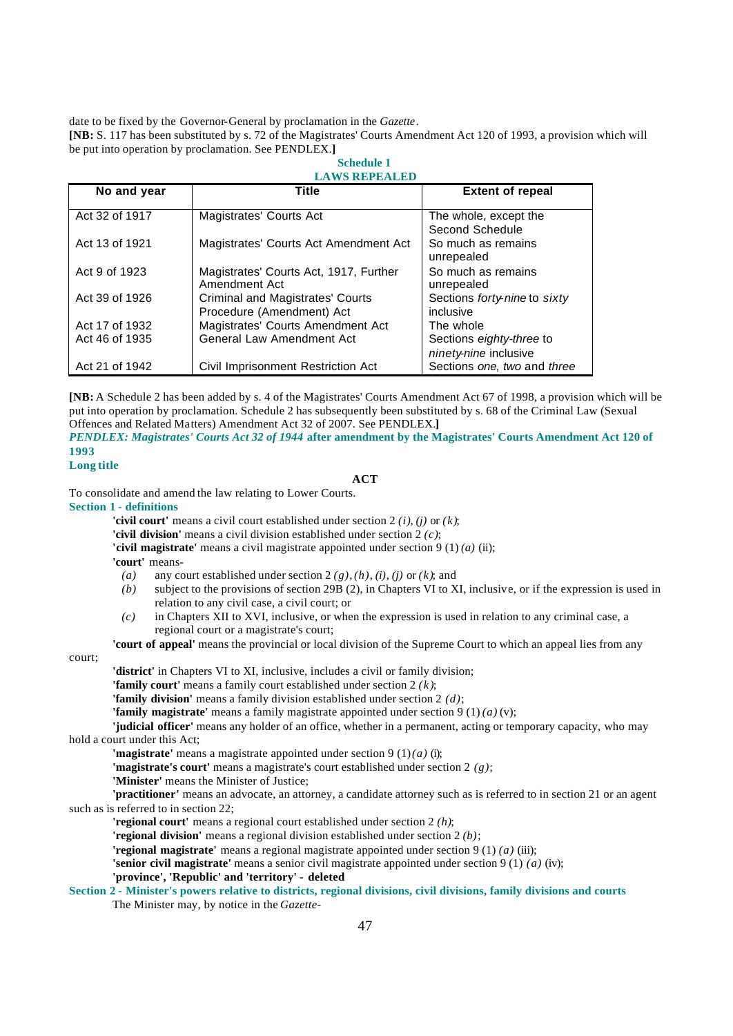date to be fixed by the Governor-General by proclamation in the *Gazette*.

**[NB:** S. 117 has been substituted by s. 72 of the Magistrates' Courts Amendment Act 120 of 1993, a provision which will be put into operation by proclamation. See PENDLEX.**] Schedule 1**

**LAWS REPEALED**

| No and year    | Title                                                         | <b>Extent of repeal</b>                           |  |
|----------------|---------------------------------------------------------------|---------------------------------------------------|--|
| Act 32 of 1917 | Magistrates' Courts Act                                       | The whole, except the<br>Second Schedule          |  |
| Act 13 of 1921 | Magistrates' Courts Act Amendment Act                         | So much as remains<br>unrepealed                  |  |
| Act 9 of 1923  | Magistrates' Courts Act, 1917, Further<br>Amendment Act       | So much as remains<br>unrepealed                  |  |
| Act 39 of 1926 | Criminal and Magistrates' Courts<br>Procedure (Amendment) Act | Sections forty-nine to sixty<br>inclusive         |  |
| Act 17 of 1932 | Magistrates' Courts Amendment Act                             | The whole                                         |  |
| Act 46 of 1935 | <b>General Law Amendment Act</b>                              | Sections eighty-three to<br>ninety-nine inclusive |  |
| Act 21 of 1942 | Civil Imprisonment Restriction Act                            | Sections one, two and three                       |  |

**[NB:** A Schedule 2 has been added by s. 4 of the Magistrates' Courts Amendment Act 67 of 1998, a provision which will be put into operation by proclamation. Schedule 2 has subsequently been substituted by s. 68 of the Criminal Law (Sexual Offences and Related Matters) Amendment Act 32 of 2007. See PENDLEX.**]**

*PENDLEX: Magistrates' Courts Act 32 of 1944* **after amendment by the Magistrates' Courts Amendment Act 120 of 1993**

# **Long title**

# **ACT**

To consolidate and amend the law relating to Lower Courts.

#### **Section 1 - definitions**

**'civil court'** means a civil court established under section 2 *(i)*, *(j)* or *(k)*;

**'civil division'** means a civil division established under section 2 *(c)*;

**'civil magistrate'** means a civil magistrate appointed under section 9 (1) *(a)* (ii);

**'court'** means-

- *(a)* any court established under section 2 *(g)*, *(h)*, *(i)*, *(j)* or *(k)*; and
- *(b)* subject to the provisions of section 29B (2), in Chapters VI to XI, inclusive, or if the expression is used in relation to any civil case, a civil court; or
- *(c)* in Chapters XII to XVI, inclusive, or when the expression is used in relation to any criminal case, a regional court or a magistrate's court;

**'court of appeal'** means the provincial or local division of the Supreme Court to which an appeal lies from any

#### court;

**'district'** in Chapters VI to XI, inclusive, includes a civil or family division;

**'family court'** means a family court established under section 2 *(k)*;

**'family division'** means a family division established under section 2 *(d)*;

**'family magistrate'** means a family magistrate appointed under section 9 (1) *(a)* (v);

**'judicial officer'** means any holder of an office, whether in a permanent, acting or temporary capacity, who may hold a court under this Act;

**'magistrate'** means a magistrate appointed under section 9 (1) *(a)* (i);

- **'magistrate's court'** means a magistrate's court established under section 2 *(g)*;
- **'Minister'** means the Minister of Justice;

**'practitioner'** means an advocate, an attorney, a candidate attorney such as is referred to in section 21 or an agent such as is referred to in section 22;

**'regional court'** means a regional court established under section 2 *(h)*;

**'regional division'** means a regional division established under section 2 *(b)*;

**'regional magistrate'** means a regional magistrate appointed under section 9 (1) *(a)* (iii);

**'senior civil magistrate'** means a senior civil magistrate appointed under section 9 (1) *(a)* (iv);

#### **'province', 'Republic' and 'territory' - deleted**

**Section 2 - Minister's powers relative to districts, regional divisions, civil divisions, family divisions and courts** The Minister may, by notice in the *Gazette*-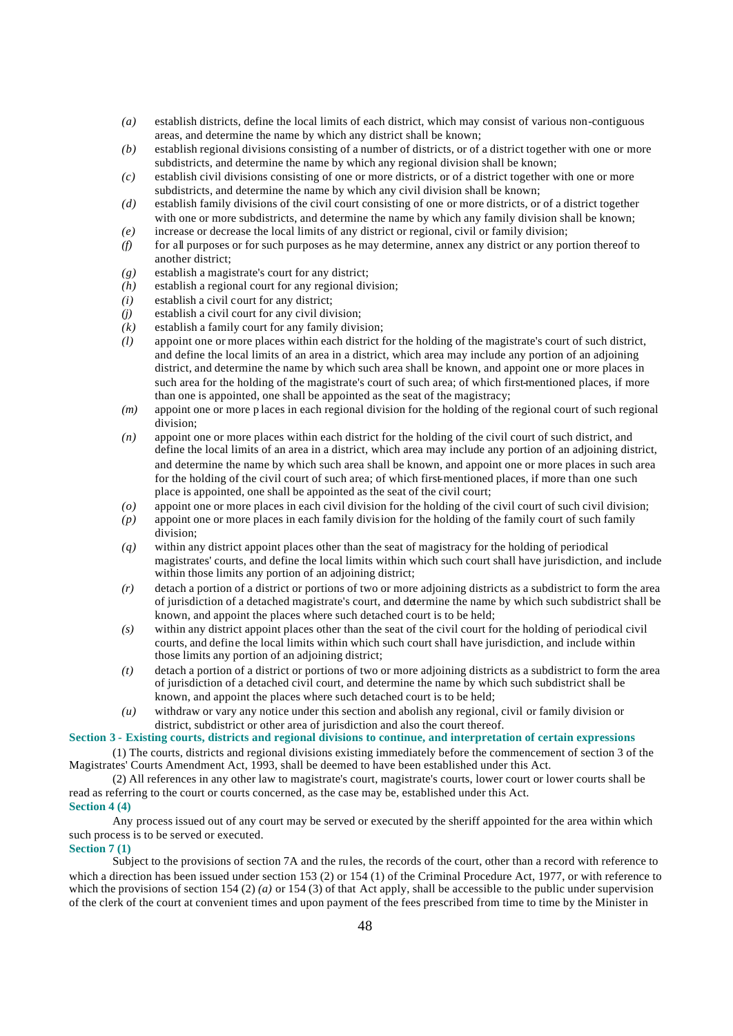- *(a)* establish districts, define the local limits of each district, which may consist of various non-contiguous areas, and determine the name by which any district shall be known;
- *(b)* establish regional divisions consisting of a number of districts, or of a district together with one or more subdistricts, and determine the name by which any regional division shall be known;
- *(c)* establish civil divisions consisting of one or more districts, or of a district together with one or more subdistricts, and determine the name by which any civil division shall be known;
- *(d)* establish family divisions of the civil court consisting of one or more districts, or of a district together with one or more subdistricts, and determine the name by which any family division shall be known; *(e)* increase or decrease the local limits of any district or regional, civil or family division;
- *(f)* for all purposes or for such purposes as he may determine, annex any district or any portion thereof to another district;
- *(g)* establish a magistrate's court for any district;
- *(h)* establish a regional court for any regional division;
- *(i)* establish a civil court for any district;
- *(j)* establish a civil court for any civil division;
- *(k)* establish a family court for any family division;
- *(l)* appoint one or more places within each district for the holding of the magistrate's court of such district, and define the local limits of an area in a district, which area may include any portion of an adjoining district, and determine the name by which such area shall be known, and appoint one or more places in such area for the holding of the magistrate's court of such area; of which first-mentioned places, if more than one is appointed, one shall be appointed as the seat of the magistracy;
- *(m)* appoint one or more p laces in each regional division for the holding of the regional court of such regional division;
- *(n)* appoint one or more places within each district for the holding of the civil court of such district, and define the local limits of an area in a district, which area may include any portion of an adjoining district, and determine the name by which such area shall be known, and appoint one or more places in such area for the holding of the civil court of such area; of which first-mentioned places, if more than one such place is appointed, one shall be appointed as the seat of the civil court;
- *(o)* appoint one or more places in each civil division for the holding of the civil court of such civil division;
- *(p)* appoint one or more places in each family division for the holding of the family court of such family division;
- *(q)* within any district appoint places other than the seat of magistracy for the holding of periodical magistrates' courts, and define the local limits within which such court shall have jurisdiction, and include within those limits any portion of an adjoining district;
- *(r)* detach a portion of a district or portions of two or more adjoining districts as a subdistrict to form the area of jurisdiction of a detached magistrate's court, and determine the name by which such subdistrict shall be known, and appoint the places where such detached court is to be held;
- *(s)* within any district appoint places other than the seat of the civil court for the holding of periodical civil courts, and define the local limits within which such court shall have jurisdiction, and include within those limits any portion of an adjoining district;
- *(t)* detach a portion of a district or portions of two or more adjoining districts as a subdistrict to form the area of jurisdiction of a detached civil court, and determine the name by which such subdistrict shall be known, and appoint the places where such detached court is to be held;
- *(u)* withdraw or vary any notice under this section and abolish any regional, civil or family division or district, subdistrict or other area of jurisdiction and also the court thereof.

# **Section 3 - Existing courts, districts and regional divisions to continue, and interpretation of certain expressions**

(1) The courts, districts and regional divisions existing immediately before the commencement of section 3 of the Magistrates' Courts Amendment Act, 1993, shall be deemed to have been established under this Act.

(2) All references in any other law to magistrate's court, magistrate's courts, lower court or lower courts shall be read as referring to the court or courts concerned, as the case may be, established under this Act. **Section 4 (4)**

# Any process issued out of any court may be served or executed by the sheriff appointed for the area within which such process is to be served or executed.

# **Section 7 (1)**

Subject to the provisions of section 7A and the rules, the records of the court, other than a record with reference to which a direction has been issued under section 153 (2) or 154 (1) of the Criminal Procedure Act, 1977, or with reference to which the provisions of section 154 (2) *(a)* or 154 (3) of that Act apply, shall be accessible to the public under supervision of the clerk of the court at convenient times and upon payment of the fees prescribed from time to time by the Minister in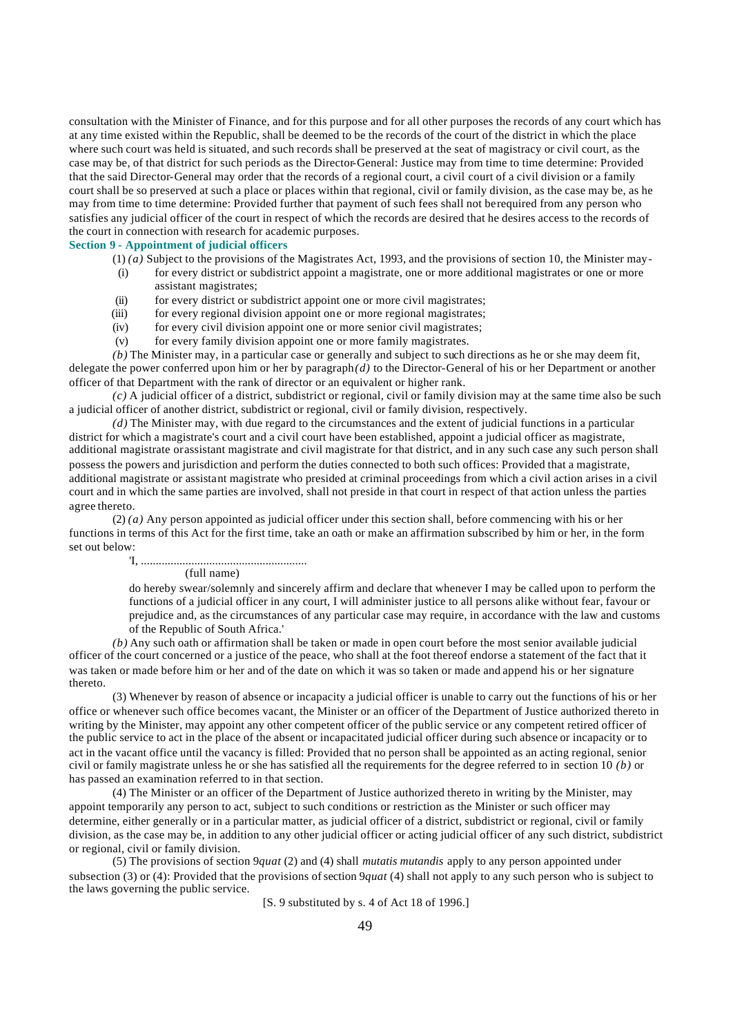consultation with the Minister of Finance, and for this purpose and for all other purposes the records of any court which has at any time existed within the Republic, shall be deemed to be the records of the court of the district in which the place where such court was held is situated, and such records shall be preserved at the seat of magistracy or civil court, as the case may be, of that district for such periods as the Director-General: Justice may from time to time determine: Provided that the said Director-General may order that the records of a regional court, a civil court of a civil division or a family court shall be so preserved at such a place or places within that regional, civil or family division, as the case may be, as he may from time to time determine: Provided further that payment of such fees shall not be required from any person who satisfies any judicial officer of the court in respect of which the records are desired that he desires access to the records of the court in connection with research for academic purposes.

#### **Section 9 - Appointment of judicial officers**

- (1) *(a)* Subject to the provisions of the Magistrates Act, 1993, and the provisions of section 10, the Minister may-
- (i) for every district or subdistrict appoint a magistrate, one or more additional magistrates or one or more assistant magistrates;
- (ii) for every district or subdistrict appoint one or more civil magistrates;
- (iii) for every regional division appoint one or more regional magistrates;
- (iv) for every civil division appoint one or more senior civil magistrates;
- (v) for every family division appoint one or more family magistrates.

*(b)* The Minister may, in a particular case or generally and subject to such directions as he or she may deem fit, delegate the power conferred upon him or her by paragraph *(d)* to the Director-General of his or her Department or another officer of that Department with the rank of director or an equivalent or higher rank.

 $(c)$  A judicial officer of a district, subdistrict or regional, civil or family division may at the same time also be such a judicial officer of another district, subdistrict or regional, civil or family division, respectively.

*(d)* The Minister may, with due regard to the circumstances and the extent of judicial functions in a particular district for which a magistrate's court and a civil court have been established, appoint a judicial officer as magistrate, additional magistrate or assistant magistrate and civil magistrate for that district, and in any such case any such person shall possess the powers and jurisdiction and perform the duties connected to both such offices: Provided that a magistrate, additional magistrate or assistant magistrate who presided at criminal proceedings from which a civil action arises in a civil court and in which the same parties are involved, shall not preside in that court in respect of that action unless the parties agree thereto.

(2) *(a)* Any person appointed as judicial officer under this section shall, before commencing with his or her functions in terms of this Act for the first time, take an oath or make an affirmation subscribed by him or her, in the form set out below:

> 'I, ........................................................ (full name)

do hereby swear/solemnly and sincerely affirm and declare that whenever I may be called upon to perform the functions of a judicial officer in any court, I will administer justice to all persons alike without fear, favour or prejudice and, as the circumstances of any particular case may require, in accordance with the law and customs of the Republic of South Africa.'

*(b)* Any such oath or affirmation shall be taken or made in open court before the most senior available judicial officer of the court concerned or a justice of the peace, who shall at the foot thereof endorse a statement of the fact that it was taken or made before him or her and of the date on which it was so taken or made and append his or her signature thereto.

(3) Whenever by reason of absence or incapacity a judicial officer is unable to carry out the functions of his or her office or whenever such office becomes vacant, the Minister or an officer of the Department of Justice authorized thereto in writing by the Minister, may appoint any other competent officer of the public service or any competent retired officer of the public service to act in the place of the absent or incapacitated judicial officer during such absence or incapacity or to act in the vacant office until the vacancy is filled: Provided that no person shall be appointed as an acting regional, senior civil or family magistrate unless he or she has satisfied all the requirements for the degree referred to in section 10 *(b)* or has passed an examination referred to in that section.

(4) The Minister or an officer of the Department of Justice authorized thereto in writing by the Minister, may appoint temporarily any person to act, subject to such conditions or restriction as the Minister or such officer may determine, either generally or in a particular matter, as judicial officer of a district, subdistrict or regional, civil or family division, as the case may be, in addition to any other judicial officer or acting judicial officer of any such district, subdistrict or regional, civil or family division.

(5) The provisions of section 9*quat* (2) and (4) shall *mutatis mutandis* apply to any person appointed under subsection (3) or (4): Provided that the provisions of section 9*quat* (4) shall not apply to any such person who is subject to the laws governing the public service.

[S. 9 substituted by s. 4 of Act 18 of 1996.]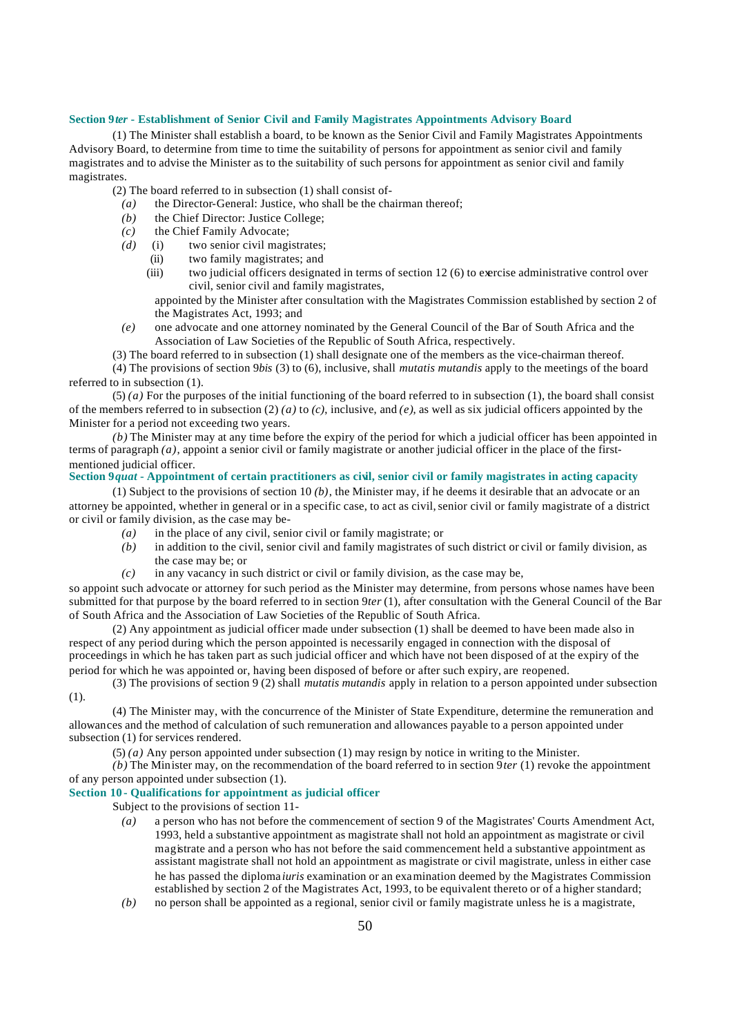#### **Section 9***ter* **- Establishment of Senior Civil and Family Magistrates Appointments Advisory Board**

(1) The Minister shall establish a board, to be known as the Senior Civil and Family Magistrates Appointments Advisory Board, to determine from time to time the suitability of persons for appointment as senior civil and family magistrates and to advise the Minister as to the suitability of such persons for appointment as senior civil and family magistrates.

(2) The board referred to in subsection (1) shall consist of-

- *(a)* the Director-General: Justice, who shall be the chairman thereof;
- *(b)* the Chief Director: Justice College;
- *(c)* the Chief Family Advocate;
- *(d)* (i) two senior civil magistrates;
	- (ii) two family magistrates; and
	- (iii) two judicial officers designated in terms of section 12 (6) to exercise administrative control over civil, senior civil and family magistrates,

appointed by the Minister after consultation with the Magistrates Commission established by section 2 of the Magistrates Act, 1993; and

*(e)* one advocate and one attorney nominated by the General Council of the Bar of South Africa and the Association of Law Societies of the Republic of South Africa, respectively.

(3) The board referred to in subsection (1) shall designate one of the members as the vice-chairman thereof. (4) The provisions of section 9*bis* (3) to (6), inclusive, shall *mutatis mutandis* apply to the meetings of the board referred to in subsection (1).

 $(5)$  (a) For the purposes of the initial functioning of the board referred to in subsection  $(1)$ , the board shall consist of the members referred to in subsection (2) *(a)* to *(c)*, inclusive, and *(e)*, as well as six judicial officers appointed by the Minister for a period not exceeding two years.

*(b)* The Minister may at any time before the expiry of the period for which a judicial officer has been appointed in terms of paragraph *(a)*, appoint a senior civil or family magistrate or another judicial officer in the place of the firstmentioned judicial officer.

# **Section 9***quat* **- Appointment of certain practitioners as civil, senior civil or family magistrates in acting capacity**

(1) Subject to the provisions of section 10 *(b)*, the Minister may, if he deems it desirable that an advocate or an attorney be appointed, whether in general or in a specific case, to act as civil, senior civil or family magistrate of a district or civil or family division, as the case may be-

- *(a)* in the place of any civil, senior civil or family magistrate; or
- *(b)* in addition to the civil, senior civil and family magistrates of such district or civil or family division, as the case may be; or
- *(c)* in any vacancy in such district or civil or family division, as the case may be,

so appoint such advocate or attorney for such period as the Minister may determine, from persons whose names have been submitted for that purpose by the board referred to in section 9*ter* (1), after consultation with the General Council of the Bar of South Africa and the Association of Law Societies of the Republic of South Africa.

(2) Any appointment as judicial officer made under subsection (1) shall be deemed to have been made also in respect of any period during which the person appointed is necessarily engaged in connection with the disposal of proceedings in which he has taken part as such judicial officer and which have not been disposed of at the expiry of the period for which he was appointed or, having been disposed of before or after such expiry, are reopened.

(3) The provisions of section 9 (2) shall *mutatis mutandis* apply in relation to a person appointed under subsection

(1).

(4) The Minister may, with the concurrence of the Minister of State Expenditure, determine the remuneration and allowances and the method of calculation of such remuneration and allowances payable to a person appointed under

subsection (1) for services rendered.

(5) *(a)* Any person appointed under subsection (1) may resign by notice in writing to the Minister.

 $(b)$  The Minister may, on the recommendation of the board referred to in section  $\frac{\partial}{\partial t}$  (1) revoke the appointment of any person appointed under subsection (1).

# **Section 10 - Qualifications for appointment as judicial officer**

Subject to the provisions of section 11-

- *(a)* a person who has not before the commencement of section 9 of the Magistrates' Courts Amendment Act, 1993, held a substantive appointment as magistrate shall not hold an appointment as magistrate or civil magistrate and a person who has not before the said commencement held a substantive appointment as assistant magistrate shall not hold an appointment as magistrate or civil magistrate, unless in either case he has passed the diploma *iuris* examination or an examination deemed by the Magistrates Commission established by section 2 of the Magistrates Act, 1993, to be equivalent thereto or of a higher standard;
- *(b)* no person shall be appointed as a regional, senior civil or family magistrate unless he is a magistrate,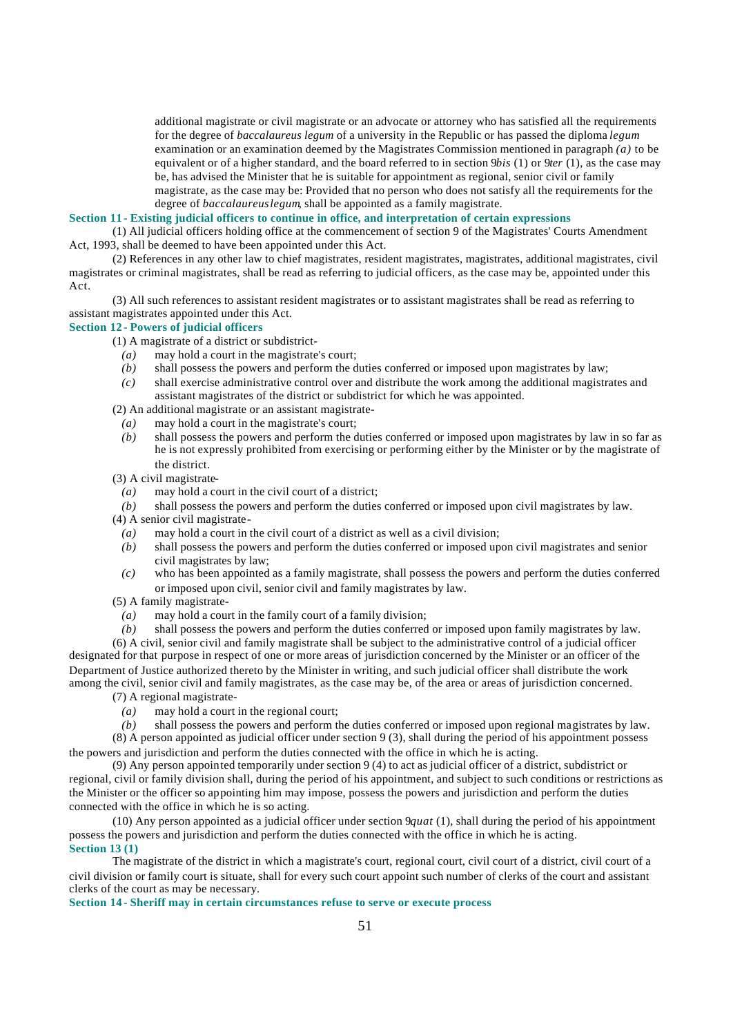additional magistrate or civil magistrate or an advocate or attorney who has satisfied all the requirements for the degree of *baccalaureus legum* of a university in the Republic or has passed the diploma *legum* examination or an examination deemed by the Magistrates Commission mentioned in paragraph *(a)* to be equivalent or of a higher standard, and the board referred to in section 9*bis* (1) or 9*ter* (1), as the case may be, has advised the Minister that he is suitable for appointment as regional, senior civil or family magistrate, as the case may be: Provided that no person who does not satisfy all the requirements for the degree of *baccalaureuslegum*, shall be appointed as a family magistrate.

#### **Section 11 - Existing judicial officers to continue in office, and interpretation of certain expressions**

(1) All judicial officers holding office at the commencement of section 9 of the Magistrates' Courts Amendment Act, 1993, shall be deemed to have been appointed under this Act.

(2) References in any other law to chief magistrates, resident magistrates, magistrates, additional magistrates, civil magistrates or criminal magistrates, shall be read as referring to judicial officers, as the case may be, appointed under this Act.

(3) All such references to assistant resident magistrates or to assistant magistrates shall be read as referring to assistant magistrates appointed under this Act.

#### **Section 12 - Powers of judicial officers**

(1) A magistrate of a district or subdistrict-

- *(a)* may hold a court in the magistrate's court;
- *(b)* shall possess the powers and perform the duties conferred or imposed upon magistrates by law;
- *(c)* shall exercise administrative control over and distribute the work among the additional magistrates and assistant magistrates of the district or subdistrict for which he was appointed.
- (2) An additional magistrate or an assistant magistrate-
- *(a)* may hold a court in the magistrate's court;
- *(b)* shall possess the powers and perform the duties conferred or imposed upon magistrates by law in so far as he is not expressly prohibited from exercising or performing either by the Minister or by the magistrate of the district.
- (3) A civil magistrate-
	- *(a)* may hold a court in the civil court of a district;
- *(b)* shall possess the powers and perform the duties conferred or imposed upon civil magistrates by law.

(4) A senior civil magistrate-

- *(a)* may hold a court in the civil court of a district as well as a civil division;
- *(b)* shall possess the powers and perform the duties conferred or imposed upon civil magistrates and senior civil magistrates by law;
- *(c)* who has been appointed as a family magistrate, shall possess the powers and perform the duties conferred or imposed upon civil, senior civil and family magistrates by law.
- (5) A family magistrate-
	- *(a)* may hold a court in the family court of a family division;
- *(b)* shall possess the powers and perform the duties conferred or imposed upon family magistrates by law.

(6) A civil, senior civil and family magistrate shall be subject to the administrative control of a judicial officer designated for that purpose in respect of one or more areas of jurisdiction concerned by the Minister or an officer of the Department of Justice authorized thereto by the Minister in writing, and such judicial officer shall distribute the work among the civil, senior civil and family magistrates, as the case may be, of the area or areas of jurisdiction concerned.

- (7) A regional magistrate-
- *(a)* may hold a court in the regional court;
- *(b)* shall possess the powers and perform the duties conferred or imposed upon regional magistrates by law.

(8) A person appointed as judicial officer under section 9 (3), shall during the period of his appointment possess the powers and jurisdiction and perform the duties connected with the office in which he is acting.

(9) Any person appointed temporarily under section 9 (4) to act as judicial officer of a district, subdistrict or regional, civil or family division shall, during the period of his appointment, and subject to such conditions or restrictions as the Minister or the officer so appointing him may impose, possess the powers and jurisdiction and perform the duties connected with the office in which he is so acting.

(10) Any person appointed as a judicial officer under section 9*quat* (1), shall during the period of his appointment possess the powers and jurisdiction and perform the duties connected with the office in which he is acting. **Section 13 (1)**

The magistrate of the district in which a magistrate's court, regional court, civil court of a district, civil court of a civil division or family court is situate, shall for every such court appoint such number of clerks of the court and assistant clerks of the court as may be necessary.

**Section 14 - Sheriff may in certain circumstances refuse to serve or execute process**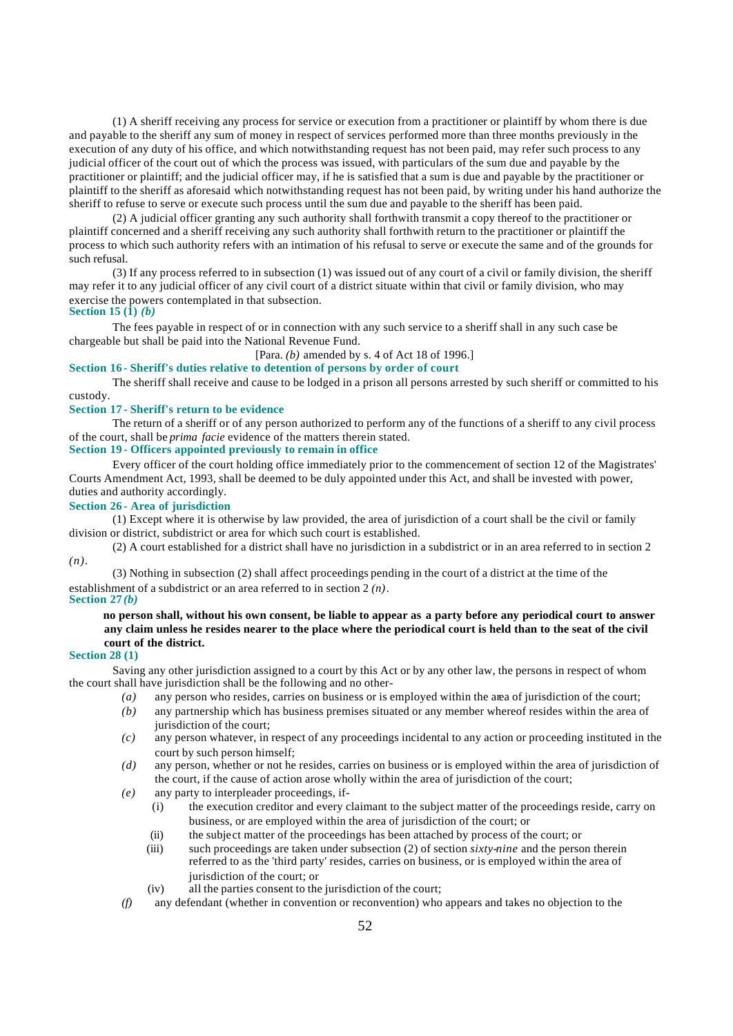(1) A sheriff receiving any process for service or execution from a practitioner or plaintiff by whom there is due and payable to the sheriff any sum of money in respect of services performed more than three months previously in the execution of any duty of his office, and which notwithstanding request has not been paid, may refer such process to any judicial officer of the court out of which the process was issued, with particulars of the sum due and payable by the practitioner or plaintiff; and the judicial officer may, if he is satisfied that a sum is due and payable by the practitioner or plaintiff to the sheriff as aforesaid which notwithstanding request has not been paid, by writing under his hand authorize the sheriff to refuse to serve or execute such process until the sum due and payable to the sheriff has been paid.

(2) A judicial officer granting any such authority shall forthwith transmit a copy thereof to the practitioner or plaintiff concerned and a sheriff receiving any such authority shall forthwith return to the practitioner or plaintiff the process to which such authority refers with an intimation of his refusal to serve or execute the same and of the grounds for such refusal.

(3) If any process referred to in subsection (1) was issued out of any court of a civil or family division, the sheriff may refer it to any judicial officer of any civil court of a district situate within that civil or family division, who may exercise the powers contemplated in that subsection.

# **Section 15 (1)** *(b)*

The fees payable in respect of or in connection with any such service to a sheriff shall in any such case be chargeable but shall be paid into the National Revenue Fund.

[Para. *(b)* amended by s. 4 of Act 18 of 1996.]

# **Section 16 - Sheriff's duties relative to detention of persons by order of court**

The sheriff shall receive and cause to be lodged in a prison all persons arrested by such sheriff or committed to his custody.

# **Section 17 - Sheriff's return to be evidence**

The return of a sheriff or of any person authorized to perform any of the functions of a sheriff to any civil process of the court, shall be *prima facie* evidence of the matters therein stated.

# **Section 19 - Officers appointed previously to remain in office**

Every officer of the court holding office immediately prior to the commencement of section 12 of the Magistrates' Courts Amendment Act, 1993, shall be deemed to be duly appointed under this Act, and shall be invested with power, duties and authority accordingly.

# **Section 26 - Area of jurisdiction**

(1) Except where it is otherwise by law provided, the area of jurisdiction of a court shall be the civil or family division or district, subdistrict or area for which such court is established.

(2) A court established for a district shall have no jurisdiction in a subdistrict or in an area referred to in section 2 *(n)*.

(3) Nothing in subsection (2) shall affect proceedings pending in the court of a district at the time of the establishment of a subdistrict or an area referred to in section 2 *(n)*. **Section 27** *(b)*

# **no person shall, without his own consent, be liable to appear as a party before any periodical court to answer any claim unless he resides nearer to the place where the periodical court is held than to the seat of the civil court of the district.**

#### **Section 28 (1)**

Saving any other jurisdiction assigned to a court by this Act or by any other law, the persons in respect of whom the court shall have jurisdiction shall be the following and no other-

- *(a)* any person who resides, carries on business or is employed within the area of jurisdiction of the court;
- *(b)* any partnership which has business premises situated or any member whereof resides within the area of jurisdiction of the court:
- *(c)* any person whatever, in respect of any proceedings incidental to any action or proceeding instituted in the court by such person himself;
- *(d)* any person, whether or not he resides, carries on business or is employed within the area of jurisdiction of the court, if the cause of action arose wholly within the area of jurisdiction of the court;
- *(e)* any party to interpleader proceedings, if-
	- (i) the execution creditor and every claimant to the subject matter of the proceedings reside, carry on business, or are employed within the area of jurisdiction of the court; or
	- (ii) the subject matter of the proceedings has been attached by process of the court; or
	- (iii) such proceedings are taken under subsection (2) of section  $sixty\text{-}nine$  and the person therein referred to as the 'third party' resides, carries on business, or is employed within the area of jurisdiction of the court; or
	- (iv) all the parties consent to the jurisdiction of the court;
- *(f)* any defendant (whether in convention or reconvention) who appears and takes no objection to the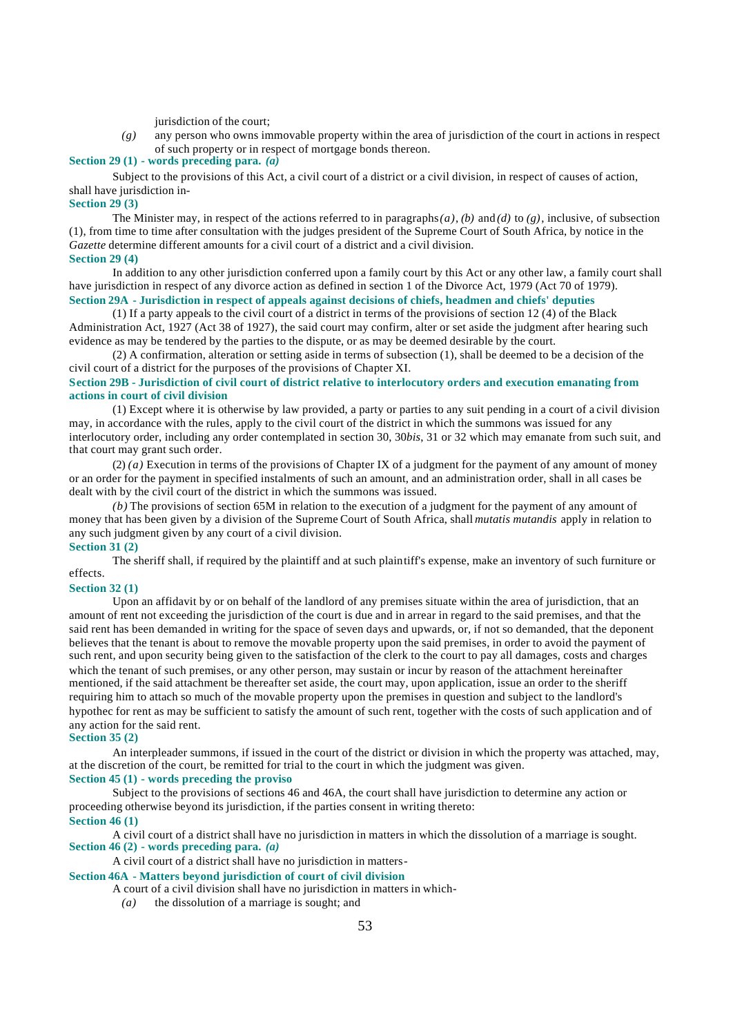jurisdiction of the court;

*(g)* any person who owns immovable property within the area of jurisdiction of the court in actions in respect of such property or in respect of mortgage bonds thereon.

# **Section 29 (1) - words preceding para.** *(a)*

Subject to the provisions of this Act, a civil court of a district or a civil division, in respect of causes of action, shall have jurisdiction in-

#### **Section 29 (3)**

The Minister may, in respect of the actions referred to in paragraphs *(a)*, *(b)* and *(d)* to *(g)*, inclusive, of subsection (1), from time to time after consultation with the judges president of the Supreme Court of South Africa, by notice in the *Gazette* determine different amounts for a civil court of a district and a civil division.

# **Section 29 (4)**

In addition to any other jurisdiction conferred upon a family court by this Act or any other law, a family court shall have jurisdiction in respect of any divorce action as defined in section 1 of the Divorce Act, 1979 (Act 70 of 1979).

# **Section 29A - Jurisdiction in respect of appeals against decisions of chiefs, headmen and chiefs' deputies**

(1) If a party appeals to the civil court of a district in terms of the provisions of section 12 (4) of the Black Administration Act, 1927 (Act 38 of 1927), the said court may confirm, alter or set aside the judgment after hearing such evidence as may be tendered by the parties to the dispute, or as may be deemed desirable by the court.

(2) A confirmation, alteration or setting aside in terms of subsection (1), shall be deemed to be a decision of the civil court of a district for the purposes of the provisions of Chapter XI.

### **Section 29B - Jurisdiction of civil court of district relative to interlocutory orders and execution emanating from actions in court of civil division**

(1) Except where it is otherwise by law provided, a party or parties to any suit pending in a court of a civil division may, in accordance with the rules, apply to the civil court of the district in which the summons was issued for any interlocutory order, including any order contemplated in section 30, 30*bis*, 31 or 32 which may emanate from such suit, and that court may grant such order.

(2) *(a)* Execution in terms of the provisions of Chapter IX of a judgment for the payment of any amount of money or an order for the payment in specified instalments of such an amount, and an administration order, shall in all cases be dealt with by the civil court of the district in which the summons was issued.

*(b)* The provisions of section 65M in relation to the execution of a judgment for the payment of any amount of money that has been given by a division of the Supreme Court of South Africa, shall *mutatis mutandis* apply in relation to any such judgment given by any court of a civil division.

# **Section 31 (2)**

The sheriff shall, if required by the plaintiff and at such plaintiff's expense, make an inventory of such furniture or effects.

#### **Section 32 (1)**

Upon an affidavit by or on behalf of the landlord of any premises situate within the area of jurisdiction, that an amount of rent not exceeding the jurisdiction of the court is due and in arrear in regard to the said premises, and that the said rent has been demanded in writing for the space of seven days and upwards, or, if not so demanded, that the deponent believes that the tenant is about to remove the movable property upon the said premises, in order to avoid the payment of such rent, and upon security being given to the satisfaction of the clerk to the court to pay all damages, costs and charges which the tenant of such premises, or any other person, may sustain or incur by reason of the attachment hereinafter mentioned, if the said attachment be thereafter set aside, the court may, upon application, issue an order to the sheriff requiring him to attach so much of the movable property upon the premises in question and subject to the landlord's hypothec for rent as may be sufficient to satisfy the amount of such rent, together with the costs of such application and of any action for the said rent.

# **Section 35 (2)**

An interpleader summons, if issued in the court of the district or division in which the property was attached, may, at the discretion of the court, be remitted for trial to the court in which the judgment was given.

# **Section 45 (1) - words preceding the proviso**

Subject to the provisions of sections 46 and 46A, the court shall have jurisdiction to determine any action or proceeding otherwise beyond its jurisdiction, if the parties consent in writing thereto: **Section 46 (1)**

A civil court of a district shall have no jurisdiction in matters in which the dissolution of a marriage is sought. **Section 46 (2) - words preceding para.** *(a)*

# A civil court of a district shall have no jurisdiction in matters-

## **Section 46A - Matters beyond jurisdiction of court of civil division**

A court of a civil division shall have no jurisdiction in matters in which-

*(a)* the dissolution of a marriage is sought; and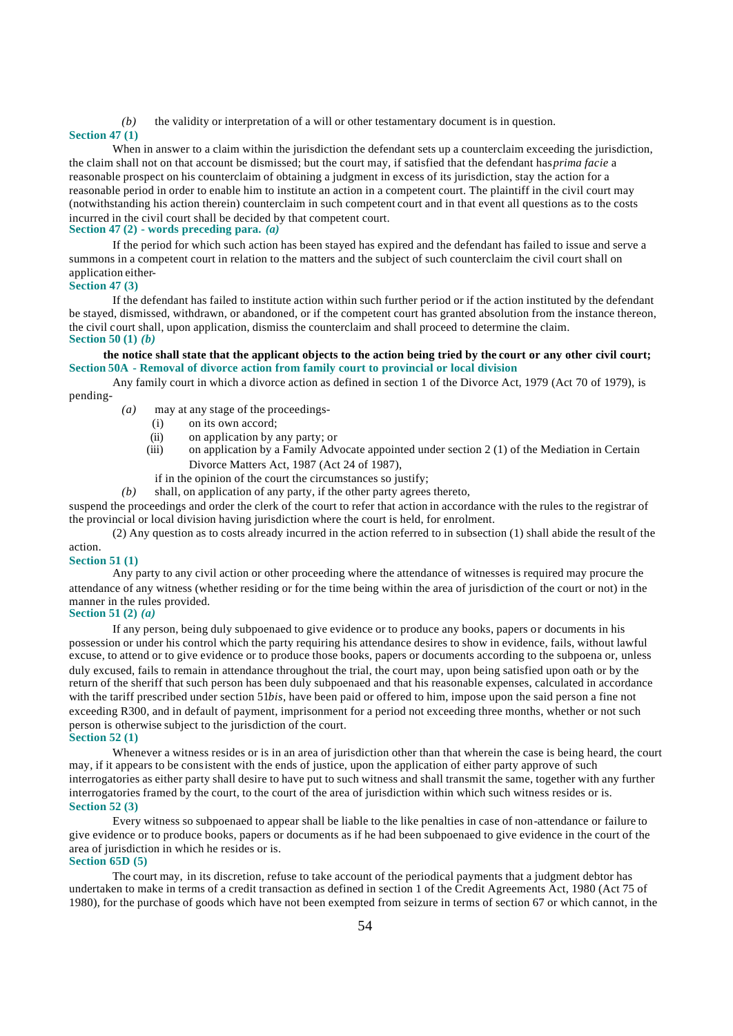*(b)* the validity or interpretation of a will or other testamentary document is in question.

#### **Section 47 (1)**

When in answer to a claim within the jurisdiction the defendant sets up a counterclaim exceeding the jurisdiction, the claim shall not on that account be dismissed; but the court may, if satisfied that the defendant has *prima facie* a reasonable prospect on his counterclaim of obtaining a judgment in excess of its jurisdiction, stay the action for a reasonable period in order to enable him to institute an action in a competent court. The plaintiff in the civil court may (notwithstanding his action therein) counterclaim in such competent court and in that event all questions as to the costs incurred in the civil court shall be decided by that competent court.

# **Section 47 (2) - words preceding para.** *(a)*

If the period for which such action has been stayed has expired and the defendant has failed to issue and serve a summons in a competent court in relation to the matters and the subject of such counterclaim the civil court shall on application either-

#### **Section 47 (3)**

If the defendant has failed to institute action within such further period or if the action instituted by the defendant be stayed, dismissed, withdrawn, or abandoned, or if the competent court has granted absolution from the instance thereon, the civil court shall, upon application, dismiss the counterclaim and shall proceed to determine the claim. **Section 50 (1)** *(b)*

#### **the notice shall state that the applicant objects to the action being tried by the court or any other civil court; Section 50A - Removal of divorce action from family court to provincial or local division**

Any family court in which a divorce action as defined in section 1 of the Divorce Act, 1979 (Act 70 of 1979), is pending-

- *(a)* may at any stage of the proceedings-
	- (i) on its own accord;
	- (ii) on application by any party; or<br>(iii) on application by a Family Adv
	- on application by a Family Advocate appointed under section 2 (1) of the Mediation in Certain Divorce Matters Act, 1987 (Act 24 of 1987),
	- if in the opinion of the court the circumstances so justify;

*(b)* shall, on application of any party, if the other party agrees thereto,

suspend the proceedings and order the clerk of the court to refer that action in accordance with the rules to the registrar of the provincial or local division having jurisdiction where the court is held, for enrolment.

(2) Any question as to costs already incurred in the action referred to in subsection (1) shall abide the result of the action.

# **Section 51 (1)**

Any party to any civil action or other proceeding where the attendance of witnesses is required may procure the attendance of any witness (whether residing or for the time being within the area of jurisdiction of the court or not) in the manner in the rules provided.

# **Section 51 (2)** *(a)*

If any person, being duly subpoenaed to give evidence or to produce any books, papers or documents in his possession or under his control which the party requiring his attendance desires to show in evidence, fails, without lawful excuse, to attend or to give evidence or to produce those books, papers or documents according to the subpoena or, unless duly excused, fails to remain in attendance throughout the trial, the court may, upon being satisfied upon oath or by the return of the sheriff that such person has been duly subpoenaed and that his reasonable expenses, calculated in accordance with the tariff prescribed under section 51*bis*, have been paid or offered to him, impose upon the said person a fine not exceeding R300, and in default of payment, imprisonment for a period not exceeding three months, whether or not such person is otherwise subject to the jurisdiction of the court.

#### **Section 52 (1)**

Whenever a witness resides or is in an area of jurisdiction other than that wherein the case is being heard, the court may, if it appears to be consistent with the ends of justice, upon the application of either party approve of such interrogatories as either party shall desire to have put to such witness and shall transmit the same, together with any further interrogatories framed by the court, to the court of the area of jurisdiction within which such witness resides or is. **Section 52 (3)**

Every witness so subpoenaed to appear shall be liable to the like penalties in case of non-attendance or failure to give evidence or to produce books, papers or documents as if he had been subpoenaed to give evidence in the court of the area of jurisdiction in which he resides or is.

# **Section 65D (5)**

The court may, in its discretion, refuse to take account of the periodical payments that a judgment debtor has undertaken to make in terms of a credit transaction as defined in section 1 of the Credit Agreements Act, 1980 (Act 75 of 1980), for the purchase of goods which have not been exempted from seizure in terms of section 67 or which cannot, in the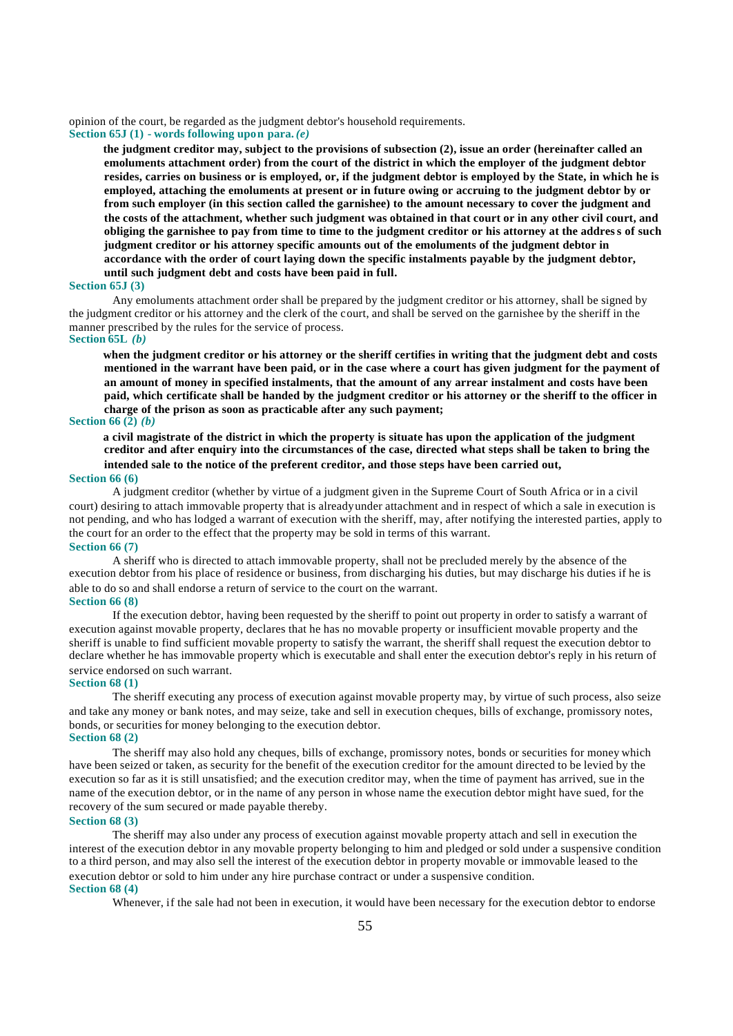opinion of the court, be regarded as the judgment debtor's household requirements.

**Section 65J (1) - words following upon para.** *(e)*

**the judgment creditor may, subject to the provisions of subsection (2), issue an order (hereinafter called an emoluments attachment order) from the court of the district in which the employer of the judgment debtor resides, carries on business or is employed, or, if the judgment debtor is employed by the State, in which he is employed, attaching the emoluments at present or in future owing or accruing to the judgment debtor by or from such employer (in this section called the garnishee) to the amount necessary to cover the judgment and the costs of the attachment, whether such judgment was obtained in that court or in any other civil court, and obliging the garnishee to pay from time to time to the judgment creditor or his attorney at the address of such judgment creditor or his attorney specific amounts out of the emoluments of the judgment debtor in accordance with the order of court laying down the specific instalments payable by the judgment debtor, until such judgment debt and costs have been paid in full.**

#### **Section 65J (3)**

Any emoluments attachment order shall be prepared by the judgment creditor or his attorney, shall be signed by the judgment creditor or his attorney and the clerk of the court, and shall be served on the garnishee by the sheriff in the manner prescribed by the rules for the service of process.

# **Section 65L** *(b)*

**when the judgment creditor or his attorney or the sheriff certifies in writing that the judgment debt and costs mentioned in the warrant have been paid, or in the case where a court has given judgment for the payment of an amount of money in specified instalments, that the amount of any arrear instalment and costs have been paid, which certificate shall be handed by the judgment creditor or his attorney or the sheriff to the officer in charge of the prison as soon as practicable after any such payment;**

# **Section 66 (2)** *(b)*

**a civil magistrate of the district in which the property is situate has upon the application of the judgment creditor and after enquiry into the circumstances of the case, directed what steps shall be taken to bring the intended sale to the notice of the preferent creditor, and those steps have been carried out,**

#### **Section 66 (6)**

A judgment creditor (whether by virtue of a judgment given in the Supreme Court of South Africa or in a civil court) desiring to attach immovable property that is already under attachment and in respect of which a sale in execution is not pending, and who has lodged a warrant of execution with the sheriff, may, after notifying the interested parties, apply to the court for an order to the effect that the property may be sold in terms of this warrant. **Section 66 (7)**

A sheriff who is directed to attach immovable property, shall not be precluded merely by the absence of the execution debtor from his place of residence or business, from discharging his duties, but may discharge his duties if he is able to do so and shall endorse a return of service to the court on the warrant. **Section 66 (8)**

If the execution debtor, having been requested by the sheriff to point out property in order to satisfy a warrant of execution against movable property, declares that he has no movable property or insufficient movable property and the sheriff is unable to find sufficient movable property to satisfy the warrant, the sheriff shall request the execution debtor to declare whether he has immovable property which is executable and shall enter the execution debtor's reply in his return of service endorsed on such warrant.

#### **Section 68 (1)**

The sheriff executing any process of execution against movable property may, by virtue of such process, also seize and take any money or bank notes, and may seize, take and sell in execution cheques, bills of exchange, promissory notes, bonds, or securities for money belonging to the execution debtor. **Section 68 (2)**

The sheriff may also hold any cheques, bills of exchange, promissory notes, bonds or securities for money which have been seized or taken, as security for the benefit of the execution creditor for the amount directed to be levied by the execution so far as it is still unsatisfied; and the execution creditor may, when the time of payment has arrived, sue in the name of the execution debtor, or in the name of any person in whose name the execution debtor might have sued, for the recovery of the sum secured or made payable thereby.

#### **Section 68 (3)**

The sheriff may also under any process of execution against movable property attach and sell in execution the interest of the execution debtor in any movable property belonging to him and pledged or sold under a suspensive condition to a third person, and may also sell the interest of the execution debtor in property movable or immovable leased to the execution debtor or sold to him under any hire purchase contract or under a suspensive condition. **Section 68 (4)**

Whenever, if the sale had not been in execution, it would have been necessary for the execution debtor to endorse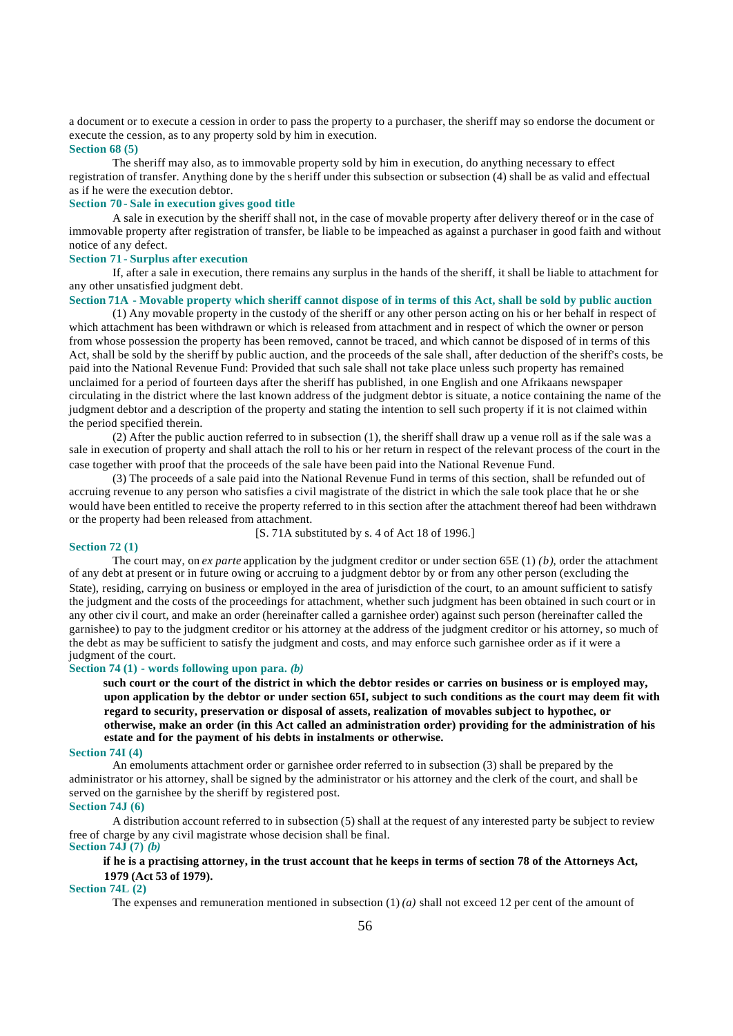a document or to execute a cession in order to pass the property to a purchaser, the sheriff may so endorse the document or execute the cession, as to any property sold by him in execution.

#### **Section 68 (5)**

The sheriff may also, as to immovable property sold by him in execution, do anything necessary to effect registration of transfer. Anything done by the s heriff under this subsection or subsection (4) shall be as valid and effectual as if he were the execution debtor.

#### **Section 70 - Sale in execution gives good title**

A sale in execution by the sheriff shall not, in the case of movable property after delivery thereof or in the case of immovable property after registration of transfer, be liable to be impeached as against a purchaser in good faith and without notice of any defect.

#### **Section 71 - Surplus after execution**

If, after a sale in execution, there remains any surplus in the hands of the sheriff, it shall be liable to attachment for any other unsatisfied judgment debt.

#### **Section 71A - Movable property which sheriff cannot dispose of in terms of this Act, shall be sold by public auction**

(1) Any movable property in the custody of the sheriff or any other person acting on his or her behalf in respect of which attachment has been withdrawn or which is released from attachment and in respect of which the owner or person from whose possession the property has been removed, cannot be traced, and which cannot be disposed of in terms of this Act, shall be sold by the sheriff by public auction, and the proceeds of the sale shall, after deduction of the sheriff's costs, be paid into the National Revenue Fund: Provided that such sale shall not take place unless such property has remained unclaimed for a period of fourteen days after the sheriff has published, in one English and one Afrikaans newspaper circulating in the district where the last known address of the judgment debtor is situate, a notice containing the name of the judgment debtor and a description of the property and stating the intention to sell such property if it is not claimed within the period specified therein.

(2) After the public auction referred to in subsection (1), the sheriff shall draw up a venue roll as if the sale was a sale in execution of property and shall attach the roll to his or her return in respect of the relevant process of the court in the case together with proof that the proceeds of the sale have been paid into the National Revenue Fund.

(3) The proceeds of a sale paid into the National Revenue Fund in terms of this section, shall be refunded out of accruing revenue to any person who satisfies a civil magistrate of the district in which the sale took place that he or she would have been entitled to receive the property referred to in this section after the attachment thereof had been withdrawn or the property had been released from attachment.

[S. 71A substituted by s. 4 of Act 18 of 1996.]

#### **Section 72 (1)**

The court may, on *ex parte* application by the judgment creditor or under section 65E (1) *(b)*, order the attachment of any debt at present or in future owing or accruing to a judgment debtor by or from any other person (excluding the State), residing, carrying on business or employed in the area of jurisdiction of the court, to an amount sufficient to satisfy the judgment and the costs of the proceedings for attachment, whether such judgment has been obtained in such court or in any other civ il court, and make an order (hereinafter called a garnishee order) against such person (hereinafter called the garnishee) to pay to the judgment creditor or his attorney at the address of the judgment creditor or his attorney, so much of the debt as may be sufficient to satisfy the judgment and costs, and may enforce such garnishee order as if it were a judgment of the court.

# **Section 74 (1) - words following upon para.** *(b)*

**such court or the court of the district in which the debtor resides or carries on business or is employed may, upon application by the debtor or under section 65I, subject to such conditions as the court may deem fit with regard to security, preservation or disposal of assets, realization of movables subject to hypothec, or otherwise, make an order (in this Act called an administration order) providing for the administration of his estate and for the payment of his debts in instalments or otherwise.**

#### **Section 74I (4)**

An emoluments attachment order or garnishee order referred to in subsection (3) shall be prepared by the administrator or his attorney, shall be signed by the administrator or his attorney and the clerk of the court, and shall be served on the garnishee by the sheriff by registered post.

# **Section 74J (6)**

A distribution account referred to in subsection (5) shall at the request of any interested party be subject to review free of charge by any civil magistrate whose decision shall be final. **Section 74J (7)** *(b)*

# **if he is a practising attorney, in the trust account that he keeps in terms of section 78 of the Attorneys Act, 1979 (Act 53 of 1979).**

#### **Section 74L (2)**

The expenses and remuneration mentioned in subsection  $(1)(a)$  shall not exceed 12 per cent of the amount of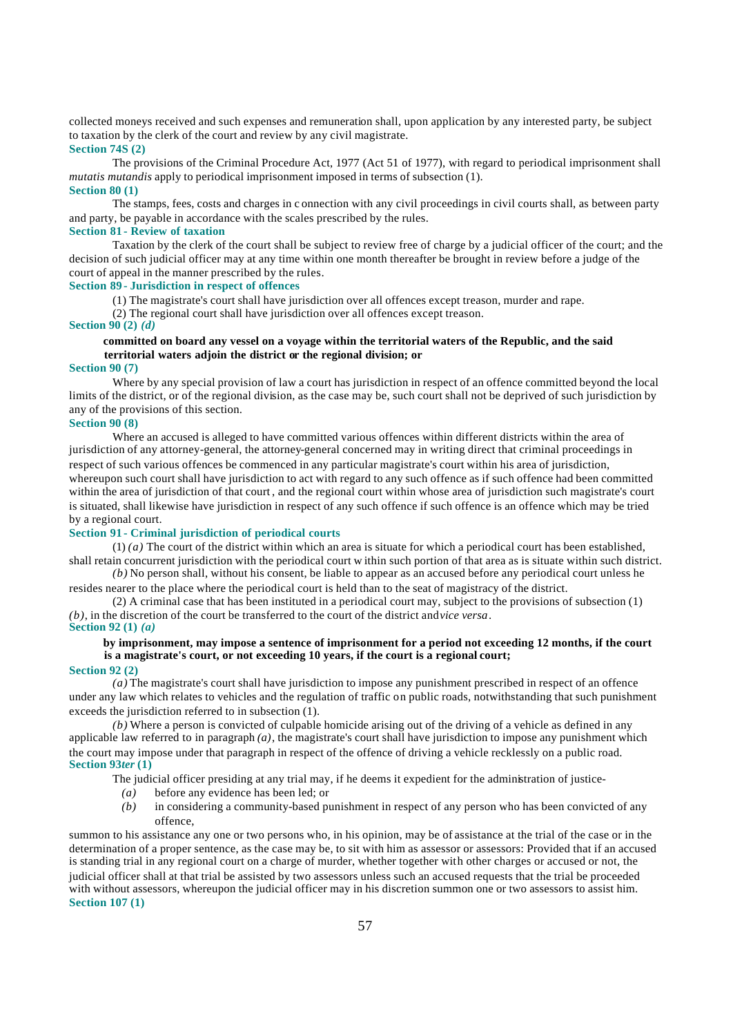collected moneys received and such expenses and remuneration shall, upon application by any interested party, be subject to taxation by the clerk of the court and review by any civil magistrate.

# **Section 74S (2)**

The provisions of the Criminal Procedure Act, 1977 (Act 51 of 1977), with regard to periodical imprisonment shall *mutatis mutandis* apply to periodical imprisonment imposed in terms of subsection (1). **Section 80 (1)**

The stamps, fees, costs and charges in c onnection with any civil proceedings in civil courts shall, as between party and party, be payable in accordance with the scales prescribed by the rules.

# **Section 81 - Review of taxation**

Taxation by the clerk of the court shall be subject to review free of charge by a judicial officer of the court; and the decision of such judicial officer may at any time within one month thereafter be brought in review before a judge of the court of appeal in the manner prescribed by the rules.

# **Section 89 - Jurisdiction in respect of offences**

(1) The magistrate's court shall have jurisdiction over all offences except treason, murder and rape.

(2) The regional court shall have jurisdiction over all offences except treason.

#### **Section 90 (2)** *(d)*

# **committed on board any vessel on a voyage within the territorial waters of the Republic, and the said territorial waters adjoin the district or the regional division; or**

#### **Section 90 (7)**

Where by any special provision of law a court has jurisdiction in respect of an offence committed beyond the local limits of the district, or of the regional division, as the case may be, such court shall not be deprived of such jurisdiction by any of the provisions of this section.

## **Section 90 (8)**

Where an accused is alleged to have committed various offences within different districts within the area of jurisdiction of any attorney-general, the attorney-general concerned may in writing direct that criminal proceedings in respect of such various offences be commenced in any particular magistrate's court within his area of jurisdiction, whereupon such court shall have jurisdiction to act with regard to any such offence as if such offence had been committed within the area of jurisdiction of that court, and the regional court within whose area of jurisdiction such magistrate's court is situated, shall likewise have jurisdiction in respect of any such offence if such offence is an offence which may be tried by a regional court.

# **Section 91 - Criminal jurisdiction of periodical courts**

(1) *(a)* The court of the district within which an area is situate for which a periodical court has been established, shall retain concurrent jurisdiction with the periodical court w ithin such portion of that area as is situate within such district. *(b)* No person shall, without his consent, be liable to appear as an accused before any periodical court unless he

resides nearer to the place where the periodical court is held than to the seat of magistracy of the district. (2) A criminal case that has been instituted in a periodical court may, subject to the provisions of subsection (1)

*(b)*, in the discretion of the court be transferred to the court of the district and *vice versa*. **Section 92 (1)** *(a)*

# **by imprisonment, may impose a sentence of imprisonment for a period not exceeding 12 months, if the court is a magistrate's court, or not exceeding 10 years, if the court is a regional court;**

#### **Section 92 (2)**

*(a)* The magistrate's court shall have jurisdiction to impose any punishment prescribed in respect of an offence under any law which relates to vehicles and the regulation of traffic on public roads, notwithstanding that such punishment exceeds the jurisdiction referred to in subsection (1).

*(b)* Where a person is convicted of culpable homicide arising out of the driving of a vehicle as defined in any applicable law referred to in paragraph  $(a)$ , the magistrate's court shall have jurisdiction to impose any punishment which the court may impose under that paragraph in respect of the offence of driving a vehicle recklessly on a public road. **Section 93***ter* **(1)**

The judicial officer presiding at any trial may, if he deems it expedient for the administration of justice-

- *(a)* before any evidence has been led; or
- *(b)* in considering a community-based punishment in respect of any person who has been convicted of any offence,

summon to his assistance any one or two persons who, in his opinion, may be of assistance at the trial of the case or in the determination of a proper sentence, as the case may be, to sit with him as assessor or assessors: Provided that if an accused is standing trial in any regional court on a charge of murder, whether together with other charges or accused or not, the judicial officer shall at that trial be assisted by two assessors unless such an accused requests that the trial be proceeded with without assessors, whereupon the judicial officer may in his discretion summon one or two assessors to assist him. **Section 107 (1)**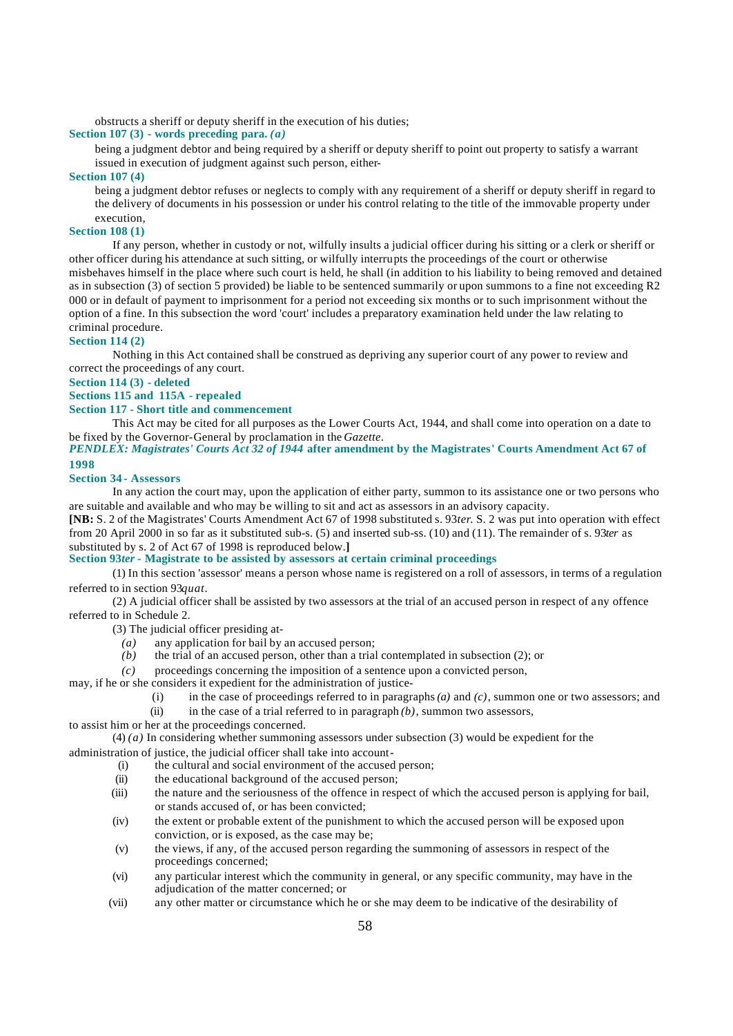obstructs a sheriff or deputy sheriff in the execution of his duties;

# **Section 107 (3) - words preceding para.** *(a)*

being a judgment debtor and being required by a sheriff or deputy sheriff to point out property to satisfy a warrant issued in execution of judgment against such person, either-

# **Section 107 (4)**

being a judgment debtor refuses or neglects to comply with any requirement of a sheriff or deputy sheriff in regard to the delivery of documents in his possession or under his control relating to the title of the immovable property under execution,

# **Section 108 (1)**

If any person, whether in custody or not, wilfully insults a judicial officer during his sitting or a clerk or sheriff or other officer during his attendance at such sitting, or wilfully interrupts the proceedings of the court or otherwise misbehaves himself in the place where such court is held, he shall (in addition to his liability to being removed and detained as in subsection (3) of section 5 provided) be liable to be sentenced summarily or upon summons to a fine not exceeding R2 000 or in default of payment to imprisonment for a period not exceeding six months or to such imprisonment without the option of a fine. In this subsection the word 'court' includes a preparatory examination held under the law relating to criminal procedure.

# **Section 114 (2)**

Nothing in this Act contained shall be construed as depriving any superior court of any power to review and correct the proceedings of any court.

**Section 114 (3) - deleted**

**Sections 115 and 115A - repealed**

# **Section 117 - Short title and commencement**

This Act may be cited for all purposes as the Lower Courts Act, 1944, and shall come into operation on a date to be fixed by the Governor-General by proclamation in the *Gazette*.

*PENDLEX: Magistrates' Courts Act 32 of 1944* **after amendment by the Magistrates' Courts Amendment Act 67 of 1998**

# **Section 34 - Assessors**

In any action the court may, upon the application of either party, summon to its assistance one or two persons who are suitable and available and who may be willing to sit and act as assessors in an advisory capacity.

**[NB:** S. 2 of the Magistrates' Courts Amendment Act 67 of 1998 substituted s. 93*ter*. S. 2 was put into operation with effect from 20 April 2000 in so far as it substituted sub-s. (5) and inserted sub-ss. (10) and (11). The remainder of s. 93*ter* as substituted by s. 2 of Act 67 of 1998 is reproduced below.**]**

# **Section 93***ter -* **Magistrate to be assisted by assessors at certain criminal proceedings**

(1) In this section 'assessor' means a person whose name is registered on a roll of assessors, in terms of a regulation referred to in section 93*quat*.

(2) A judicial officer shall be assisted by two assessors at the trial of an accused person in respect of any offence referred to in Schedule 2.

(3) The judicial officer presiding at-

- *(a)* any application for bail by an accused person;
- *(b)* the trial of an accused person, other than a trial contemplated in subsection (2); or
- *(c)* proceedings concerning the imposition of a sentence upon a convicted person,
- may, if he or she considers it expedient for the administration of justice-
	- (i) in the case of proceedings referred to in paragraphs *(a)* and *(c)*, summon one or two assessors; and
	- (ii) in the case of a trial referred to in paragraph  $(b)$ , summon two assessors,

to assist him or her at the proceedings concerned.

(4) *(a)* In considering whether summoning assessors under subsection (3) would be expedient for the administration of justice, the judicial officer shall take into account-

- (i) the cultural and social environment of the accused person;
- (ii) the educational background of the accused person;
- (iii) the nature and the seriousness of the offence in respect of which the accused person is applying for bail, or stands accused of, or has been convicted;
- (iv) the extent or probable extent of the punishment to which the accused person will be exposed upon conviction, or is exposed, as the case may be;
- (v) the views, if any, of the accused person regarding the summoning of assessors in respect of the proceedings concerned;
- (vi) any particular interest which the community in general, or any specific community, may have in the adjudication of the matter concerned; or
- (vii) any other matter or circumstance which he or she may deem to be indicative of the desirability of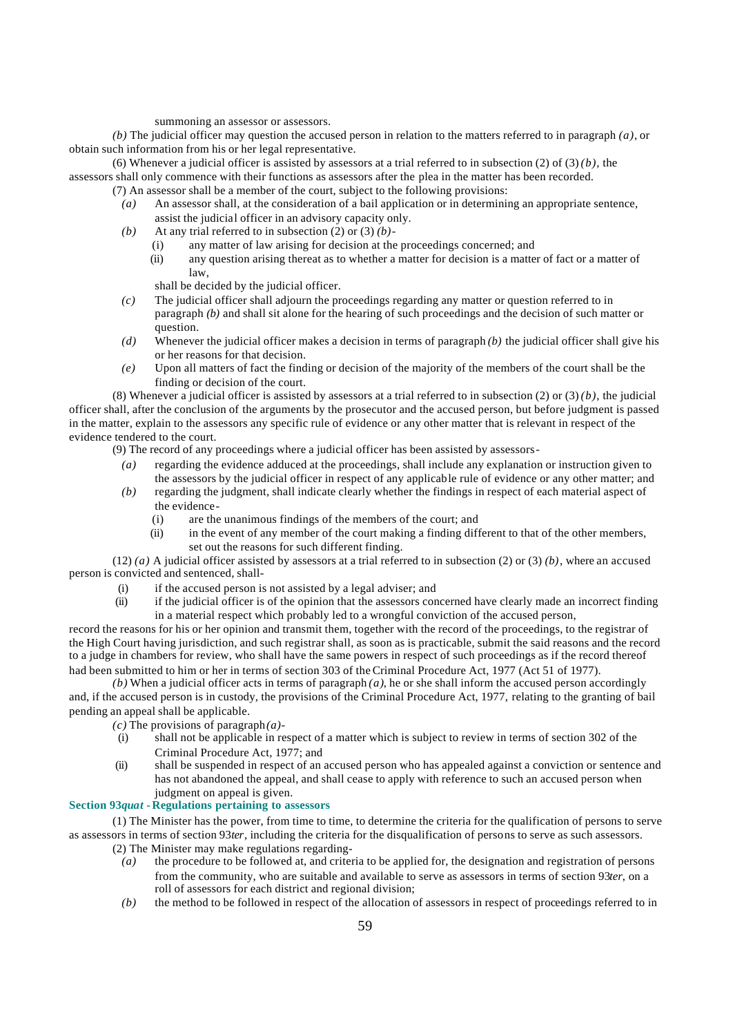summoning an assessor or assessors.

*(b)* The judicial officer may question the accused person in relation to the matters referred to in paragraph *(a)*, or obtain such information from his or her legal representative.

(6) Whenever a judicial officer is assisted by assessors at a trial referred to in subsection (2) of  $(3)(b)$ , the assessors shall only commence with their functions as assessors after the plea in the matter has been recorded.

- (7) An assessor shall be a member of the court, subject to the following provisions:
	- *(a)* An assessor shall, at the consideration of a bail application or in determining an appropriate sentence, assist the judicial officer in an advisory capacity only.
	- *(b)* At any trial referred to in subsection (2) or (3) *(b)*
		- (i) any matter of law arising for decision at the proceedings concerned; and
		- (ii) any question arising thereat as to whether a matter for decision is a matter of fact or a matter of law,

shall be decided by the judicial officer.

- *(c)* The judicial officer shall adjourn the proceedings regarding any matter or question referred to in paragraph *(b)* and shall sit alone for the hearing of such proceedings and the decision of such matter or question.
- *(d)* Whenever the judicial officer makes a decision in terms of paragraph *(b)* the judicial officer shall give his or her reasons for that decision.
- *(e)* Upon all matters of fact the finding or decision of the majority of the members of the court shall be the finding or decision of the court.

(8) Whenever a judicial officer is assisted by assessors at a trial referred to in subsection (2) or (3)  $(b)$ , the judicial officer shall, after the conclusion of the arguments by the prosecutor and the accused person, but before judgment is passed in the matter, explain to the assessors any specific rule of evidence or any other matter that is relevant in respect of the evidence tendered to the court.

(9) The record of any proceedings where a judicial officer has been assisted by assessors-

- *(a)* regarding the evidence adduced at the proceedings, shall include any explanation or instruction given to the assessors by the judicial officer in respect of any applicable rule of evidence or any other matter; and
- *(b)* regarding the judgment, shall indicate clearly whether the findings in respect of each material aspect of the evidence-
	- (i) are the unanimous findings of the members of the court; and
	- (ii) in the event of any member of the court making a finding different to that of the other members, set out the reasons for such different finding.

(12) *(a)* A judicial officer assisted by assessors at a trial referred to in subsection (2) or (3) *(b)*, where an accused person is convicted and sentenced, shall-

- (i) if the accused person is not assisted by a legal adviser; and
- (ii) if the judicial officer is of the opinion that the assessors concerned have clearly made an incorrect finding in a material respect which probably led to a wrongful conviction of the accused person,

record the reasons for his or her opinion and transmit them, together with the record of the proceedings, to the registrar of the High Court having jurisdiction, and such registrar shall, as soon as is practicable, submit the said reasons and the record to a judge in chambers for review, who shall have the same powers in respect of such proceedings as if the record thereof had been submitted to him or her in terms of section 303 of the Criminal Procedure Act, 1977 (Act 51 of 1977).

*(b)* When a judicial officer acts in terms of paragraph *(a)*, he or she shall inform the accused person accordingly and, if the accused person is in custody, the provisions of the Criminal Procedure Act, 1977, relating to the granting of bail pending an appeal shall be applicable.

- $(c)$  The provisions of paragraph $(a)$ -
- (i) shall not be applicable in respect of a matter which is subject to review in terms of section 302 of the Criminal Procedure Act, 1977; and
- (ii) shall be suspended in respect of an accused person who has appealed against a conviction or sentence and has not abandoned the appeal, and shall cease to apply with reference to such an accused person when judgment on appeal is given.

# **Section 93***quat* **-Regulations pertaining to assessors**

(1) The Minister has the power, from time to time, to determine the criteria for the qualification of persons to serve as assessors in terms of section 93*ter*, including the criteria for the disqualification of persons to serve as such assessors.

- (2) The Minister may make regulations regarding-
	- *(a)* the procedure to be followed at, and criteria to be applied for, the designation and registration of persons from the community, who are suitable and available to serve as assessors in terms of section 93*ter*, on a roll of assessors for each district and regional division;
	- *(b)* the method to be followed in respect of the allocation of assessors in respect of proceedings referred to in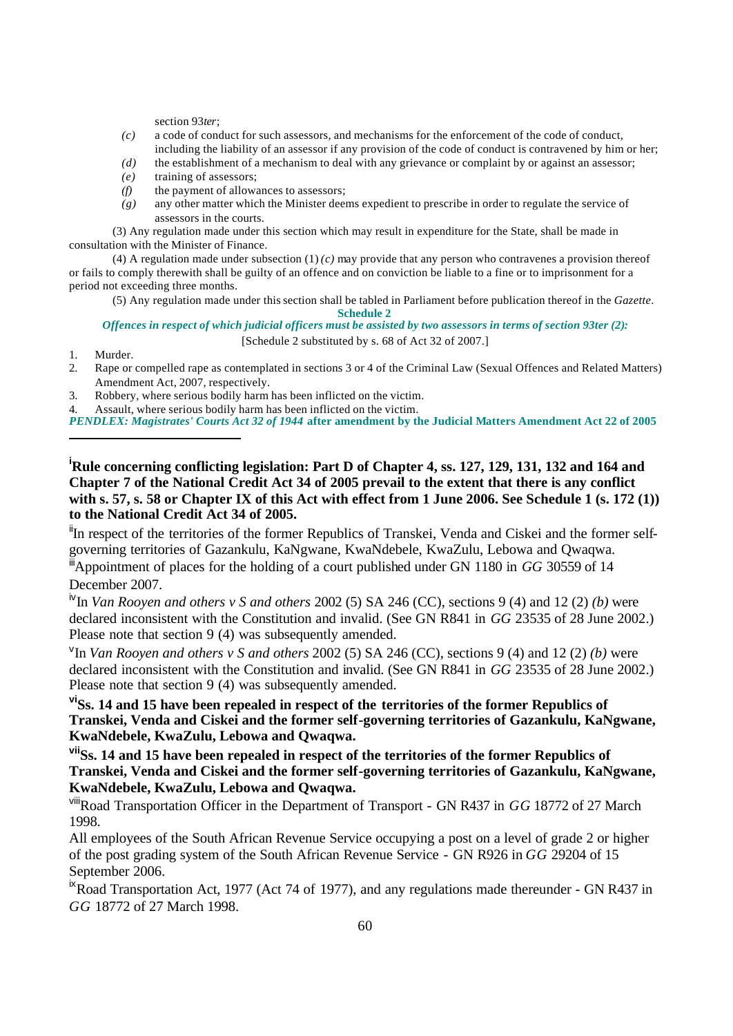section 93*ter*;

- *(c)* a code of conduct for such assessors, and mechanisms for the enforcement of the code of conduct, including the liability of an assessor if any provision of the code of conduct is contravened by him or her;
- *(d)* the establishment of a mechanism to deal with any grievance or complaint by or against an assessor;
- *(e)* training of assessors;
- *(f)* the payment of allowances to assessors;
- *(g)* any other matter which the Minister deems expedient to prescribe in order to regulate the service of assessors in the courts.

(3) Any regulation made under this section which may result in expenditure for the State, shall be made in consultation with the Minister of Finance.

(4) A regulation made under subsection  $(1)(c)$  may provide that any person who contravenes a provision thereof or fails to comply therewith shall be guilty of an offence and on conviction be liable to a fine or to imprisonment for a period not exceeding three months.

(5) Any regulation made under this section shall be tabled in Parliament before publication thereof in the *Gazette*.

**Schedule 2**

*Offences in respect of which judicial officers must be assisted by two assessors in terms of section 93ter (2):* [Schedule 2 substituted by s. 68 of Act 32 of 2007.]

- 1. Murder.
- 2. Rape or compelled rape as contemplated in sections 3 or 4 of the Criminal Law (Sexual Offences and Related Matters) Amendment Act, 2007, respectively.
- 3. Robbery, where serious bodily harm has been inflicted on the victim.

4. Assault, where serious bodily harm has been inflicted on the victim.

*PENDLEX: Magistrates' Courts Act 32 of 1944* **after amendment by the Judicial Matters Amendment Act 22 of 2005** 

**<sup>i</sup>Rule concerning conflicting legislation: Part D of Chapter 4, ss. 127, 129, 131, 132 and 164 and Chapter 7 of the National Credit Act 34 of 2005 prevail to the extent that there is any conflict with s. 57, s. 58 or Chapter IX of this Act with effect from 1 June 2006. See Schedule 1 (s. 172 (1)) to the National Credit Act 34 of 2005.**

<sup>ii</sup>In respect of the territories of the former Republics of Transkei, Venda and Ciskei and the former selfgoverning territories of Gazankulu, KaNgwane, KwaNdebele, KwaZulu, Lebowa and Qwaqwa. iiiAppointment of places for the holding of a court published under GN 1180 in *GG* 30559 of 14

# December 2007.

ivIn *Van Rooyen and others v S and others* 2002 (5) SA 246 (CC), sections 9 (4) and 12 (2) *(b)* were declared inconsistent with the Constitution and invalid. (See GN R841 in *GG* 23535 of 28 June 2002.) Please note that section 9 (4) was subsequently amended.

v In *Van Rooyen and others v S and others* 2002 (5) SA 246 (CC), sections 9 (4) and 12 (2) *(b)* were declared inconsistent with the Constitution and invalid. (See GN R841 in *GG* 23535 of 28 June 2002.) Please note that section 9 (4) was subsequently amended.

**viSs. 14 and 15 have been repealed in respect of the territories of the former Republics of Transkei, Venda and Ciskei and the former self-governing territories of Gazankulu, KaNgwane, KwaNdebele, KwaZulu, Lebowa and Qwaqwa.**

**viiSs. 14 and 15 have been repealed in respect of the territories of the former Republics of Transkei, Venda and Ciskei and the former self-governing territories of Gazankulu, KaNgwane, KwaNdebele, KwaZulu, Lebowa and Qwaqwa.**

viiiRoad Transportation Officer in the Department of Transport - GN R437 in *GG* 18772 of 27 March 1998.

All employees of the South African Revenue Service occupying a post on a level of grade 2 or higher of the post grading system of the South African Revenue Service - GN R926 in *GG* 29204 of 15 September 2006.

<sup>ix</sup>Road Transportation Act, 1977 (Act 74 of 1977), and any regulations made thereunder - GN R437 in *GG* 18772 of 27 March 1998.